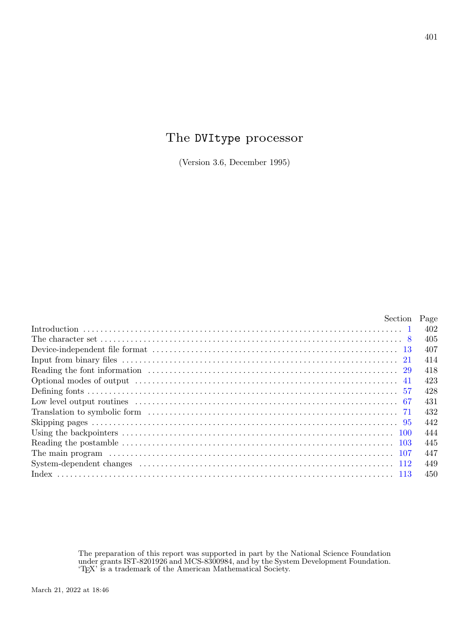# The DVItype processor

(Version 3.6, December 1995)

|                                                                                                                                                                                                                                                                                                                                                                                                                                                                                                                                                                              | Section Page |     |
|------------------------------------------------------------------------------------------------------------------------------------------------------------------------------------------------------------------------------------------------------------------------------------------------------------------------------------------------------------------------------------------------------------------------------------------------------------------------------------------------------------------------------------------------------------------------------|--------------|-----|
|                                                                                                                                                                                                                                                                                                                                                                                                                                                                                                                                                                              |              | 402 |
|                                                                                                                                                                                                                                                                                                                                                                                                                                                                                                                                                                              |              | 405 |
|                                                                                                                                                                                                                                                                                                                                                                                                                                                                                                                                                                              |              | 407 |
|                                                                                                                                                                                                                                                                                                                                                                                                                                                                                                                                                                              |              | 414 |
|                                                                                                                                                                                                                                                                                                                                                                                                                                                                                                                                                                              |              | 418 |
| $\textbf{Optional modes of output} \footnotesize \begin{minipage}{0.4\textwidth} \begin{minipage}{0.4\textwidth} \centering \begin{minipage}{0.4\textwidth} \centering \end{minipage} \begin{minipage}{0.4\textwidth} \centering \begin{minipage}{0.4\textwidth} \centering \end{minipage} \begin{minipage}{0.4\textwidth} \centering \end{minipage} \begin{minipage}{0.4\textwidth} \centering \begin{minipage}{0.4\textwidth} \centering \end{minipage} \begin{minipage}{0.4\textwidth} \centering \end{minipage} \begin{minipage}{0.4\textwidth} \centering \begin{minip$ |              | 423 |
|                                                                                                                                                                                                                                                                                                                                                                                                                                                                                                                                                                              |              | 428 |
|                                                                                                                                                                                                                                                                                                                                                                                                                                                                                                                                                                              |              | 431 |
|                                                                                                                                                                                                                                                                                                                                                                                                                                                                                                                                                                              |              | 432 |
|                                                                                                                                                                                                                                                                                                                                                                                                                                                                                                                                                                              |              | 442 |
|                                                                                                                                                                                                                                                                                                                                                                                                                                                                                                                                                                              |              | 444 |
|                                                                                                                                                                                                                                                                                                                                                                                                                                                                                                                                                                              |              | 445 |
|                                                                                                                                                                                                                                                                                                                                                                                                                                                                                                                                                                              |              | 447 |
| $\text{System-dependent changes} \quad \ldots \quad \ldots \quad \ldots \quad \ldots \quad \ldots \quad \ldots \quad \ldots \quad \quad \text{112}$                                                                                                                                                                                                                                                                                                                                                                                                                          |              | 449 |
|                                                                                                                                                                                                                                                                                                                                                                                                                                                                                                                                                                              |              | 450 |
|                                                                                                                                                                                                                                                                                                                                                                                                                                                                                                                                                                              |              |     |

The preparation of this report was supported in part by the National Science Foundation under grants IST-8201926 and MCS-8300984, and by the System Development Foundation. 'TEX' is a trademark of the American Mathematical Society.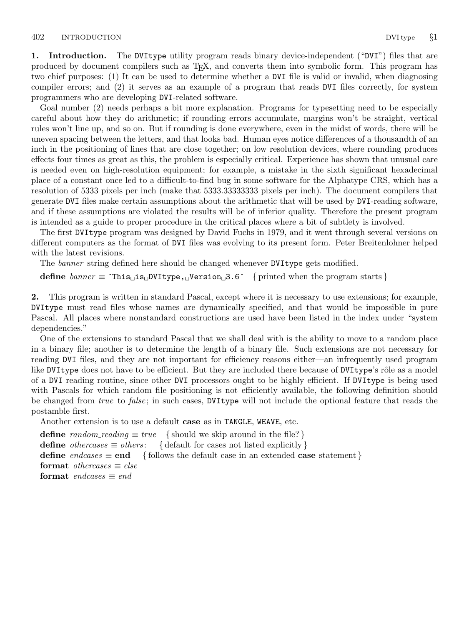<span id="page-1-0"></span>1. Introduction. The DVItype utility program reads binary device-independent ("DVI") files that are produced by document compilers such as TEX, and converts them into symbolic form. This program has two chief purposes: (1) It can be used to determine whether a DVI file is valid or invalid, when diagnosing compiler errors; and (2) it serves as an example of a program that reads DVI files correctly, for system programmers who are developing DVI-related software.

Goal number (2) needs perhaps a bit more explanation. Programs for typesetting need to be especially careful about how they do arithmetic; if rounding errors accumulate, margins won't be straight, vertical rules won't line up, and so on. But if rounding is done everywhere, even in the midst of words, there will be uneven spacing between the letters, and that looks bad. Human eyes notice differences of a thousandth of an inch in the positioning of lines that are close together; on low resolution devices, where rounding produces effects four times as great as this, the problem is especially critical. Experience has shown that unusual care is needed even on high-resolution equipment; for example, a mistake in the sixth significant hexadecimal place of a constant once led to a difficult-to-find bug in some software for the Alphatype CRS, which has a resolution of 5333 pixels per inch (make that 5333.33333333 pixels per inch). The document compilers that generate DVI files make certain assumptions about the arithmetic that will be used by DVI-reading software, and if these assumptions are violated the results will be of inferior quality. Therefore the present program is intended as a guide to proper procedure in the critical places where a bit of subtlety is involved.

The first DVItype program was designed by David Fuchs in 1979, and it went through several versions on different computers as the format of DVI files was evolving to its present form. Peter Breitenlohner helped with the latest revisions.

The banner string defined here should be changed whenever DVItype gets modified.

define  $\text{banner} \equiv \text{This} \sqcup \text{is} \sqcup \text{DVItype}, \sqcup \text{Version} \sqcup 3.6 \qquad \{\text{printed when the program starts}\}$ 

2. This program is written in standard Pascal, except where it is necessary to use extensions; for example, DVItype must read files whose names are dynamically specified, and that would be impossible in pure Pascal. All places where nonstandard constructions are used have been listed in the index under "system dependencies."

One of the extensions to standard Pascal that we shall deal with is the ability to move to a random place in a binary file; another is to determine the length of a binary file. Such extensions are not necessary for reading DVI files, and they are not important for efficiency reasons either—an infrequently used program like DVItype does not have to be efficient. But they are included there because of DVItype's rôle as a model of a DVI reading routine, since other DVI processors ought to be highly efficient. If DVItype is being used with Pascals for which random file positioning is not efficiently available, the following definition should be changed from true to false; in such cases, DVItype will not include the optional feature that reads the postamble first.

Another extension is to use a default case as in TANGLE, WEAVE, etc.

**define** random\_reading  $\equiv true$  { should we skip around in the file? } define *othercases*  $\equiv$  *others*: { default for cases not listed explicitly } define endcases  $\equiv$  end { follows the default case in an extended case statement } format *othercases*  $\equiv$  *else* format endcases  $\equiv$  end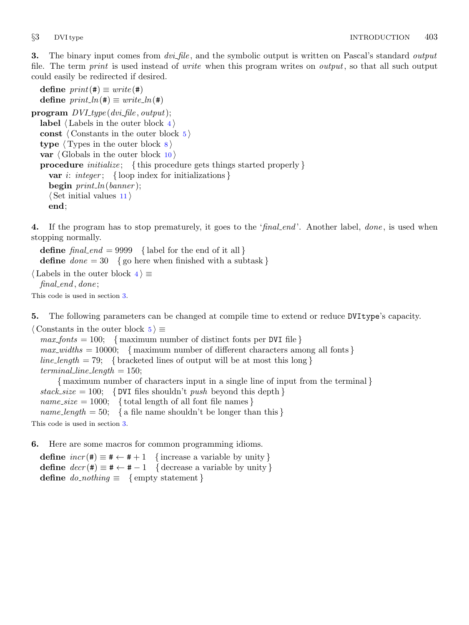<span id="page-2-0"></span>**3.** The binary input comes from *dvi-file*, and the symbolic output is written on Pascal's standard *output* file. The term *print* is used instead of *write* when this program writes on *output*, so that all such output could easily be redirected if desired.

define  $print(\textbf{\#}) \equiv write(\textbf{\#})$ define  $print\_ln(\texttt{\#}) \equiv write\_ln(\texttt{\#})$ program  $DVI_type$  (dvi\_file, output); label  $\langle$  Labels in the outer block 4 $\rangle$ const  $\langle$  Constants in the outer block 5 $\rangle$ type  $\langle$  Types in the outer block  $\langle$  [8](#page-4-0)  $\rangle$ var  $\langle$  Globals in the outer block [10](#page-4-0)  $\rangle$ procedure *initialize*; {this procedure gets things started properly} var i: integer; { loop index for initializations } begin  $print\_ln(banner)$ ;  $\langle$  Set initial values [11](#page-5-0)  $\rangle$ end;

4. If the program has to stop prematurely, it goes to the 'final end'. Another label, done, is used when stopping normally.

define  $final\_end = 9999$  { label for the end of it all } **define**  $done = 30$  { go here when finished with a subtask }

 $\langle$  Labels in the outer block  $4 \rangle \equiv$  $final$ *end*, done;

This code is used in section 3.

5. The following parameters can be changed at compile time to extend or reduce DVItype's capacity.

 $\langle$  Constants in the outer block  $5 \rangle \equiv$ 

 $max\_ fonts = 100;$  {maximum number of distinct fonts per DVI file }  $max\_widths = 10000;$  { maximum number of different characters among all fonts } line\_length = 79; { bracketed lines of output will be at most this long }  $terminal\_line\_length = 150;$ { maximum number of characters input in a single line of input from the terminal }  $stack_size = 100; \{ DVI files shouldn't push beyond this depth \}$ name\_size = 1000; { total length of all font file names }

name length = 50; { a file name shouldn't be longer than this }

This code is used in section 3.

6. Here are some macros for common programming idioms.

define  $incr(\#) \equiv \# \leftarrow \# + 1$  {increase a variable by unity} define  $decr(\#) \equiv \# \leftarrow \# - 1$  { decrease a variable by unity } define  $do\_nothing \equiv \{$  empty statement  $\}$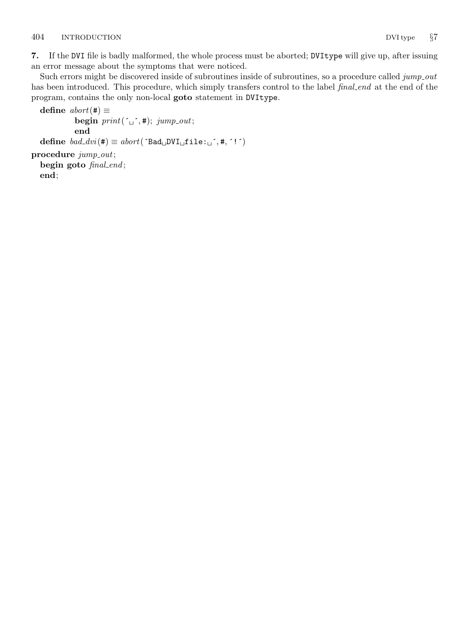<span id="page-3-0"></span>7. If the DVI file is badly malformed, the whole process must be aborted; DVItype will give up, after issuing an error message about the symptoms that were noticed.

Such errors might be discovered inside of subroutines inside of subroutines, so a procedure called jump out has been introduced. This procedure, which simply transfers control to the label final end at the end of the program, contains the only non-local goto statement in DVItype.

define  $abort(\#) \equiv$ begin  $print(\ulcorner \_ \cdot, \#); jump\_out;$ end define  $bad\_dvi(\texttt{\#}) \equiv abort('Bad \text{DVI}_{\sqcup} \texttt{file:}_{\sqcup}^{\neg}, \texttt{\#}, '!\vec{\ })$ procedure  $jump\_out;$ begin goto final\_end; end;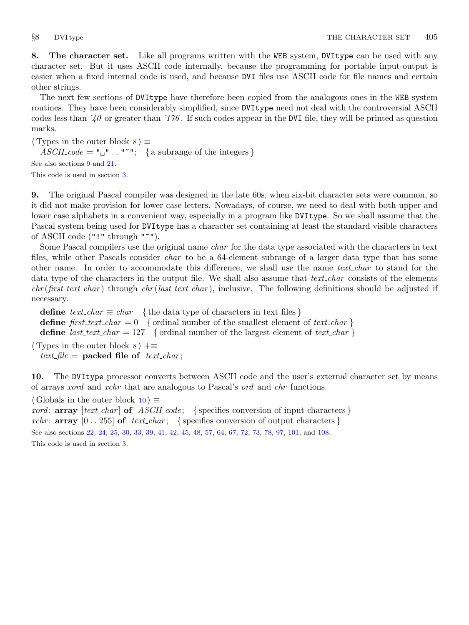<span id="page-4-0"></span>8. The character set. Like all programs written with the WEB system, DVI type can be used with any character set. But it uses ASCII code internally, because the programming for portable input-output is easier when a fixed internal code is used, and because DVI files use ASCII code for file names and certain other strings.

The next few sections of DVItype have therefore been copied from the analogous ones in the WEB system routines. They have been considerably simplified, since DVItype need not deal with the controversial ASCII codes less than  $\dot{40}$  or greater than  $\dot{176}$ . If such codes appear in the DVI file, they will be printed as question marks.

 $\langle$  Types in the outer block  $8 \rangle \equiv$ 

 $ASCII\_code = "u" ... "''';$  { a subrange of the integers }

See also sections 9 and [21.](#page-13-0)

This code is used in section [3](#page-2-0).

9. The original Pascal compiler was designed in the late 60s, when six-bit character sets were common, so it did not make provision for lower case letters. Nowadays, of course, we need to deal with both upper and lower case alphabets in a convenient way, especially in a program like DVItype. So we shall assume that the Pascal system being used for DVItype has a character set containing at least the standard visible characters of ASCII code ("!" through "~").

Some Pascal compilers use the original name *char* for the data type associated with the characters in text files, while other Pascals consider *char* to be a 64-element subrange of a larger data type that has some other name. In order to accommodate this difference, we shall use the name *text\_char* to stand for the data type of the characters in the output file. We shall also assume that text char consists of the elements  $chr(first.text\_char)$  through  $chr(last.text\_char)$ , inclusive. The following definitions should be adjusted if necessary.

define  $text_{cchar} \equiv char$  {the data type of characters in text files} define first text char  $= 0$  { ordinal number of the smallest element of text char } define *last\_text\_char* = 127 { ordinal number of the largest element of text\_char }

 $\langle$  Types in the outer block  $\langle$   $\rangle$  + $\equiv$ text\_file = packed file of text\_char;

10. The DVItype processor converts between ASCII code and the user's external character set by means of arrays xord and xchr that are analogous to Pascal's ord and chr functions.

 $\langle$  Globals in the outer block 10  $\rangle \equiv$ 

xord:  $array [text{\thinspace} c]$  fext\_char  $\thinspace$  of ASCII\_code; { specifies conversion of input characters } xchr: **array**  $[0 \tcdot 255]$  of text chard { specifies conversion of output characters } See also sections [22](#page-13-0), [24,](#page-14-0) [25](#page-14-0), [30](#page-17-0), [33,](#page-18-0) [39](#page-21-0), [41,](#page-22-0) [42,](#page-22-0) [45](#page-23-0), [48,](#page-23-0) [57,](#page-27-0) [64](#page-29-0), [67,](#page-30-0) [72](#page-31-0), [73](#page-31-0), [78,](#page-33-0) [97](#page-41-0), [101](#page-43-0), and [108.](#page-46-0) This code is used in section [3](#page-2-0).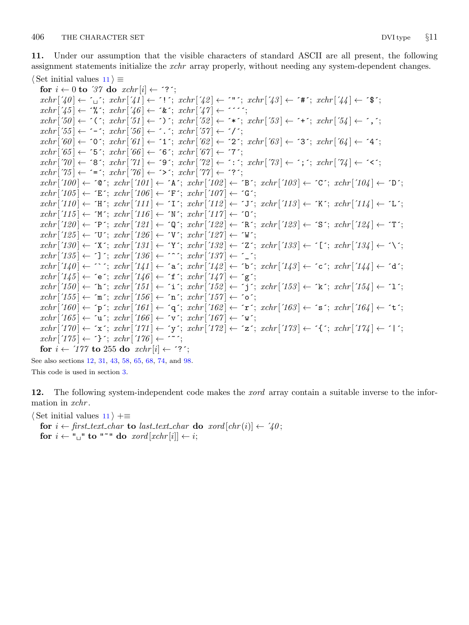<span id="page-5-0"></span>11. Under our assumption that the visible characters of standard ASCII are all present, the following assignment statements initialize the *xchr* array properly, without needing any system-dependent changes.  $\langle$  Set initial values 11  $\rangle \equiv$ 

for  $i \leftarrow 0$  to '37 do  $xchr[i] \leftarrow$  '?';  $xchr[740] \leftarrow \ulcorner_1$ ;  $xchr[74] \leftarrow \ulcorner!$ ;  $xchr[74] \leftarrow \ulcorner!$ ;  $xchr[74] \leftarrow \ulcorner*$ ;  $xchr[74] \leftarrow \ulcorner*$ ;  $xchr['45] \leftarrow \mathcal{X}$ ;  $xchr['46] \leftarrow \mathcal{X}$ ;  $xchr['47] \leftarrow \mathcal{Y}$ ;  $xchr[50] \leftarrow \checkmark$ ;  $xchr[51] \leftarrow \checkmark$ ;  $xchr[52] \leftarrow \checkmark$ ;  $xchr[53] \leftarrow \checkmark$ ;  $xchr[54] \leftarrow \checkmark$ ;  $xchr['55] \leftarrow -$ ;  $xchr['56] \leftarrow$ .;  $xchr['57] \leftarrow '$  $xchr['60] \leftarrow '0'; xchr['61] \leftarrow '1'; xchr['62] \leftarrow '2'; xchr['63] \leftarrow '3'; xchr['64] \leftarrow '4';$  $xchr['65] \leftarrow 5$ ;  $xchr['66] \leftarrow 6$ ;  $xchr['67] \leftarrow 7$ ;  $xchr['70] \leftarrow$  '8';  $xchr['71] \leftarrow$  '9';  $xchr['72] \leftarrow$  ':';  $xchr['73] \leftarrow$  ';';  $xchr'[74] \leftarrow$  '<';  $xchr['75] \leftarrow \equiv \div; xchr['76] \leftarrow \leftrightarrow \div; xchr['77] \leftarrow \div \div;$  $xchr['100] \leftarrow$   $\circ \mathbb{C}$ ;  $xchr['101] \leftarrow \mathbb{A}$ ;  $xchr['102] \leftarrow \mathbb{B}$ ;  $xchr['103] \leftarrow \mathbb{C}$ ;  $xchr['104] \leftarrow \mathbb{D}$ ;  $xchr['105] \leftarrow \text{'}E': xchr['106] \leftarrow \text{'}F': xchr['107] \leftarrow \text{'}G':$  $xchr['110] \leftarrow \text{`H'}; xchr['111] \leftarrow \text{`I'}; xchr['112] \leftarrow \text{`J'}; xchr['113] \leftarrow \text{`K'}; xchr['114] \leftarrow \text{`L'};$  $xchr['115] \leftarrow \gamma' xchr['116] \leftarrow \gamma' xchr['117] \leftarrow \gamma'$ ;  $xchr['120] \leftarrow \text{`P'}; xchr['121] \leftarrow \text{`Q'}; xchr['122] \leftarrow \text{`R'}; xchr['123] \leftarrow \text{`S'}; xchr['124] \leftarrow \text{`T'};$  $xchr['125] \leftarrow \text{`U'}$ ;  $xchr['126] \leftarrow \text{`V'}$ ;  $xchr['127] \leftarrow \text{`W'}$ ;  $xchr['130] \leftarrow \text{'}X'; xchr['131] \leftarrow \text{'}Y'; xchr['132] \leftarrow \text{'}Z'; xchr['133] \leftarrow \text{'}[t'; xchr['134] \leftarrow \text{'}Y'; xchr['134] \leftarrow \text{'}Y'; xchr['135] \leftarrow \text{'}Z'; xchr['136] \leftarrow \text{'}Y'; xchr['136] \leftarrow \text{'}Y'; xchr['137] \leftarrow \text{'}Y'; xchr['138] \leftarrow \text{'}Y'; xchr['138] \leftarrow \text{'}Y'; xchr['138] \leftarrow \text{'}$  $xchr['135] \leftarrow \text{'}$ ;  $xchr['136] \leftarrow \text{'}$ ;  $xchr['137] \leftarrow \text{'}$ ;  $xchr['140] \leftarrow \cdots$ ;  $xchr['141] \leftarrow 'a$ ;  $xchr['142] \leftarrow 'b$ ;  $xchr['143] \leftarrow 'c$ ;  $xchr['144] \leftarrow 'a'$ ;  $xchr['145] \leftarrow$  ´e´;  $xchr['146] \leftarrow$  ´f´;  $xchr['147] \leftarrow$  ´g´;  $xchr['150] \leftarrow \text{`h'}; xchr['151] \leftarrow \text{`i'}; xchr['152] \leftarrow \text{`j'}; xchr['153] \leftarrow \text{`k'}; xchr['154] \leftarrow \text{`1'};$  $xchr['155] \leftarrow \text{`m'}; xchr['156] \leftarrow \text{`n'}; xchr['157] \leftarrow \text{`o'};$  $xchr['160] \leftarrow \text{'p'}; xchr['161] \leftarrow \text{'q'}; xchr['162] \leftarrow \text{'r'}; xchr['163] \leftarrow \text{'s'}; xchr['164] \leftarrow \text{'t'};$  $xchr['165] \leftarrow \text{`u'}; xchr['166] \leftarrow \text{`v'}; xchr['167] \leftarrow \text{`w'};$  $xchr['170] \leftarrow \text{'x'}; xchr['171] \leftarrow \text{'y'}; xchr['172] \leftarrow \text{'z'}; xchr['173] \leftarrow \text{'t'}; xchr['174] \leftarrow \text{'t'};$  $xchr['175] \leftarrow {\text{`}$}$ ;  $xchr['176] \leftarrow {\text{`}$}$ ; for  $i \leftarrow 777$  to 255 do  $xchr[i] \leftarrow ?$ ;

See also sections 12, [31,](#page-17-0) [43](#page-22-0), [58](#page-27-0), [65,](#page-29-0) [68](#page-30-0), [74,](#page-31-0) and [98](#page-41-0). This code is used in section [3](#page-2-0).

12. The following system-independent code makes the *xord* array contain a suitable inverse to the information in xchr.

 $\langle$  Set initial values 11  $\rangle$  +≡

for  $i \leftarrow$  first\_text\_char to last\_text\_char do xord  $[chr(i)] \leftarrow '40$ ; for  $i \leftarrow$  " $\sqcup$ " to "<sup>\*</sup>" do xord [xchr[i]  $\leftarrow i$ ;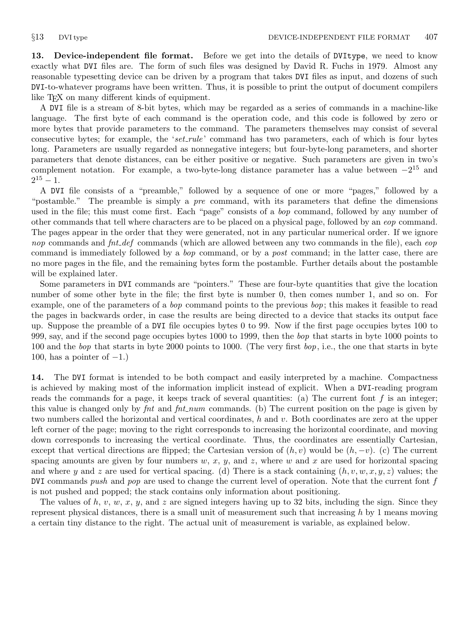<span id="page-6-0"></span>13. Device-independent file format. Before we get into the details of DVItype, we need to know exactly what DVI files are. The form of such files was designed by David R. Fuchs in 1979. Almost any reasonable typesetting device can be driven by a program that takes DVI files as input, and dozens of such DVI-to-whatever programs have been written. Thus, it is possible to print the output of document compilers like T<sub>E</sub>X on many different kinds of equipment.

A DVI file is a stream of 8-bit bytes, which may be regarded as a series of commands in a machine-like language. The first byte of each command is the operation code, and this code is followed by zero or more bytes that provide parameters to the command. The parameters themselves may consist of several consecutive bytes; for example, the 'set\_rule' command has two parameters, each of which is four bytes long. Parameters are usually regarded as nonnegative integers; but four-byte-long parameters, and shorter parameters that denote distances, can be either positive or negative. Such parameters are given in two's complement notation. For example, a two-byte-long distance parameter has a value between  $-2^{15}$  and  $2^{15} - 1.$ 

A DVI file consists of a "preamble," followed by a sequence of one or more "pages," followed by a "postamble." The preamble is simply a *pre* command, with its parameters that define the dimensions used in the file; this must come first. Each "page" consists of a *bop* command, followed by any number of other commands that tell where characters are to be placed on a physical page, followed by an eop command. The pages appear in the order that they were generated, not in any particular numerical order. If we ignore nop commands and fnt def commands (which are allowed between any two commands in the file), each eop command is immediately followed by a *bop* command, or by a *post* command; in the latter case, there are no more pages in the file, and the remaining bytes form the postamble. Further details about the postamble will be explained later.

Some parameters in DVI commands are "pointers." These are four-byte quantities that give the location number of some other byte in the file; the first byte is number 0, then comes number 1, and so on. For example, one of the parameters of a *bop* command points to the previous *bop*; this makes it feasible to read the pages in backwards order, in case the results are being directed to a device that stacks its output face up. Suppose the preamble of a DVI file occupies bytes 0 to 99. Now if the first page occupies bytes 100 to 999, say, and if the second page occupies bytes 1000 to 1999, then the bop that starts in byte 1000 points to 100 and the *bop* that starts in byte 2000 points to 1000. (The very first  $bop$ , i.e., the one that starts in byte 100, has a pointer of  $-1$ .)

14. The DVI format is intended to be both compact and easily interpreted by a machine. Compactness is achieved by making most of the information implicit instead of explicit. When a DVI-reading program reads the commands for a page, it keeps track of several quantities: (a) The current font  $f$  is an integer; this value is changed only by fnt and fnt num commands. (b) The current position on the page is given by two numbers called the horizontal and vertical coordinates,  $h$  and  $v$ . Both coordinates are zero at the upper left corner of the page; moving to the right corresponds to increasing the horizontal coordinate, and moving down corresponds to increasing the vertical coordinate. Thus, the coordinates are essentially Cartesian, except that vertical directions are flipped; the Cartesian version of  $(h, v)$  would be  $(h, -v)$ . (c) The current spacing amounts are given by four numbers  $w, x, y$ , and  $z$ , where  $w$  and  $x$  are used for horizontal spacing and where y and z are used for vertical spacing. (d) There is a stack containing  $(h, v, w, x, y, z)$  values; the DVI commands push and pop are used to change the current level of operation. Note that the current font  $f$ is not pushed and popped; the stack contains only information about positioning.

The values of h, v, w, x, y, and z are signed integers having up to 32 bits, including the sign. Since they represent physical distances, there is a small unit of measurement such that increasing  $h$  by 1 means moving a certain tiny distance to the right. The actual unit of measurement is variable, as explained below.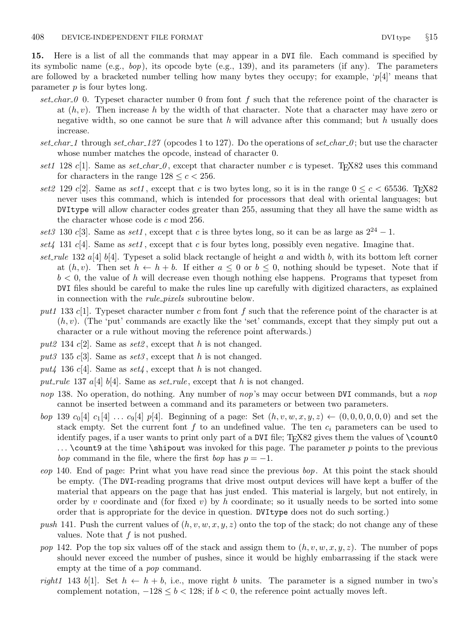<span id="page-7-0"></span>15. Here is a list of all the commands that may appear in a DVI file. Each command is specified by its symbolic name (e.g.,  $bop$ ), its opcode byte (e.g., 139), and its parameters (if any). The parameters are followed by a bracketed number telling how many bytes they occupy; for example, ' $p[4]$ ' means that parameter  $p$  is four bytes long.

- set char 0. Typeset character number 0 from font f such that the reference point of the character is at  $(h, v)$ . Then increase h by the width of that character. Note that a character may have zero or negative width, so one cannot be sure that h will advance after this command; but h usually does increase.
- set char 1 through set char 127 (opcodes 1 to 127). Do the operations of set char  $\theta$ ; but use the character whose number matches the opcode, instead of character 0.
- set1 128 c[1]. Same as set char  $\theta$ , except that character number c is typeset. TrX82 uses this command for characters in the range  $128 \leq c < 256$ .
- set2 129 c[2]. Same as set1, except that c is two bytes long, so it is in the range  $0 \leq c \leq 65536$ . TrX82 never uses this command, which is intended for processors that deal with oriental languages; but DVItype will allow character codes greater than 255, assuming that they all have the same width as the character whose code is c mod 256.
- set 3 130 c[3]. Same as set 1, except that c is three bytes long, so it can be as large as  $2^{24} 1$ .
- set  $\{4, 131 \text{ } c[4]$ . Same as set  $1$ , except that  $c$  is four bytes long, possibly even negative. Imagine that.
- set\_rule 132  $a[4]$  b[4]. Typeset a solid black rectangle of height a and width b, with its bottom left corner at  $(h, v)$ . Then set  $h \leftarrow h + b$ . If either  $a \leq 0$  or  $b \leq 0$ , nothing should be typeset. Note that if  $b < 0$ , the value of h will decrease even though nothing else happens. Programs that typeset from DVI files should be careful to make the rules line up carefully with digitized characters, as explained in connection with the rule pixels subroutine below.
- put1 133 c[1]. Typeset character number c from font f such that the reference point of the character is at  $(h, v)$ . (The 'put' commands are exactly like the 'set' commands, except that they simply put out a character or a rule without moving the reference point afterwards.)
- put2 134 c[2]. Same as set2, except that h is not changed.
- put3 135 c[3]. Same as set3, except that h is not changed.
- put4 136 c[4]. Same as  $set4$ , except that h is not changed.
- put rule 137 a[4] b[4]. Same as set rule, except that h is not changed.
- nop 138. No operation, do nothing. Any number of nop's may occur between DVI commands, but a nop cannot be inserted between a command and its parameters or between two parameters.
- bop 139  $c_0[4]$   $c_1[4]$  ...  $c_9[4]$  p[4]. Beginning of a page: Set  $(h, v, w, x, y, z) \leftarrow (0, 0, 0, 0, 0, 0)$  and set the stack empty. Set the current font f to an undefined value. The ten  $c_i$  parameters can be used to identify pages, if a user wants to print only part of a DVI file; T<sub>E</sub>X82 gives them the values of  $\count0$ ... \count9 at the time \shipout was invoked for this page. The parameter p points to the previous bop command in the file, where the first bop has  $p = -1$ .
- eop 140. End of page: Print what you have read since the previous bop. At this point the stack should be empty. (The DVI-reading programs that drive most output devices will have kept a buffer of the material that appears on the page that has just ended. This material is largely, but not entirely, in order by v coordinate and (for fixed v) by h coordinate; so it usually needs to be sorted into some order that is appropriate for the device in question. DVItype does not do such sorting.)
- push 141. Push the current values of  $(h, v, w, x, y, z)$  onto the top of the stack; do not change any of these values. Note that  $f$  is not pushed.
- pop 142. Pop the top six values off of the stack and assign them to  $(h, v, w, x, y, z)$ . The number of pops should never exceed the number of pushes, since it would be highly embarrassing if the stack were empty at the time of a pop command.
- right1 143 b[1]. Set  $h \leftarrow h + b$ , i.e., move right b units. The parameter is a signed number in two's complement notation,  $-128 \le b < 128$ ; if  $b < 0$ , the reference point actually moves left.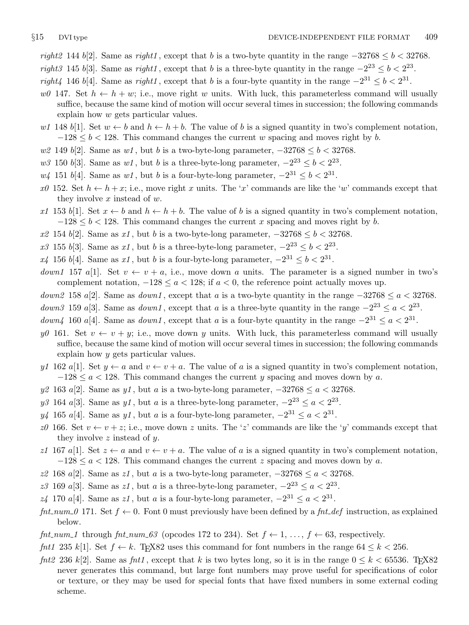- right2 144 b[2]. Same as right1, except that b is a two-byte quantity in the range  $-32768 \le b < 32768$ . right3 145 b[3]. Same as right1, except that b is a three-byte quantity in the range  $-2^{23} \le b < 2^{23}$ .
- right4 146 b[4]. Same as right1, except that b is a four-byte quantity in the range  $-2^{31} \le b < 2^{31}$ .
- w0 147. Set  $h \leftarrow h + w$ ; i.e., move right w units. With luck, this parameterless command will usually suffice, because the same kind of motion will occur several times in succession; the following commands explain how w gets particular values.
- w1 148 b[1]. Set  $w \leftarrow b$  and  $h \leftarrow h + b$ . The value of b is a signed quantity in two's complement notation,  $-128 \le b < 128$ . This command changes the current w spacing and moves right by b.
- w2 149 b[2]. Same as w1, but b is a two-byte-long parameter,  $-32768 \le b < 32768$ .
- w3 150 b[3]. Same as w1, but b is a three-byte-long parameter,  $-2^{23} \le b < 2^{23}$ .
- $w_4$  151 b[4]. Same as  $w_1$ , but b is a four-byte-long parameter,  $-2^{31} \le b < 2^{31}$ .
- $x_0$  152. Set  $h \leftarrow h + x$ ; i.e., move right x units. The 'x' commands are like the 'w' commands except that they involve  $x$  instead of  $w$ .
- x1 153 b[1]. Set  $x \leftarrow b$  and  $h \leftarrow h + b$ . The value of b is a signed quantity in two's complement notation,  $-128 \le b < 128$ . This command changes the current x spacing and moves right by b.
- $x2 \; 154 \; b[2]$ . Same as  $x1$ , but b is a two-byte-long parameter,  $-32768 \le b < 32768$ .
- x3 155 b[3]. Same as x1, but b is a three-byte-long parameter,  $-2^{23} \le b < 2^{23}$ .
- $x_4$  156 b[4]. Same as  $x_1$ , but b is a four-byte-long parameter,  $-2^{31} \le b < 2^{31}$ .
- down1 157 a[1]. Set  $v \leftarrow v + a$ , i.e., move down a units. The parameter is a signed number in two's complement notation,  $-128 \le a < 128$ ; if  $a < 0$ , the reference point actually moves up.
- down2 158 a[2]. Same as down1, except that a is a two-byte quantity in the range  $-32768 \le a < 32768$ .
- *down3* 159 a[3]. Same as *down1*, except that a is a three-byte quantity in the range  $-2^{23} \le a < 2^{23}$ .
- *down4* 160 *a*[4]. Same as *down1*, except that *a* is a four-byte quantity in the range  $-2^{31} \le a < 2^{31}$ .
- y0 161. Set  $v \leftarrow v + y$ ; i.e., move down y units. With luck, this parameterless command will usually suffice, because the same kind of motion will occur several times in succession; the following commands explain how y gets particular values.
- y1 162 a[1]. Set  $y \leftarrow a$  and  $v \leftarrow v + a$ . The value of a is a signed quantity in two's complement notation,  $-128 \le a < 128$ . This command changes the current y spacing and moves down by a.
- y2 163 a[2]. Same as y1, but a is a two-byte-long parameter,  $-32768 \le a < 32768$ .
- y3 164 a[3]. Same as y1, but a is a three-byte-long parameter,  $-2^{23} \le a < 2^{23}$ .
- $y_4$  165 a[4]. Same as y1, but a is a four-byte-long parameter,  $-2^{31} \le a < 2^{31}$ .
- z0 166. Set  $v \leftarrow v + z$ ; i.e., move down z units. The 'z' commands are like the 'y' commands except that they involve  $z$  instead of  $y$ .
- z1 167 a[1]. Set  $z \leftarrow a$  and  $v \leftarrow v + a$ . The value of a is a signed quantity in two's complement notation,  $-128 \le a < 128$ . This command changes the current z spacing and moves down by a.
- z2 168 a[2]. Same as z1, but a is a two-byte-long parameter,  $-32768 \le a < 32768$ .
- z3 169 a[3]. Same as z1, but a is a three-byte-long parameter,  $-2^{23} \le a < 2^{23}$ .
- $z_4$  170 a[4]. Same as  $z_1$ , but a is a four-byte-long parameter,  $-2^{31} \le a < 2^{31}$ .
- fnt num 0 171. Set  $f \leftarrow 0$ . Font 0 must previously have been defined by a fnt def instruction, as explained below.
- fnt\_num\_1 through fnt\_num\_63 (opcodes 172 to 234). Set  $f \leftarrow 1, \ldots, f \leftarrow 63$ , respectively.
- fnt1 235 k[1]. Set  $f \leftarrow k$ . TEX82 uses this command for font numbers in the range  $64 \leq k < 256$ .
- fnt2 236 k[2]. Same as fnt1, except that k is two bytes long, so it is in the range  $0 \le k \le 65536$ . TrX82 never generates this command, but large font numbers may prove useful for specifications of color or texture, or they may be used for special fonts that have fixed numbers in some external coding scheme.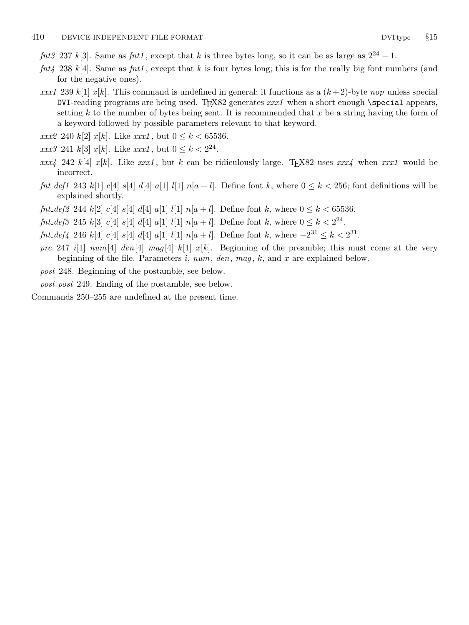- fnt3 237 k[3]. Same as fnt1, except that k is three bytes long, so it can be as large as  $2^{24} 1$ .
- fnt4 238 k[4]. Same as fnt1, except that k is four bytes long; this is for the really big font numbers (and for the negative ones).
- xxx1 239 k[1] x[k]. This command is undefined in general; it functions as a  $(k+2)$ -byte nop unless special DVI-reading programs are being used. TEX82 generates  $xxx1$  when a short enough \special appears, setting k to the number of bytes being sent. It is recommended that  $x$  be a string having the form of a keyword followed by possible parameters relevant to that keyword.
- *xxx*2 240 k[2] *x*[k]. Like *xxx1*, but  $0 \le k < 65536$ .
- $\text{array } 241 \text{ k}[3] \text{ } x[k]$ . Like  $\text{xxx1}$ , but  $0 \leq k < 2^{24}$ .
- xxx4 242 k[4] x[k]. Like xxx1, but k can be ridiculously large. TFX82 uses xxx4 when xxx1 would be incorrect.
- fnt def1 243 k[1] c[4] s[4] d[4] a[1] l[1]  $n[a+l]$ . Define font k, where  $0 \le k \le 256$ ; font definitions will be explained shortly.
- *fnt\_def2* 244 k[2] c[4] s[4] d[4] a[1] l[1] n[a + l]. Define font k, where  $0 \le k < 65536$ .
- fnt\_def3 245 k[3] c[4] s[4] d[4] a[1] l[1] n[a + l]. Define font k, where  $0 \le k < 2^{24}$ .
- $fnt\_def4$  246 k[4] c[4] s[4] d[4] a[1] l[1]  $n[a+l]$ . Define font k, where  $-2^{31} \le k < 2^{31}$ .
- pre 247 i[1]  $num[4]$  den[4] mag[4] k[1] x[k]. Beginning of the preamble; this must come at the very beginning of the file. Parameters  $i$ ,  $num$ ,  $den$ ,  $mag$ ,  $k$ , and  $x$  are explained below.

post 248. Beginning of the postamble, see below.

post post 249. Ending of the postamble, see below.

Commands 250–255 are undefined at the present time.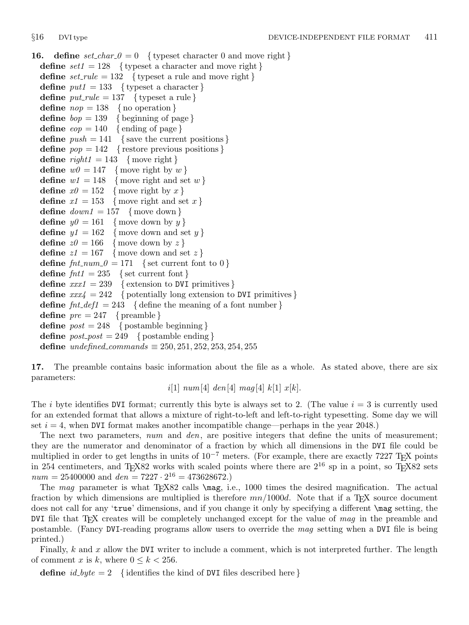<span id="page-10-0"></span>**16.** define  $set_{char\_0} = 0$  { typeset character 0 and move right } **define**  $set1 = 128$  { typeset a character and move right } define  $set$ -rule = 132 { typeset a rule and move right } define  $put1 = 133$  { typeset a character } define  $put\_rule = 137$  { typeset a rule } define  $nop = 138$  { no operation } define  $bop = 139$  { beginning of page } define  $e^{i\theta} = 140 \{$  ending of page } define  $push = 141$  { save the current positions } define  $pop = 142$  { restore previous positions } define  $right1 = 143$  {move right} define  $w\theta = 147$  {move right by w} define  $w1 = 148$  {move right and set w} define  $x\theta = 152$  {move right by x} define  $x_1 = 153$  {move right and set x} define  $down1 = 157$  {move down } define  $y\theta = 161$  {move down by y} define  $y1 = 162$  {move down and set y} define  $z\theta = 166$  {move down by z} define  $z_1 = 167$  {move down and set z} define  $\int f \cdot h \cdot \ln m = 0 = 171$  { set current font to 0 } define  $fnt1 = 235$  { set current font } define  $xxx1 = 239$  { extension to DVI primitives } define  $xxx_4 = 242$  { potentially long extension to DVI primitives } define  $fnt\_def1 = 243$  { define the meaning of a font number } define  $pre = 247$  { preamble } **define**  $post = 248$  { postamble beginning } define  $post\_post = 249$  { postamble ending } define undefined\_commands  $\equiv 250, 251, 252, 253, 254, 255$ 

17. The preamble contains basic information about the file as a whole. As stated above, there are six parameters:

$$
i[1]
$$
  $num[4]$   $den[4]$   $mag[4]$   $k[1]$   $x[k]$ .

The i byte identifies DVI format; currently this byte is always set to 2. (The value  $i = 3$  is currently used for an extended format that allows a mixture of right-to-left and left-to-right typesetting. Some day we will set  $i = 4$ , when DVI format makes another incompatible change—perhaps in the year 2048.)

The next two parameters, num and den, are positive integers that define the units of measurement; they are the numerator and denominator of a fraction by which all dimensions in the DVI file could be multiplied in order to get lengths in units of  $10^{-7}$  meters. (For example, there are exactly 7227 T<sub>E</sub>X points in 254 centimeters, and T<sub>E</sub>X82 works with scaled points where there are  $2^{16}$  sp in a point, so T<sub>E</sub>X82 sets  $num = 25400000$  and  $den = 7227 \cdot 2^{16} = 473628672$ .

The mag parameter is what TEX82 calls  $\text{mag}$ , i.e., 1000 times the desired magnification. The actual fraction by which dimensions are multiplied is therefore  $mn/1000d$ . Note that if a T<sub>E</sub>X source document does not call for any 'true' dimensions, and if you change it only by specifying a different \mag setting, the DVI file that T<sub>EX</sub> creates will be completely unchanged except for the value of mag in the preamble and postamble. (Fancy DVI-reading programs allow users to override the mag setting when a DVI file is being printed.)

Finally, k and x allow the DVI writer to include a comment, which is not interpreted further. The length of comment x is k, where  $0 \leq k < 256$ .

define  $id\_byte = 2$  {identifies the kind of DVI files described here }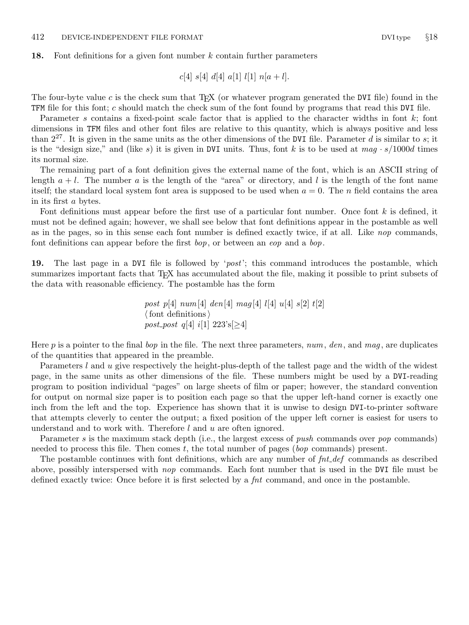#### <span id="page-11-0"></span>18. Font definitions for a given font number k contain further parameters

$$
c[4] \ s[4] \ d[4] \ a[1] \ l[1] \ n[a+l].
$$

The four-byte value c is the check sum that  $T_{F}X$  (or whatever program generated the DVI file) found in the TFM file for this font; c should match the check sum of the font found by programs that read this DVI file.

Parameter s contains a fixed-point scale factor that is applied to the character widths in font  $k$ ; font dimensions in TFM files and other font files are relative to this quantity, which is always positive and less than  $2^{27}$ . It is given in the same units as the other dimensions of the DVI file. Parameter d is similar to s; it is the "design size," and (like s) it is given in DVI units. Thus, font k is to be used at  $mag \cdot s/1000d$  times its normal size.

The remaining part of a font definition gives the external name of the font, which is an ASCII string of length  $a + l$ . The number a is the length of the "area" or directory, and l is the length of the font name itself; the standard local system font area is supposed to be used when  $a = 0$ . The n field contains the area in its first a bytes.

Font definitions must appear before the first use of a particular font number. Once font  $k$  is defined, it must not be defined again; however, we shall see below that font definitions appear in the postamble as well as in the pages, so in this sense each font number is defined exactly twice, if at all. Like nop commands, font definitions can appear before the first  $\mathit{bop}$ , or between an  $\mathit{eop}$  and a  $\mathit{bop}$ .

19. The last page in a DVI file is followed by '*post*'; this command introduces the postamble, which summarizes important facts that T<sub>EX</sub> has accumulated about the file, making it possible to print subsets of the data with reasonable efficiency. The postamble has the form

> post p[4]  $num[4]$  den[4] mag[4] l[4] u[4] s[2] t[2]  $\langle$  font definitions  $\rangle$ post\_post q[4] i[1]  $223$ 's[ $\geq$ 4]

Here p is a pointer to the final bop in the file. The next three parameters, num, den, and mag, are duplicates of the quantities that appeared in the preamble.

Parameters l and u give respectively the height-plus-depth of the tallest page and the width of the widest page, in the same units as other dimensions of the file. These numbers might be used by a DVI-reading program to position individual "pages" on large sheets of film or paper; however, the standard convention for output on normal size paper is to position each page so that the upper left-hand corner is exactly one inch from the left and the top. Experience has shown that it is unwise to design DVI-to-printer software that attempts cleverly to center the output; a fixed position of the upper left corner is easiest for users to understand and to work with. Therefore l and u are often ignored.

Parameter s is the maximum stack depth (i.e., the largest excess of *push* commands over *pop* commands) needed to process this file. Then comes  $t$ , the total number of pages (*bop* commands) present.

The postamble continues with font definitions, which are any number of  $\int f \, dt \, d\theta$  commands as described above, possibly interspersed with nop commands. Each font number that is used in the DVI file must be defined exactly twice: Once before it is first selected by a *fat* command, and once in the postamble.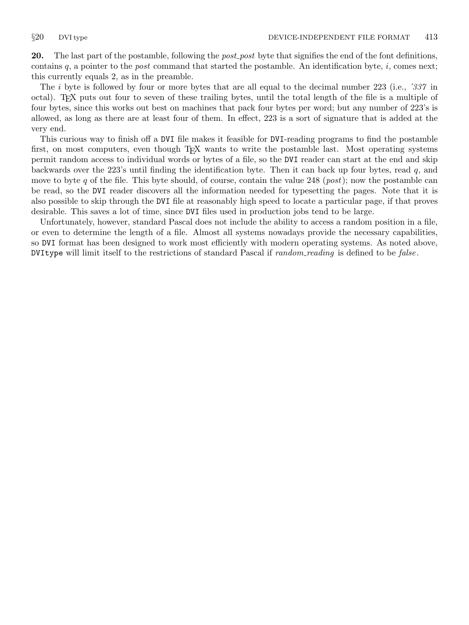<span id="page-12-0"></span>20. The last part of the postamble, following the *post\_post* byte that signifies the end of the font definitions, contains q, a pointer to the *post* command that started the postamble. An identification byte,  $i$ , comes next; this currently equals 2, as in the preamble.

The *i* byte is followed by four or more bytes that are all equal to the decimal number 223 (i.e., *337* in octal). TEX puts out four to seven of these trailing bytes, until the total length of the file is a multiple of four bytes, since this works out best on machines that pack four bytes per word; but any number of 223's is allowed, as long as there are at least four of them. In effect, 223 is a sort of signature that is added at the very end.

This curious way to finish off a DVI file makes it feasible for DVI-reading programs to find the postamble first, on most computers, even though T<sub>EX</sub> wants to write the postamble last. Most operating systems permit random access to individual words or bytes of a file, so the DVI reader can start at the end and skip backwards over the 223's until finding the identification byte. Then it can back up four bytes, read q, and move to byte q of the file. This byte should, of course, contain the value 248 (*post*); now the postamble can be read, so the DVI reader discovers all the information needed for typesetting the pages. Note that it is also possible to skip through the DVI file at reasonably high speed to locate a particular page, if that proves desirable. This saves a lot of time, since DVI files used in production jobs tend to be large.

Unfortunately, however, standard Pascal does not include the ability to access a random position in a file, or even to determine the length of a file. Almost all systems nowadays provide the necessary capabilities, so DVI format has been designed to work most efficiently with modern operating systems. As noted above, DVItype will limit itself to the restrictions of standard Pascal if *random\_reading* is defined to be *false*.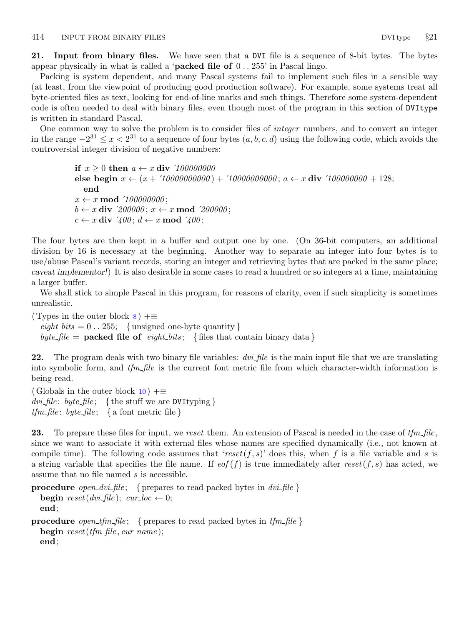<span id="page-13-0"></span>21. Input from binary files. We have seen that a DVI file is a sequence of 8-bit bytes. The bytes appear physically in what is called a '**packed file of**  $0 \dots 255$ ' in Pascal lingo.

Packing is system dependent, and many Pascal systems fail to implement such files in a sensible way (at least, from the viewpoint of producing good production software). For example, some systems treat all byte-oriented files as text, looking for end-of-line marks and such things. Therefore some system-dependent code is often needed to deal with binary files, even though most of the program in this section of DVItype is written in standard Pascal.

One common way to solve the problem is to consider files of integer numbers, and to convert an integer in the range  $-2^{31}$  ≤  $x < 2^{31}$  to a sequence of four bytes  $(a, b, c, d)$  using the following code, which avoids the controversial integer division of negative numbers:

> if  $x \geq 0$  then  $a \leftarrow x$  div '100000000 else begin  $x \leftarrow (x + '10000000000) + '10000000000$ ;  $a \leftarrow x$  div '100000000 + 128; end  $x \leftarrow x \mod$  '100000000;  $b \leftarrow x$  div '200000;  $x \leftarrow x \mod$  '200000;  $c \leftarrow x$  div  $\angle 400$ ;  $d \leftarrow x \mod \angle 400$ ;

The four bytes are then kept in a buffer and output one by one. (On 36-bit computers, an additional division by 16 is necessary at the beginning. Another way to separate an integer into four bytes is to use/abuse Pascal's variant records, storing an integer and retrieving bytes that are packed in the same place; caveat implementor!) It is also desirable in some cases to read a hundred or so integers at a time, maintaining a larger buffer.

We shall stick to simple Pascal in this program, for reasons of clarity, even if such simplicity is sometimes unrealistic.

 $\langle$  Types in the outer block  $\langle$   $\rangle$  +=  $\text{eight\_bits} = 0.255; \{ \text{ unsigned one-byte quantity} \}$ byte file = **packed file of** eight bits; { files that contain binary data }

22. The program deals with two binary file variables:  $\frac{dv}{dt}$  file is the main input file that we are translating into symbolic form, and  $tfm$ -file is the current font metric file from which character-width information is being read.

 $\langle$  Globals in the outer block [10](#page-4-0)  $\rangle$  +=  $dvi$ -file: byte-file; {the stuff we are DVItyping}  $tfm_{\mathcal{I}} file: byte_{\mathcal{I}} file; \{ a font metric file \}$ 

23. To prepare these files for input, we reset them. An extension of Pascal is needed in the case of  $tfm$ -file, since we want to associate it with external files whose names are specified dynamically (i.e., not known at compile time). The following code assumes that 'reset(f, s)' does this, when f is a file variable and s is a string variable that specifies the file name. If  $\epsilon$  (f) is true immediately after reset(f, s) has acted, we assume that no file named s is accessible.

**procedure** open dvi-file; { prepares to read packed bytes in  $dv$ -file } **begin** reset(dvi\_file); cur\_loc  $\leftarrow 0$ ; end;

**procedure** open tfm file; { prepares to read packed bytes in  $tfm$  file } begin  $reset(tfm$ -file, cur\_name); end;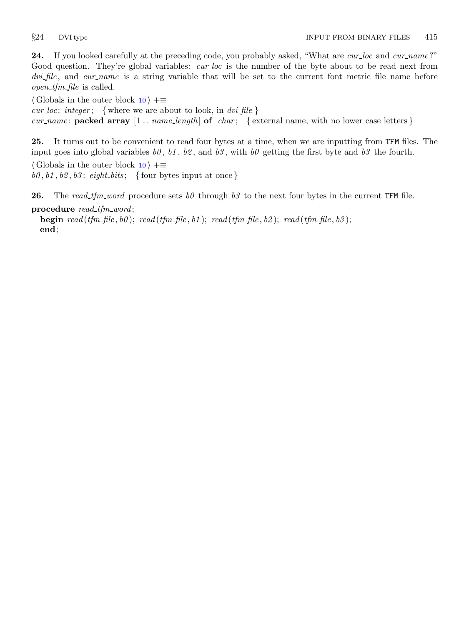<span id="page-14-0"></span>24. If you looked carefully at the preceding code, you probably asked, "What are cur-loc and cur-name?" Good question. They're global variables: cur loc is the number of the byte about to be read next from dvi file, and cur name is a string variable that will be set to the current font metric file name before  $open\_tfm\_file$  is called.

 $\langle$  Globals in the outer block [10](#page-4-0)  $\rangle$  +≡ cur loc: integer; { where we are about to look, in  $dv$ -file } cur name: packed array  $[1 \tcdot \tcdot \tcdot \tcdot \tcdot]$  of char; {external name, with no lower case letters}

25. It turns out to be convenient to read four bytes at a time, when we are inputting from TFM files. The input goes into global variables  $b\theta$ ,  $b1$ ,  $b2$ , and  $b3$ , with  $b\theta$  getting the first byte and  $b3$  the fourth.  $\langle$  Globals in the outer block [10](#page-4-0)  $\rangle$  +≡  $b0, b1, b2, b3$ : eight bits; { four bytes input at once }

**26.** The read tfm word procedure sets b0 through b3 to the next four bytes in the current TFM file. procedure  $read\_tfm\_word;$ 

**begin**  $read(tfm\_file, b0)$ ;  $read(tfm\_file, b1)$ ;  $read(tfm\_file, b2)$ ;  $read(tfm\_file, b3)$ ; end;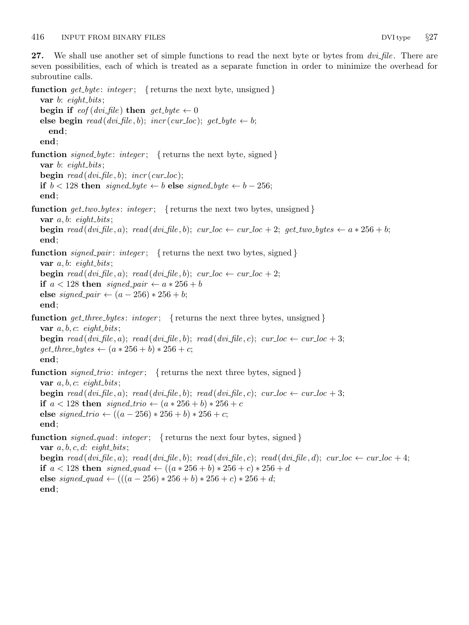end;

<span id="page-15-0"></span>27. We shall use another set of simple functions to read the next byte or bytes from  $dv$ . There are seven possibilities, each of which is treated as a separate function in order to minimize the overhead for subroutine calls.

function  $get\_byte: integer;$  { returns the next byte, unsigned } var  $b$ : eight\_bits; begin if  $\text{eof}(dvi$ -file) then  $\text{get\_byte} \leftarrow 0$ else begin  $read(dvi$ -file, b);  $incr(cur\_loc)$ ;  $get\_byte \leftarrow b$ ; end; end; function signed byte: integer; { returns the next byte, signed } var  $b$ : eight\_bits; **begin** read  $(dvi$ -file, b);  $incr(cur_{loc})$ ; if  $b < 128$  then signed byte  $\leftarrow b$  else signed byte  $\leftarrow b - 256$ ; end; **function** get\_two\_bytes: integer; { returns the next two bytes, unsigned } var  $a, b: \text{ eight\_bits};$ **begin** read  $(dvi$  file, a); read  $(dvi$  file, b); cur loc  $\leftarrow cur$  loc + 2; get two bytes  $\leftarrow a * 256 + b$ ; end; **function** signed pair: integer; { returns the next two bytes, signed} var  $a, b: \text{ eight\_bits};$ **begin** read (dvi-file, a); read (dvi-file, b); cur-loc  $\leftarrow$  cur-loc + 2; if  $a < 128$  then signed pair  $\leftarrow a * 256 + b$ else signed\_pair  $\leftarrow (a - 256) * 256 + b;$ end; **function** get three bytes: integer; { returns the next three bytes, unsigned } var  $a, b, c: \text{ eight\_bits}$ ; **begin** read  $(dvi$  file, a); read  $(dvi$  file, b); read  $(dvi$  file, c); cur loc  $\leftarrow$  cur loc  $+3$ ;  $get\_three\_bytes \leftarrow (a * 256 + b) * 256 + c;$ end; **function** signed trio: integer; { returns the next three bytes, signed} var  $a, b, c$ : eight\_bits; **begin** read (dvi file, a); read (dvi file, b); read (dvi file, c); cur loc  $\leftarrow$  cur loc + 3; if  $a < 128$  then signed\_trio  $\leftarrow (a * 256 + b) * 256 + c$ else *signed\_trio* ←  $((a - 256) * 256 + b) * 256 + c;$ end; **function** signed quad: integer; { returns the next four bytes, signed } var  $a, b, c, d$ : eight\_bits; **begin** read (dvi-file, a); read (dvi-file, b); read (dvi-file, c); read (dvi-file, d); cur-loc  $\leftarrow$  cur-loc + 4; if  $a < 128$  then signed\_quad ←  $((a * 256 + b) * 256 + c) * 256 + d$ else signed\_quad  $\leftarrow (((a - 256) * 256 + b) * 256 + c) * 256 + d;$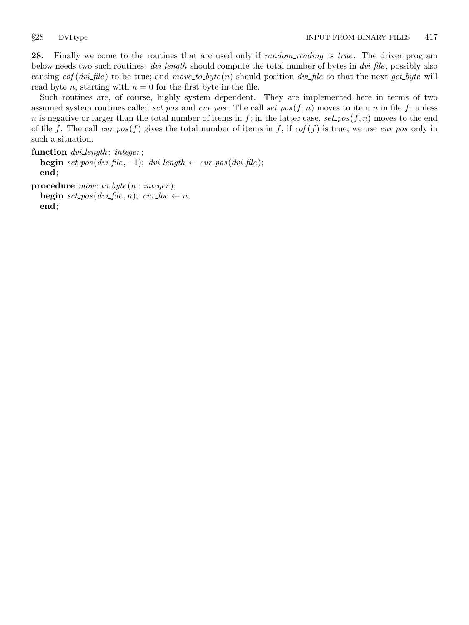<span id="page-16-0"></span>28. Finally we come to the routines that are used only if *random\_reading* is true. The driver program below needs two such routines: dvi length should compute the total number of bytes in dvi-file, possibly also causing  $\epsilon$  (dvi-file) to be true; and move to byte (n) should position dvi-file so that the next get byte will read byte *n*, starting with  $n = 0$  for the first byte in the file.

Such routines are, of course, highly system dependent. They are implemented here in terms of two assumed system routines called set pos and cur pos. The call set pos  $(f, n)$  moves to item n in file f, unless n is negative or larger than the total number of items in f; in the latter case, set pos(f, n) moves to the end of file f. The call cur pos (f) gives the total number of items in f, if  $\epsilon$  eof (f) is true; we use cur pos only in such a situation.

```
function dvi length: integer;
  begin set_pos(dvi_file, -1); dvi_length \leftarrow cur_pos(dvi_file);
  end;
```

```
procedure move\_to\_byte(n : integer);begin set\_pos(dvi\_file, n); cur\_loc \leftarrow n;end;
```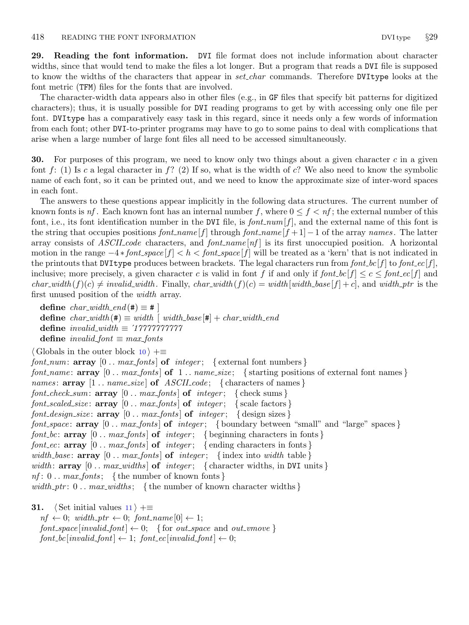<span id="page-17-0"></span>29. Reading the font information. DVI file format does not include information about character widths, since that would tend to make the files a lot longer. But a program that reads a DVI file is supposed to know the widths of the characters that appear in *set char* commands. Therefore DVItype looks at the font metric (TFM) files for the fonts that are involved.

The character-width data appears also in other files (e.g., in GF files that specify bit patterns for digitized characters); thus, it is usually possible for DVI reading programs to get by with accessing only one file per font. DVItype has a comparatively easy task in this regard, since it needs only a few words of information from each font; other DVI-to-printer programs may have to go to some pains to deal with complications that arise when a large number of large font files all need to be accessed simultaneously.

**30.** For purposes of this program, we need to know only two things about a given character c in a given font f: (1) Is c a legal character in f? (2) If so, what is the width of c? We also need to know the symbolic name of each font, so it can be printed out, and we need to know the approximate size of inter-word spaces in each font.

The answers to these questions appear implicitly in the following data structures. The current number of known fonts is  $nf$ . Each known font has an internal number f, where  $0 \le f < nf$ ; the external number of this font, i.e., its font identification number in the DVI file, is  $font\_num[f]$ , and the external name of this font is the string that occupies positions  $font_name[f]$  through  $font_name[f+1]-1$  of the array names. The latter array consists of ASCII code characters, and font name  $[nf]$  is its first unoccupied position. A horizontal motion in the range  $-4 * font\_space[f] < h < font\_space[f]$  will be treated as a 'kern' that is not indicated in the printouts that DVItype produces between brackets. The legal characters run from  $font\_bc[f]$  to font  $\ell_{ce}[f]$ , inclusive; more precisely, a given character c is valid in font f if and only if  $font\_bc[f] \leq c \leq font\_ec[f]$  and  $char\_width(f)(c) \neq invalid\_width$ . Finally,  $char\_width(f)(c) = width[width\_base[f] + c]$ , and width ptr is the first unused position of the width array.

```
define char\_width\_end (#) \equiv #
define char\_width (#) \equiv width \mid width\_base |#| + char_width_end
define invalid width ≡ ´17777777777
define invalid\_font \equiv max\_ fonts
```

```
\langle10 \rangle +=
font_num: array [0.. max_fonts of integer; {external font numbers}
font name: array [0.. max fonts of 1. name size; { starting positions of external font names }
names: array [1.. name_size] of ASCIIcode; { characters of names }font_check_sum: array [0.. max_fonts] of integer; \{check sums\}font_scaled_size: array [0.. max_fents] of integer; {scale factors}
font design size: array [0.. max_fonts] of integer; \{design sizes\}font_space: array [0.. max_fonts] of integer; {boundary between "small" and "large" spaces }
font bc: array [0 \tcdot \text{max-fonts}] of integer; { beginning characters in fonts }
font ec: array [0 \tcdot \text{max-fonts}] of integer; { ending characters in fonts}
width base: \arg [0 . max fonts] of integer; {index into width table }
width: array [0.. max_widths] of integer; {character widths, in DVI units}
nf: 0 \ldots max\_fonts; {the number of known fonts}
width ptr: 0 \ldots max\_width; {the number of known character widths}
```

```
31. \langle11 \rangle +≡
```
 $nf \leftarrow 0$ ; width\_ptr  $\leftarrow 0$ ; font\_name[0]  $\leftarrow 1$ ;  $font\_space[invalid\_font] \leftarrow 0; \{ for out\_space and out\_vmove \}$  $font\_bc$ [invalid\_font]  $\leftarrow$  1; font\_ec[invalid\_font]  $\leftarrow$  0;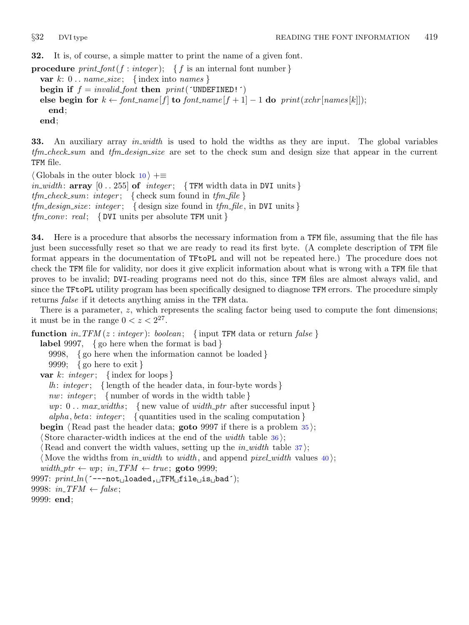<span id="page-18-0"></span>32. It is, of course, a simple matter to print the name of a given font.

**procedure**  $print\_font(f : integer);$  { f is an internal font number } var  $k: 0$ ...  $name\_size$ ; {index into names} begin if  $f = invalid\_font$  then  $print('UNDEFINED!)')$ else begin for  $k \leftarrow$  font\_name  $[f]$  to font\_name  $[f + 1] - 1$  do print(xchr [names [k]]); end; end;

33. An auxiliary array *in width* is used to hold the widths as they are input. The global variables tfm check sum and tfm design size are set to the check sum and design size that appear in the current TFM file.

 $\langle$  Globals in the outer block [10](#page-4-0)  $\rangle$  +≡ *in\_width*:  $array [0..255] of integer; {TFM width data in DVI units}$  $tfm\_check\_sum:$  integer; { check sum found in  $tfm\_file$ }  $tfm\_design\_size:$  integer; { design size found in  $tfm\_file$ , in DVI units}  $tfm\_conv: real; \{ DVI \text{ units per absolute TFM unit } \}$ 

34. Here is a procedure that absorbs the necessary information from a TFM file, assuming that the file has just been successfully reset so that we are ready to read its first byte. (A complete description of TFM file format appears in the documentation of TFtoPL and will not be repeated here.) The procedure does not check the TFM file for validity, nor does it give explicit information about what is wrong with a TFM file that proves to be invalid; DVI-reading programs need not do this, since TFM files are almost always valid, and since the TFtoPL utility program has been specifically designed to diagnose TFM errors. The procedure simply returns false if it detects anything amiss in the TFM data.

There is a parameter, z, which represents the scaling factor being used to compute the font dimensions; it must be in the range  $0 < z < 2^{27}$ .

function  $in\_TFM(z:integer): boolean; \{ input TFM data or return false \}$ label 9997, { go here when the format is bad } 9998, { go here when the information cannot be loaded }

9999; { go here to exit }

var k: integer; {index for loops}

lh: integer; { length of the header data, in four-byte words }

nw: integer; { number of words in the width table }

wp:  $0 \ldots \text{max\_width}$ ; { new value of width\_ptr after successful input }

alpha, beta: integer; { quantities used in the scaling computation }

```
begin \langle Read past the header data; goto 9997 if there is a problem 35;
```
Store character-width indices at the end of the *width* table  $36$ ;

(Read and convert the width values, setting up the *in width* table  $37$ );

(Move the widths from in width to width, and append pixel width values  $40$ ); width\_ptr  $\leftarrow wp$ ; in\_TFM  $\leftarrow true$ ; goto 9999;

9997:  $print\_ln($  ^--- $not$  [loaded, TFM file is bad^);

9998:  $in\_TFM \leftarrow false$ ;

9999: end;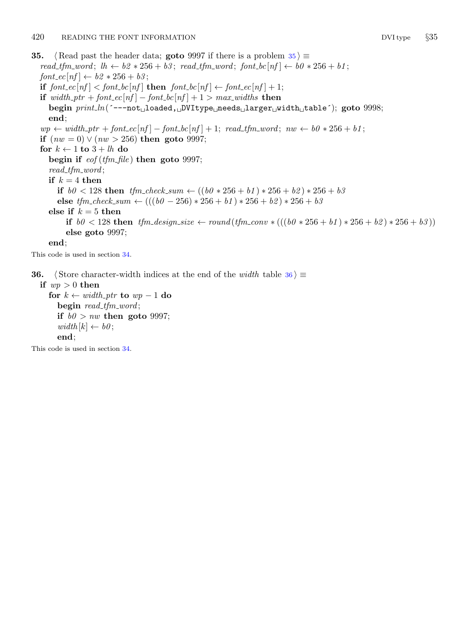<span id="page-19-0"></span>**35.**  $\langle$  Read past the header data; **goto** 9997 if there is a problem  $35 \ge$ read\_tfm\_word;  $lh \leftarrow b2 * 256 + b3$ ; read\_tfm\_word; font\_bc[nf]  $\leftarrow b0 * 256 + b1$ ;  $font\_ec[nf] \leftarrow b2 * 256 + b3;$ if  $font\_ec[nf] < font\_bc[nf]$  then  $font\_bc[nf] \leftarrow font\_ec[nf] + 1;$ if width ptr + font  $ec[nf] - font\_bc[nf] + 1 > max\_widths$  then begin print\_ln(´---not<sub>u</sub>loaded, DVItype needs larger width table´); goto 9998; end;  $wp \leftarrow width\_ptr + font\_ec[nf] - font\_bc[nf] + 1; read\_tfm\_word; nw \leftarrow b0 * 256 + b1;$ if  $(nw = 0) \vee (nw > 256)$  then goto 9997; for  $k \leftarrow 1$  to  $3 + lh$  do begin if  $\epsilon$  *eof* (*tfm\_file*) then goto 9997;  $read\_tfm\_word;$ if  $k = 4$  then if  $b0 < 128$  then  $tfm_{\text{c}}$  heck sum  $\leftarrow ((b0 * 256 + b1) * 256 + b2) * 256 + b3$ else  $tfm\_check\_sum \left( \left( \frac{b}{0} - 256 \right) * 256 + b1 \right) * 256 + b2 \right) * 256 + b3$ else if  $k = 5$  then if  $b0 < 128$  then  $tfm\_design\_size \leftarrow round(tfm\_conv * (((b0 * 256 + b1) * 256 + b2) * 256 + b3))$ else goto 9997; end; This code is used in section [34](#page-18-0).

**36.**  $\langle$  Store character-width indices at the end of the *width* table 36  $\rangle \equiv$ 

if  $wp > 0$  then for  $k \leftarrow width\_ptr$  to  $wp-1$  do begin read\_tfm\_word; if  $b0 > nw$  then goto 9997;  $width[k] \leftarrow b0;$ end;

This code is used in section [34](#page-18-0).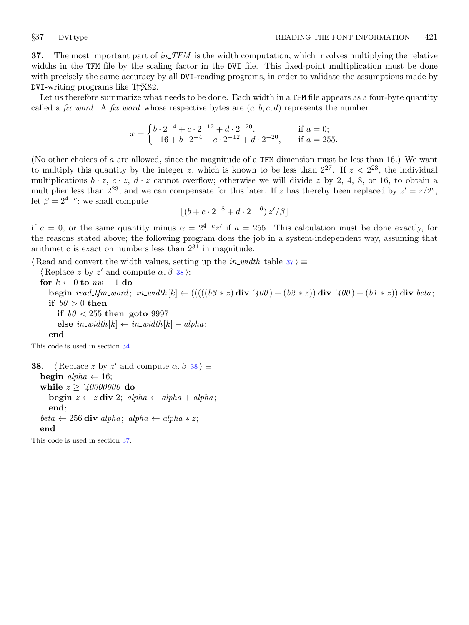<span id="page-20-0"></span>**37.** The most important part of in TFM is the width computation, which involves multiplying the relative widths in the TFM file by the scaling factor in the DVI file. This fixed-point multiplication must be done with precisely the same accuracy by all DVI-reading programs, in order to validate the assumptions made by  $DVI$ -writing programs like  $T<sub>F</sub>X82$ .

Let us therefore summarize what needs to be done. Each width in a TFM file appears as a four-byte quantity called a fix-word. A fix-word whose respective bytes are  $(a, b, c, d)$  represents the number

$$
x = \begin{cases} b \cdot 2^{-4} + c \cdot 2^{-12} + d \cdot 2^{-20}, & \text{if } a = 0; \\ -16 + b \cdot 2^{-4} + c \cdot 2^{-12} + d \cdot 2^{-20}, & \text{if } a = 255. \end{cases}
$$

(No other choices of a are allowed, since the magnitude of a TFM dimension must be less than 16.) We want to multiply this quantity by the integer z, which is known to be less than  $2^{27}$ . If  $z < 2^{23}$ , the individual multiplications  $b \cdot z$ ,  $c \cdot z$ ,  $d \cdot z$  cannot overflow; otherwise we will divide z by 2, 4, 8, or 16, to obtain a multiplier less than  $2^{23}$ , and we can compensate for this later. If z has thereby been replaced by  $z' = z/2^e$ , let  $\beta = 2^{4-e}$ ; we shall compute

$$
\left[ (b + c \cdot 2^{-8} + d \cdot 2^{-16}) z'/\beta \right]
$$

if  $a = 0$ , or the same quantity minus  $\alpha = 2^{4+e}z'$  if  $a = 255$ . This calculation must be done exactly, for the reasons stated above; the following program does the job in a system-independent way, assuming that arithmetic is exact on numbers less than  $2^{31}$  in magnitude.

 $\langle$  Read and convert the width values, setting up the *in\_width* table 37 $\rangle \equiv$ 

 $\langle$  Replace z by z' and compute  $\alpha$ ,  $\beta$  38 $\rangle$ ; for  $k \leftarrow 0$  to  $nw - 1$  do begin read tfm word; in width  $[k] \leftarrow ((( (b3 * z) \text{ div } 400) + (b2 * z)) \text{ div } 400) + (b1 * z)) \text{ div } beta;$ if  $b\theta > 0$  then if  $b0 < 255$  then goto 9997 else  $in\_width[k] \leftarrow in\_width[k] - alpha;$ end

This code is used in section [34](#page-18-0).

**38.**  $\langle \text{Replace } z \text{ by } z' \text{ and compute } \alpha, \beta \text{ is } \rangle \equiv$ begin  $alpha \leftarrow 16$ ; while  $z \ge 2/40000000$  do begin  $z \leftarrow z$  div 2; alpha  $\leftarrow$  alpha  $+$  alpha; end;  $beta \leftarrow 256$  div alpha; alpha  $\leftarrow$  alpha  $\ast z$ ; end

This code is used in section 37.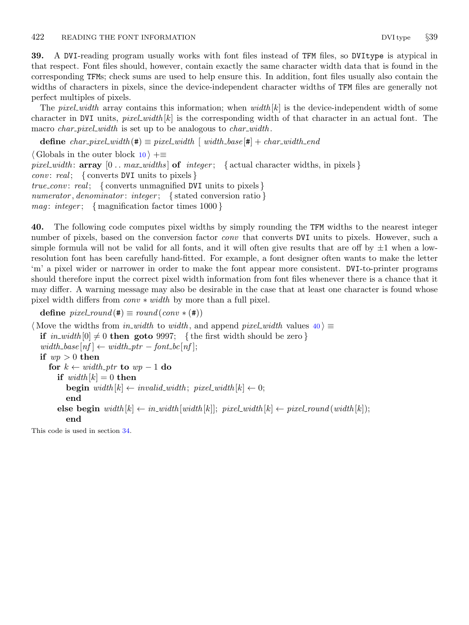<span id="page-21-0"></span>39. A DVI-reading program usually works with font files instead of TFM files, so DVItype is atypical in that respect. Font files should, however, contain exactly the same character width data that is found in the corresponding TFMs; check sums are used to help ensure this. In addition, font files usually also contain the widths of characters in pixels, since the device-independent character widths of TFM files are generally not perfect multiples of pixels.

The *pixel width* array contains this information; when width  $[k]$  is the device-independent width of some character in DVI units,  $pixel\_width[k]$  is the corresponding width of that character in an actual font. The macro *char\_pixel\_width* is set up to be analogous to *char\_width*.

**define** char\_pixel\_width( $\ast$ )  $\equiv$  pixel\_width  $\mid$  width\_base  $\mid \ast \mid$  + char\_width\_end

 $\langle$  Globals in the outer block [10](#page-4-0)  $\rangle$  +≡ pixel width:  $array [0.. max_widths] of integer;$  { actual character widths, in pixels } *conv*: real; { converts DVI units to pixels } true\_conv: real; { converts unmagnified DVI units to pixels }  $numerator, denominator: integer; \{ stated conversion ratio\}$ *mag: integer*; { magnification factor times  $1000$ }

40. The following code computes pixel widths by simply rounding the TFM widths to the nearest integer number of pixels, based on the conversion factor *conv* that converts DVI units to pixels. However, such a simple formula will not be valid for all fonts, and it will often give results that are off by  $\pm 1$  when a lowresolution font has been carefully hand-fitted. For example, a font designer often wants to make the letter 'm' a pixel wider or narrower in order to make the font appear more consistent. DVI-to-printer programs should therefore input the correct pixel width information from font files whenever there is a chance that it may differ. A warning message may also be desirable in the case that at least one character is found whose pixel width differs from  $conv * width$  by more than a full pixel.

define  $pixel\_round(\texttt{\#}) \equiv round(conv * (\texttt{\#}))$ 

(Move the widths from in\_width to width, and append pixel\_width values  $40 \ge$ if  $in\_width[0] \neq 0$  then goto 9997; {the first width should be zero }  $width\_base[nf] \leftarrow width\_ptr - font\_bc[nf];$ if  $wp > 0$  then for  $k \leftarrow width\_ptr$  to  $wp-1$  do if  $width[k] = 0$  then **begin** width  $[k] \leftarrow invalid\_width; pixel\_width[k] \leftarrow 0;$ end else begin width  $[k] \leftarrow in\_width[w]$ ; pixel\_width  $[k] \leftarrow pixel$ -pixel\_round (width  $[k]$ ); end

This code is used in section [34](#page-18-0).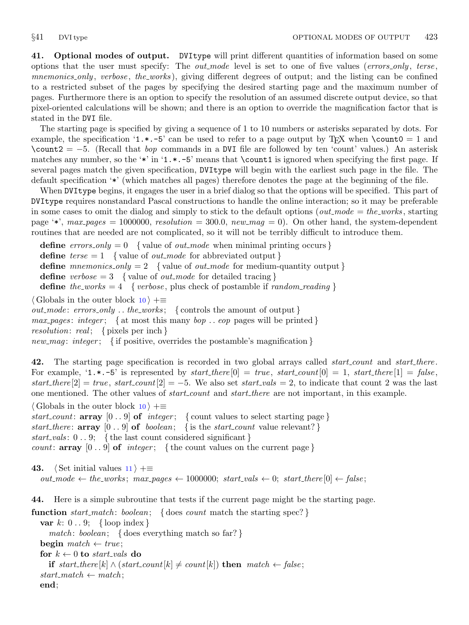<span id="page-22-0"></span>41. Optional modes of output. DVItype will print different quantities of information based on some options that the user must specify: The *out mode* level is set to one of five values (*errors\_only*, *terse*, mnemonics only, verbose, the works), giving different degrees of output; and the listing can be confined to a restricted subset of the pages by specifying the desired starting page and the maximum number of pages. Furthermore there is an option to specify the resolution of an assumed discrete output device, so that pixel-oriented calculations will be shown; and there is an option to override the magnification factor that is stated in the DVI file.

The starting page is specified by giving a sequence of 1 to 10 numbers or asterisks separated by dots. For example, the specification '1. $\star$ . -5' can be used to refer to a page output by T<sub>E</sub>X when \count0 = 1 and  $\count2 = -5$ . (Recall that *bop* commands in a DVI file are followed by ten 'count' values.) An asterisk matches any number, so the '\*' in '1.\*.−5' means that \count1 is ignored when specifying the first page. If several pages match the given specification, DVItype will begin with the earliest such page in the file. The default specification '\*' (which matches all pages) therefore denotes the page at the beginning of the file.

When DVItype begins, it engages the user in a brief dialog so that the options will be specified. This part of DVItype requires nonstandard Pascal constructions to handle the online interaction; so it may be preferable in some cases to omit the dialog and simply to stick to the default options (*out\_mode = the\_works*, starting page '\*',  $max$ -pages = 1000000, resolution = 300.0, new mag = 0). On other hand, the system-dependent routines that are needed are not complicated, so it will not be terribly difficult to introduce them.

**define** errors only  $= 0$  { value of out mode when minimal printing occurs } **define**  $terse = 1$  {value of *out\_mode* for abbreviated output } **define** mnemonics only  $= 2$  {value of *out mode* for medium-quantity output } define verbose  $= 3$  { value of *out\_mode* for detailed tracing } define the works  $= 4$  { verbose, plus check of postamble if random reading }  $\langle$  Globals in the outer block [10](#page-4-0)  $\rangle$  +≡ *out\_mode:*  $errors\_only \dots the\_works; \{ controls the amount of output \}$ 

 $max\_pages: integer; \{$  at most this many  $bop \dots cop$  pages will be printed }

resolution: real; { pixels per inch }

```
new mag: integer; { if positive, overrides the postamble's magnification }
```
42. The starting page specification is recorded in two global arrays called *start count* and *start there*. For example,  $\mathbf{1} \cdot \mathbf{1} \cdot \mathbf{5}$  is represented by start there  $[0] = true$ , start count  $[0] = 1$ , start there  $[1] = false$ , start\_there  $[2] = true$ , start\_count  $[2] = -5$ . We also set start\_vals = 2, to indicate that count 2 was the last one mentioned. The other values of *start\_count* and *start\_there* are not important, in this example.

 $\langle$  Globals in the outer block [10](#page-4-0)  $\rangle$  +≡

start count: array  $[0 \, . \, . \, 9]$  of *integer*; { count values to select starting page} start there:  $array \; [0..9]$  of boolean; { is the start count value relevant?} start vals:  $0 \ldots 9$ ; { the last count considered significant } count: array  $[0 \, . \, . \, 9]$  of *integer*; {the count values on the current page}

43. (Set initial values  $11$ ) +≡  $out\_mode \leftarrow the\_works; max\_pages \leftarrow 1000000; start\_vals \leftarrow 0; start\_there[0] \leftarrow false;$ 

44. Here is a simple subroutine that tests if the current page might be the starting page. **function** start match: boolean: { does count match the starting spec?}

```
var k: 0 \ldots 9; \{ \text{loop index} \}match: boolean; { does everything match so far? }
begin match \leftarrow true;
for k \leftarrow 0 to start_vals do
  if start_there [k] \wedge (start\_count[k] \neq count[k]) then match \leftarrow false;start\_match \leftarrow match;end;
```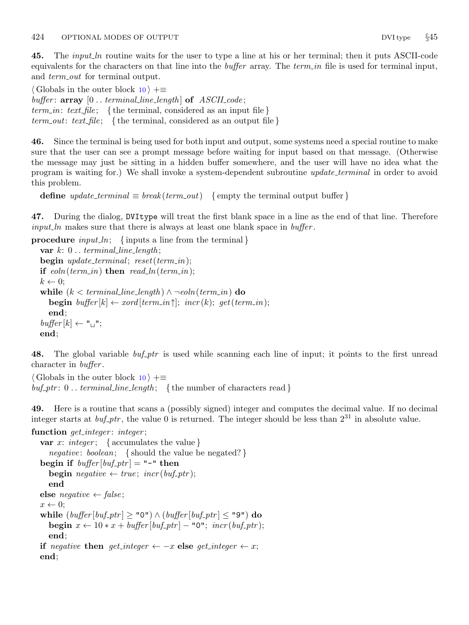<span id="page-23-0"></span>45. The *input ln* routine waits for the user to type a line at his or her terminal; then it puts ASCII-code equivalents for the characters on that line into the *buffer* array. The term in file is used for terminal input, and *term\_out* for terminal output.

 $\langle$  Globals in the outer block [10](#page-4-0)  $\rangle$  +≡ buffer:  $array [0..terminal-line_length]$  of  $ASCII_code;$ term in: text file; { the terminal, considered as an input file }  $term\_out: text_{file};$  {the terminal, considered as an output file }

46. Since the terminal is being used for both input and output, some systems need a special routine to make sure that the user can see a prompt message before waiting for input based on that message. (Otherwise the message may just be sitting in a hidden buffer somewhere, and the user will have no idea what the program is waiting for.) We shall invoke a system-dependent subroutine update terminal in order to avoid this problem.

```
define update\_terminal \equiv break(term.out) {empty the terminal output buffer }
```
47. During the dialog, DVItype will treat the first blank space in a line as the end of that line. Therefore  $input\_ln$  makes sure that there is always at least one blank space in  $buffer$ .

**procedure** input ln; {inputs a line from the terminal}

var  $k: 0$ ... terminal\_line\_length; **begin** update\_terminal; reset(term\_in); if  $e$ *oln*( $term_in$ ) then  $read\_ln(term_in)$ ;  $k \leftarrow 0$ ; while  $(k < terminal\_line\_length) \land \neg eoln(term\_in)$  do **begin** buffer  $[k] \leftarrow x \text{ord}[\text{term}_i, \text{in} \text{cr}(k); \text{get}(\text{term}_i, \text{in})$ ; end;  $buffer[k] \leftarrow "\sqcup";$ end;

48. The global variable *buf-ptr* is used while scanning each line of input; it points to the first unread character in buffer .

 $\langle$  Globals in the outer block [10](#page-4-0)  $\rangle$  +≡  $\textit{buf\_ptr}: 0 \ldots \textit{terminal\_line\_length};$  {the number of characters read}

49. Here is a routine that scans a (possibly signed) integer and computes the decimal value. If no decimal integer starts at  $buf_ptr$ , the value 0 is returned. The integer should be less than  $2^{31}$  in absolute value.

```
function get_integer: integer;
  var x: integer; {\{ accumulates the value }
      negative: boolean; { should the value be negated? }
  begin if buffer[buf\_ptr] = "-" then
      begin negative \leftarrow true; incr(buf-ptr);
      end
  else negative \leftarrow false;
   x \leftarrow 0;
   while (\text{buffer}[\text{buf}\text{-}\text{ptr}] \geq "0") \wedge (\text{buffer}[\text{buf}\text{-}\text{ptr}] \leq "9") \text{ do}begin x \leftarrow 10 \times x + \text{buffer} [\text{buf\_ptr}] - "0"; \text{incr}(\text{buf\_ptr});end;
  if negative then get_integer \leftarrow -x else get_integer \leftarrow x;
  end;
```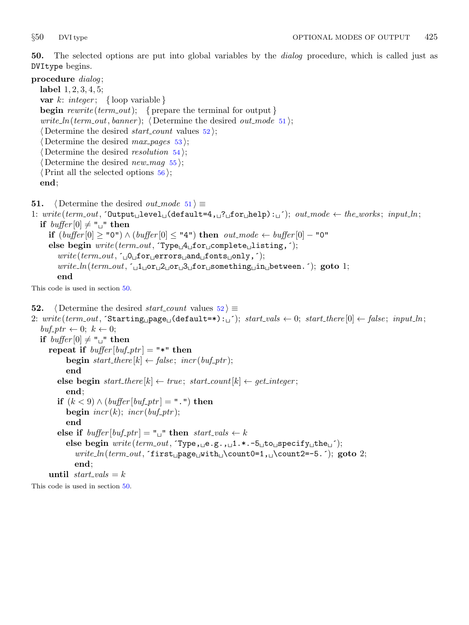<span id="page-24-0"></span>50. The selected options are put into global variables by the dialog procedure, which is called just as DVItype begins.

## procedure dialog;

label 1, 2, 3, 4, 5; var k: integer; { loop variable } **begin** rewrite (term out); { prepare the terminal for output } *write\_ln(term\_out, banner)*;  $\langle$  Determine the desired *out\_mode* 51 $\rangle$ ; (Determine the desired *start\_count* values  $52$ );  $\langle$  Determine the desired *max pages* [53](#page-25-0) $\rangle$ ;  $\langle$  Determine the desired *resolution* [54](#page-25-0) $\rangle$ ; (Determine the desired new mag  $55$ );  $\langle$  Print all the selected options [56](#page-26-0) $\rangle$ ; end;

**51.**  $\langle$  Determine the desired *out\_mode* 51  $\rangle \equiv$ 

1:  $write(term\_out, \text{Output} \cup level \cup (default=4, \text{[]?} \text{Of} \cup \text{In}]) : \text{[]'}); out-mode \leftarrow the\_works; input\_ln;$ if  $buffer[0] \neq "$  " then if (buffer  $[0] \geq$  "0") ∧ (buffer  $[0] \leq$  "4") then  $\mathit{out\_mode} \leftarrow \mathit{buffer}[0] -$  "0" else begin  $write(term\_out, \text{Type\_4\_for\_complete\_listing},');$ write (term out, ´ 0 for errors and fonts only,´);  $write\_ln(term\_out, \lceil_{\sqcup}1_{\sqcup}or_{\sqcup}2_{\sqcup}or_{\sqcup}3_{\sqcup}for_{\sqcup}something_{\sqcup}in_{\sqcup}between.$ ; goto 1; end

This code is used in section 50.

**52.**  $\langle$  Determine the desired *start\_count* values  $52 \rangle \equiv$ 2: write (term out,  $\text{Starting\_page\_(default=*):}$ ;  $\text{start\_vals} \leftarrow 0; \text{start\_there[0]} \leftarrow \text{false}; \text{input} \cdot \text{input}$  $buf_{\mathcal{\rightarrow}} ptr \leftarrow 0; \ k \leftarrow 0;$ if  $buffer[0] \neq "$  " then repeat if  $buffer[buf_ptr] =$  "\*" then **begin** start\_there  $[k] \leftarrow false$ ; incr(buf\_ptr); end else begin start\_there  $[k] \leftarrow true$ ; start\_count  $[k] \leftarrow get\_integer$ ; end; if  $(k < 9) \wedge (buffer [buf\_ptr] = " . " ) then$ begin  $\text{incr}(k)$ ;  $\text{incr}( \text{buf}\_ \text{ptr})$ ; end else if  $buffer[buf\_ptr] = "$  " then  $start\_vals \leftarrow k$ else begin  $write(term\_out, \text{Type}, \text{e.g.}, \text{d.1.*}.-5 \text{d.1} \text{to} \text{d.1} \text{se} \text{to} \text{d.1} \text{to} \text{d.1} \text{to} \text{d.1} \text{to} \text{d.1} \text{to} \text{d.1} \text{to} \text{d.1} \text{to} \text{d.1} \text{to} \text{d.1} \text{to} \text{d.1} \text{to} \text{d.1} \text{to} \text{d.1} \text{to} \text{d.1} \text{to} \text{d.1} \$  $write\_ln(term\_out,$  first page with \count0=1, \count2=-5. ^); goto 2; end; until  $start\_vals = k$ 

This code is used in section 50.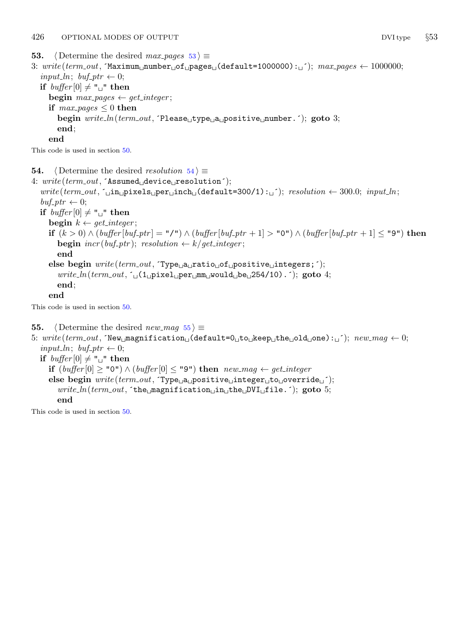<span id="page-25-0"></span>**53.**  $\langle$  Determine the desired max pages 53  $\rangle \equiv$ 

3:  $write(term\_out, 'Maximum\_number\_of\_pages\_(default=1000000):_i'); max\_pages \leftarrow 1000000;$ input\_ln; buf\_ptr  $\leftarrow 0$ ; if  $buffer[0] \neq "$  " then begin  $max\_{pages} \leftarrow get\_integer;$ if  $max\_{pages} \leq 0$  then begin  $write\_ln(term\_out,$  Tlease<sub> $\sqcup$ </sub>type $\sqcup$ a $\sqcup$ positive $\sqcup$ number.  $\land$ ; goto 3; end; end

This code is used in section [50](#page-24-0).

**54.**  $\langle$  Determine the desired resolution 54  $\rangle \equiv$ 

4:  $write(term\_out, 'Assumed_Udevice_U resolution');$  $write(term\_out, 'uinu$ pixels per inch (default=300/1): '; resolution  $\leftarrow$  300.0; input ln;  $\text{buf\_ptr} \leftarrow 0;$ if  $buffer[0] \neq "$  " then begin  $k \leftarrow get\_integer;$ if  $(k > 0) \wedge (buffer[buf_ptr] = "I") \wedge (buffer[buf_ptr + 1] > "0") \wedge (buffer[buf_ptr + 1] \le "9")$  then **begin**  $\text{incr}( \text{buf\_ptr})$ ; resolution  $\leftarrow k/\text{get\_integer}$ ; end else begin  $write(term\_out, \text{Type}_{\Box}a_{\Box}ratio_{\Box}of_{\Box}positive_{\Box}integers;');$  $write\_ln(term\_out, \lceil_{\sqcup} (1_{\sqcup} pixel_{\sqcup} per_{\sqcup} m m_{\sqcup} would_{\sqcup} be_{\sqcup} 254/10) \rceil)$ ; goto 4; end; end

This code is used in section [50](#page-24-0).

55.  $\langle$  Determine the desired new mag 55  $\rangle \equiv$ 

```
5: write(term.out, 'New_magnification \text{ } (default=0 \text{ }_t \text{ } to \text{ }_t \text{ } the \text{ }_t \text{ } on \text{ } e): ''); new\_mag \leftarrow 0;
   input_ln; buf_ptr \leftarrow 0;
  if buffer[0] \neq " " then
      if (buffer[0] ≥ "0") ∧ (buffer[0] ≤ "9") then newmag ← get\_integerelse begin write(term\_out, \text{Type}_{\text{U}}\text{positive}_{\text{U}} \text{integer}_{\text{U}}\text{to}_{\text{U}} \text{override}_{\text{U}}');write\_ln(term\_out, the magnification in the DVI file. \cdot); goto 5;
         end
```
This code is used in section [50](#page-24-0).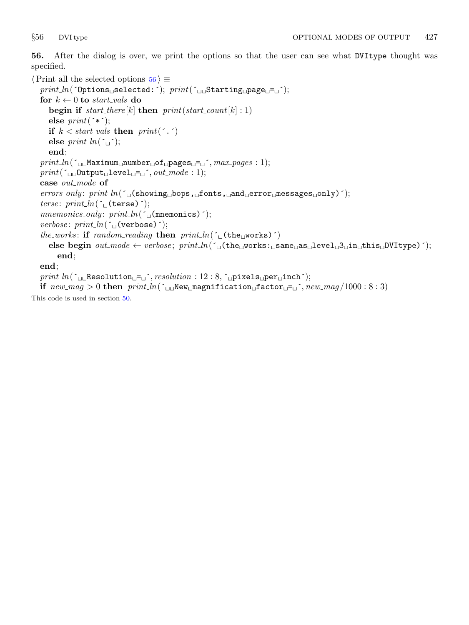<span id="page-26-0"></span>56. After the dialog is over, we print the options so that the user can see what DVItype thought was specified.

```
\langle Print all the selected options 56 \rangle \equivprint ln(´Options selected:´); print(´ Starting page = ´);
   for k \leftarrow 0 to start-vals do
       begin if start_there [k] then print(start\_count[k] : 1)else print(*^{\prime});
       if k < start vals then print(\cdot, \cdot)else print\_ln(\lceil \tbinom{\cdot}{j}\rceil);
       end;
   print\_ln( \lceil \text{num}_\text{m} \text{num}_\text{m} mumber \lceil \text{log}_\text{m} \text{log}_\text{m} \rceil \lceil \text{max}_\text{m} \text{log}_\text{m} \rceil : 1);
   print(\text{``\texttt{u}\texttt{u}\texttt{Output}_{\text{u}}\texttt{level}\texttt{u}=\texttt{u}'}, out\_mode:1);case out_mode of
   \mathit{errors\_only:} \ print\_ln(\ulcorner_\sqcup(\text{showing\_bops}, \sqcup \text{onts}, \sqcup \text{and\_error\_message} \text{such} \urcorner) \urcorner);terse: print\_ln( (\iota (terse) \iota);
   mnemonics\_only: print\_ln( (\lceil \cdot \rfloor(mnemonics) \lceil \cdot \rceil);
   verbose: print\_ln( (\cup (verbose) \cdot);
   the works: if random reading then print\_ln(\uparrow \downarrow (the works) \uparrow)
       else begin out-mode \leftarrow verbose; print\_ln('_{\Box} (the_{\Box} works:_{\Box} same_{\Box} as_{\Box} level_{\Box} 3_{\Box} in_{\Box} this_{\Box} D VItype)');
          end;
   end;
   print\_ln(\text{``\texttt{u}\texttt{r}Resolution} = \text{u''}, resolution : 12 : 8, \text{``\texttt{up}\texttt{u}\texttt{r}Res} = \text{u}if new_mag > 0 then print\_ln( (\Box\BoxNew \Boxmagnification \Boxfactor \Box\equiv\Box, new_mag/1000 : 8 : 3)
```
This code is used in section [50](#page-24-0).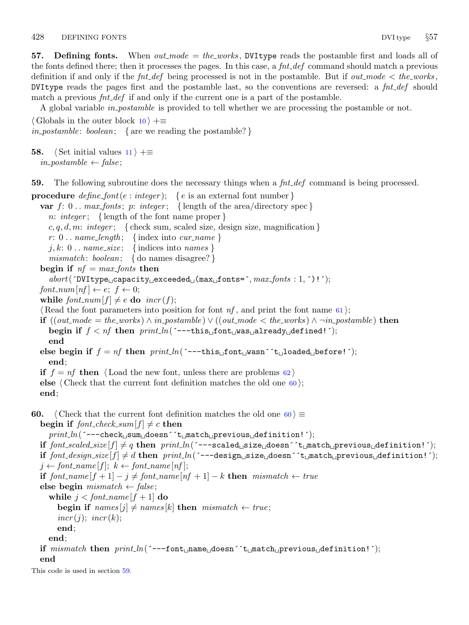<span id="page-27-0"></span>57. Defining fonts. When  $out_model = the_words$ , DVI type reads the postamble first and loads all of the fonts defined there; then it processes the pages. In this case, a  $fnt\_def$  command should match a previous definition if and only if the  $\int int\_def$  being processed is not in the postamble. But if out mode  $\lt$  the works, DVItype reads the pages first and the postamble last, so the conventions are reversed: a  $fnt\_def$  should match a previous  $fnt\_def$  if and only if the current one is a part of the postamble.

A global variable *in postamble* is provided to tell whether we are processing the postamble or not.

 $\langle$  Globals in the outer block [10](#page-4-0)  $\rangle$  +≡ in postamble: boolean; { are we reading the postamble?}

**58.**  $\langle$  Set initial values [11](#page-5-0)  $\rangle$  +≡  $in\_postample \leftarrow false;$ 

59. The following subroutine does the necessary things when a  $fnt\_def$  command is being processed.

```
procedure define font(e : integer); { e is an external font number}
  var f: 0.. max\_fonts; p: integer; {length of the area/directory spec}
     n: integer; { length of the font name proper }
     c, q, d, m: integer; \{ check sum, scaled size, design size, magnification \}r: 0 \ldots name_length; {index into cur_name}
     j, k: 0... name_size; {indices into names}
     mismatch: boolean; { do names disagree?}
  begin if nf = max\_fonts then
     abort('DVItype_U capacity_Uexceeded_U(max_U fonts=', max_fonts: 1, '):');font\_num[nf] \leftarrow e; f \leftarrow 0;while font\_num[f] \neq e do incr(f);(Read the font parameters into position for font nf61);
  if ((out-mode = the\_works) ∧ in\_postamble) ∨ ((out\_mode < the\_works) ∧ \neg in\_postamble) then
     begin if f < nf then print\_ln( ---this<sub>⊔</sub>font<sub>⊔</sub>was<sub>u</sub>already<sub>u</sub>defined! ^);
     end
  else begin if f = nf then print\_ln('--this \perp front \perp x) and i \perp \perp x is integral i;
     end;
  if f = nf then \langle62 \rangleelse \langle Check that the current font definition matches the old one \langle60\rangle;
  end;
60. (Check that the current font definition matches the old one 60) \equivbegin if font\_check\_sum[f] \neq c then
     print\_ln( ---check_{\text{L}}sum_{\text{L}}down_{\text{C}} \text{Cov}_{\text{L}} \text{Cov}_{\text{L}} \text{Cov}_{\text{L}} \text{Cov}_{\text{L}} \text{Cov}_{\text{L}} \text{Cov}_{\text{L}} \text{Cov}_{\text{L}} \text{Cov}_{\text{L}} \text{Cov}_{\text{L}} \text{Cov}_{\text{L}} \text{Cov}_{\text{L}} \text{Cov}_{\text{L}} \text{Cov}_{\text{L}} \text{Cov}_{if font scaled size [f] \neq q then print ln(´---scaled size doesn´'t match previous definition!');
  if font design_size [f] \neq d then print ln(´---design size doesn´ t match previous definition!);
  j \leftarrow font\_name[f]; k \leftarrow font\_name[nf];if font_name |f + 1| - j \neq font_name |nf + 1| - k then mismatch \leftarrow true
  else begin mismatch \leftarrow false;
     while j < font_name |f + 1| do
       begin if names[j] \neq names[k] then mismatch \leftarrow true;incr(j); incr(k);
       end;
     end;
  if mismatch then print\_ln (´---font name doesn´t match previous definition!´);
  end
This code is used in section 59.
```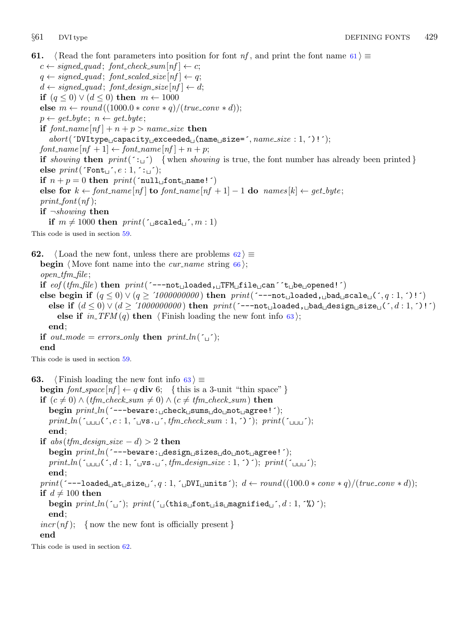<span id="page-28-0"></span>61. {Read the font parameters into position for font nf, and print the font name 61  $\rangle \equiv$  $c \leftarrow signed\_quad; font\_check\_sum[nf] \leftarrow c;$  $q \leftarrow signed\_quad; font\_scaled\_size[nf] \leftarrow q;$  $d \leftarrow signed\_quad; font\_design\_size[nf] \leftarrow d;$ if  $(q \leq 0) \vee (d \leq 0)$  then  $m \leftarrow 1000$ else  $m \leftarrow round((1000.0 * conv * q)/(true_{conv} * d));$  $p \leftarrow get\_byte; n \leftarrow get\_byte;$ if  $font_name[nf] + n + p > name_size$  then  $\it abort('DVItype\_capacity\_exceeded\_(name\_size=',name\_size:1,')!');$  $font_name[nf + 1] \leftarrow font_name[nf] + n + p;$ if showing then  $print(': '')$  {when showing is true, the font number has already been printed } else  $print(\text{Font}_\sqcup \, \cdot, e : 1, \, \cdot \, : \sqcup \, \cdot);$ if  $n + p = 0$  then  $print('null_{\sqcup}font_{\sqcup} name!)')$ else for  $k \leftarrow$  font\_name  $[n]$  to font\_name  $[n] + 1 - 1$  do names  $[k] \leftarrow$  get\_byte;  $print\_font(nf);$ if  $\neg showing$  then if  $m \neq 1000$  then  $print(\text{``jscaled''}, m : 1)$ This code is used in section [59](#page-27-0). 62.  $\langle$  Load the new font, unless there are problems 62 $\rangle \equiv$ **begin**  $\langle$  Move font name into the *cur name* string [66](#page-29-0) $\rangle$ ;  $open\_tfm\_file;$ if eof (tfm\_file) then print(´---not loaded, IFM file can´t be opened!´) else begin if  $(q \leq 0) \vee (q \geq 1000000000)$  then  $print('---not \text{hold} \text{load}_\text{u} \text{scale} \text{u}'', q : 1, )$ !') else if  $(d \leq 0) \vee (d \geq 1000000000)$  then print(^---not<sub>u</sub>loaded, bad design size (´,d:1,^)!^) else if  $in\_TFM(q)$  then  $\langle$  Finish loading the new font info 63 $\rangle$ ; end; if out mode = errors only then print ln( $\zeta$ ); end This code is used in section [59](#page-27-0). **63.**  $\langle$  Finish loading the new font info 63 $\rangle \equiv$ **begin** font space  $[nf] \leftarrow q$  div 6; {this is a 3-unit "thin space" } **if**  $(c ≠ 0) \land (tfm\_check\_sum ≠ 0) \land (c ≠ tfm\_check\_sum)$  **then** begin print\_ln(^---beware: ucheckusumsudounotuagree!^);  $print\_ln(\text{``num''}, c : 1, \text{``num''}, tfm\_check\_sum : 1, \text{''})$ ;  $print(\text{``num''});$ end; if  $abs(t/m\_design\_size - d) > 2$  then begin print\_ln(´---beware: design sizes do not agree!´);  $print\_ln(\text{``num~}(\text{``1}, d : 1, \text{``num~}(\text{``1}, d : 1, \text{``1})$ end;  $print(\text{---loaded} \text{__a} \text{t } \text{__size} \text{__} \text{', } q : 1, \text{__DVI} \text{__units'}); d \leftarrow round((100.0 * conv * q)/(true_{conv} * d));$ if  $d \neq 100$  then begin  $\text{print\_ln}(\ulcorner\!\Box\!\urcorner); \text{ print}(\ulcorner\!\!\Box(\text{this}\!\!\lrcorner\text{font}\!\sqcup\text{is}\!\!\lrcorner\text{magnitude}\!\!\lrcorner\!\urcorner, d : 1, \ulcorner\text{%})\urcorner);$ end;  $incr(nf);$  {now the new font is officially present} end This code is used in section 62.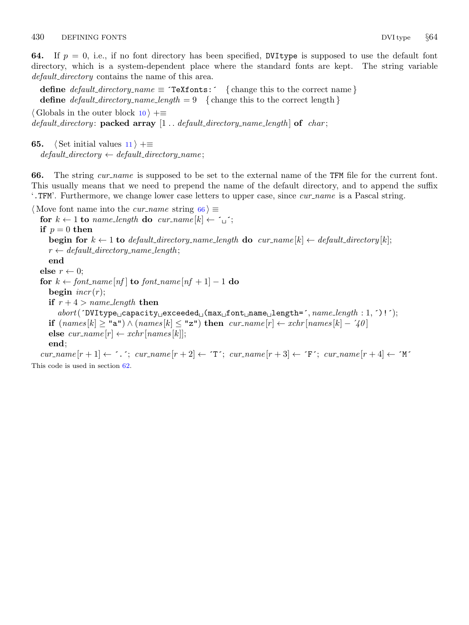<span id="page-29-0"></span>**64.** If  $p = 0$ , i.e., if no font directory has been specified, DVItype is supposed to use the default font directory, which is a system-dependent place where the standard fonts are kept. The string variable default\_directory contains the name of this area.

define  $default\_directory_name \equiv \text{`Textfonts:'} \{ change this to the correct name} \}$ define *default\_directory\_name\_length* = 9 { change this to the correct length }

 $\langle$  Globals in the outer block [10](#page-4-0)  $\rangle$  +≡ default\_directory: packed array  $[1..$  default\_directory\_name\_length of char;

**65.**  $\langle$  Set initial values [11](#page-5-0)  $\rangle$  +≡  $default\_directory \leftarrow default\_directory\_name;$ 

66. The string cur name is supposed to be set to the external name of the TFM file for the current font. This usually means that we need to prepend the name of the default directory, and to append the suffix '.TFM'. Furthermore, we change lower case letters to upper case, since *cur-name* is a Pascal string.

 $\langle$  Move font name into the *cur\_name* string 66  $\rangle \equiv$ for  $k \leftarrow 1$  to name\_length do cur\_name[k]  $\leftarrow \sim$ ; if  $p = 0$  then begin for  $k \leftarrow 1$  to default directory name length do cur name  $[k] \leftarrow$  default directory  $[k]$ ;  $r \leftarrow default\_directory\_name\_length;$ end else  $r \leftarrow 0$ ; for  $k \leftarrow font_name[nf]$  to  $font_name[nf+1] - 1$  do begin  $\text{incr}(r)$ ; if  $r + 4 > name\_length$  then  $abort($   $\text{TVItype\_capacity\_exceeded\_(\text{max\_font\_name\_length}=', \textit{name\_length}: 1, \text{'})!$ ; if  $(names[k] \geq "a") \wedge (names[k] \leq "z")$  then  $cur_name[r] \leftarrow xchr[names[k] - '40]$ else  $cur_name[r] \leftarrow xchr[names[k]];$ end;  $cur_name[r+1] \leftarrow \tilde{\cdot} \tilde{\cdot}$ ;  $cur_name[r+2] \leftarrow \tilde{\cdot} \tilde{\cdot} \tilde{\cdot}$ ;  $cur_name[r+3] \leftarrow \tilde{\cdot} \tilde{\cdot} \tilde{\cdot}$ ;  $cur_name[r+4] \leftarrow \tilde{\cdot} \tilde{\cdot} \tilde{\cdot}$ This code is used in section [62](#page-28-0).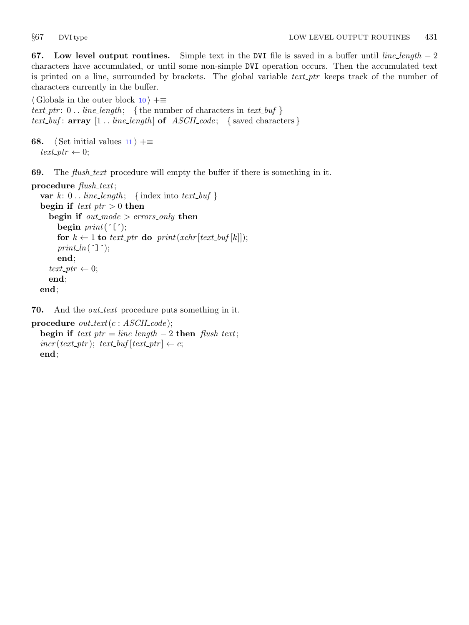<span id="page-30-0"></span>67. Low level output routines. Simple text in the DVI file is saved in a buffer until line length  $-2$ characters have accumulated, or until some non-simple DVI operation occurs. Then the accumulated text is printed on a line, surrounded by brackets. The global variable text ptr keeps track of the number of characters currently in the buffer.

 $\langle$  Globals in the outer block [10](#page-4-0)  $\rangle$  +≡ text\_ptr:  $0$ .. line\_length; {the number of characters in text\_buf} text\_buf:  $array [1..] line_length] of ASCIIcode; {saved characters}$ 

```
68. \langle11 \rangle +≡
  text\_ptr \leftarrow 0;
```
69. The *flush\_text* procedure will empty the buffer if there is something in it.

```
procedure \mathit{fush}\_text{.}var k: 0... line_length; {index into text_buf}
  begin if text\_ptr > 0 then
     begin if out\_mode > errors\_only then
       begin print('[<sub>;</sub>);for k \leftarrow 1 to text_ptr do print(xchr[text_buf[k]]);
       print\_ln( (\cdot]\cdot);
       end;
     text\_ptr \leftarrow 0;end;
  end;
```
70. And the *out\_text* procedure puts something in it.

```
procedure out\_text(c : ASCII\_code);begin if text\_ptr = line_length - 2 then flush\_text;
  incr(text\_ptr); text\_buf[text\_ptr] \leftarrow c;end;
```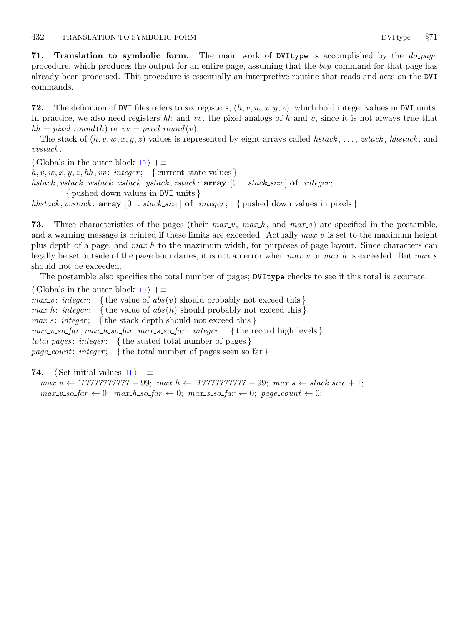<span id="page-31-0"></span>71. Translation to symbolic form. The main work of DVI type is accomplished by the  $do$ -page procedure, which produces the output for an entire page, assuming that the bop command for that page has already been processed. This procedure is essentially an interpretive routine that reads and acts on the DVI commands.

72. The definition of DVI files refers to six registers,  $(h, v, w, x, y, z)$ , which hold integer values in DVI units. In practice, we also need registers hh and vv, the pixel analogs of h and v, since it is not always true that  $hh = pixel_{round}(h)$  or  $vv = pixel_{round}(v)$ .

The stack of  $(h, v, w, x, y, z)$  values is represented by eight arrays called hstack, ..., zstack, hhstack, and vvstack .

 $\langle$  Globals in the outer block [10](#page-4-0)  $\rangle$  +≡

 $h, v, w, x, y, z, hh, vv: integer; \{ current state values \}$ 

hstack, vstack, wstack, xstack, ystack, zstack:  $array \, [0..$  stack\_size  $]$  of integer;

{ pushed down values in DVI units }

hhstack, vvstack:  $\arctan 0$ ... stack\_size of integer; { pushed down values in pixels }

73. Three characteristics of the pages (their  $max_v$ ,  $max_h$ , and  $max_s$ ) are specified in the postamble, and a warning message is printed if these limits are exceeded. Actually  $max_v$  is set to the maximum height plus depth of a page, and  $max_h$  to the maximum width, for purposes of page layout. Since characters can legally be set outside of the page boundaries, it is not an error when  $max_v$  or  $max_h$  is exceeded. But  $max_s$ should not be exceeded.

The postamble also specifies the total number of pages; DVItype checks to see if this total is accurate.

 $\langle$  Globals in the outer block [10](#page-4-0)  $\rangle$  +≡

 $max_v: \text{ integer};$  {the value of  $abs(v)$  should probably not exceed this}  $max_h$ : integer; {the value of  $abs(h)$  should probably not exceed this}  $max_s$ : integer; { the stack depth should not exceed this }  $max_v so_far, max_hso_far, max_sso_far: integer; \{ the record high levels \}$ total pages: integer; { the stated total number of pages} *page\_count: integer*; {the total number of pages seen so far}

74. (Set initial values  $11$ ) +≡

 $max_v \leftarrow '17777777777 - 99; max_h \leftarrow '17777777777 - 99; max_s \leftarrow stack_size + 1;$  $max_v sofar \leftarrow 0; max_h sofar \leftarrow 0; max_s sofar \leftarrow 0; page_count \leftarrow 0;$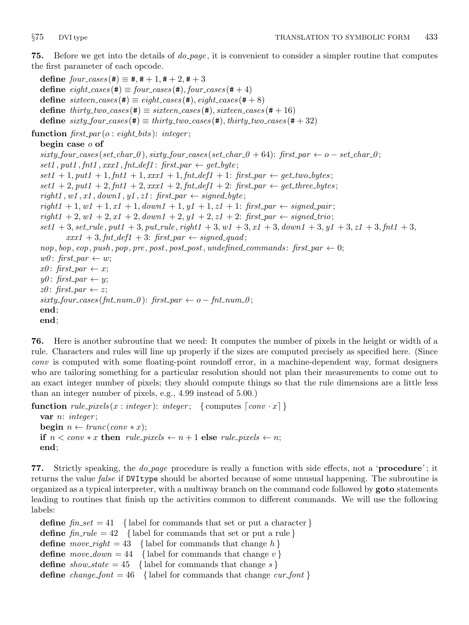<span id="page-32-0"></span>**75.** Before we get into the details of *do\_page*, it is convenient to consider a simpler routine that computes the first parameter of each opcode.

define  $four\_cases$  (#)  $\equiv$  #, # + 1, # + 2, # + 3 define  $eight\_cases (\#) \equiv four\_cases (\#), four\_cases (\# + 4)$ define  $\textit{sitteen}\textit{\_cases}(\texttt{\#}) \equiv \textit{eight}\textit{\_cases}(\texttt{\#}), \textit{eight}\textit{\_cases}(\texttt{\#} + 8)$ define  $thirty\_two\_cases$  (#)  $\equiv$  sixteen cases (#), sixteen cases (# + 16) define  $sixty_four\_cases (\#) \equiv thirty_two\_cases (\#), thirty_two\_cases (\# + 32)$ 

function  $first\_par(o: eight\_bits): integer;$ 

### begin case o of

 $sixty\_four\_cases (set\_char_0), sixty\_four\_cases (set\_char_0 + 64): first\_par \leftarrow o - set\_char_0;$  $set1, put1, fnt1, xxx1, fnt\_def1: first\_par \leftarrow get\_byte;$  $set1 + 1, put1 + 1, fnt1 + 1, xxx1 + 1, fnt\_def1 + 1: first\_par \leftarrow get\_two\_bytes;$  $set1 + 2, put1 + 2, fnt1 + 2, xxx1 + 2, fnt \\ def1 + 2: first par \leftarrow get\_three\_bytes;$  $right1, w1, x1, down1, y1, z1: first\_par \leftarrow signed\_byte;$  $right1 + 1, w1 + 1, x1 + 1, down1 + 1, y1 + 1, z1 + 1: first\_par \leftarrow signed\_pair;$  $right1 + 2, w1 + 2, x1 + 2, down1 + 2, y1 + 2, z1 + 2: first\_par \leftarrow signed\_trio;$  $set1 + 3, set\_rule, put1 + 3, put\_rule, right1 + 3, wt + 3, start + 3, down1 + 3, y1 + 3, z1 + 3, fnt1 + 3,$  $xxx1 + 3, fnt\_def1 + 3: first\_par \leftarrow signed\_quad;$  $nop, bop, cop, push, pop, pre, post, post\_post, undefined\_commands: first\_par \leftarrow 0;$  $w0:$  first\_par  $\leftarrow w;$  $x0:$  first\_par  $\leftarrow x;$  $y0$ : first\_par  $\leftarrow$  y;  $z0$ : first\_par  $\leftarrow$  z;  $sixty\_four\_cases (fnt\_num\_0):$   $first\_par \leftarrow o-fnt\_num\_0;$ end; end;

76. Here is another subroutine that we need: It computes the number of pixels in the height or width of a rule. Characters and rules will line up properly if the sizes are computed precisely as specified here. (Since conv is computed with some floating-point roundoff error, in a machine-dependent way, format designers who are tailoring something for a particular resolution should not plan their measurements to come out to an exact integer number of pixels; they should compute things so that the rule dimensions are a little less than an integer number of pixels, e.g., 4.99 instead of 5.00.)

function  $rule\_pixels(x : integer) : integer;$  {computes  $\lceil conv \cdot x \rceil$ }

```
var n: integer;
begin n \leftarrow trunc(conv * x);if n < conv * x then rule-pixels \leftarrow n + 1 else rule-pixels \leftarrow n;
end;
```
77. Strictly speaking, the *do-page* procedure is really a function with side effects, not a '**procedure**'; it returns the value *false* if DVItype should be aborted because of some unusual happening. The subroutine is organized as a typical interpreter, with a multiway branch on the command code followed by **goto** statements leading to routines that finish up the activities common to different commands. We will use the following labels:

define  $\text{fin}\text{-}set = 41$  { label for commands that set or put a character } define  $\text{fin\_rule} = 42$  { label for commands that set or put a rule } define move-right = 43 { label for commands that change h } define  $move\_down = 44$  { label for commands that change v} define show\_state = 45 { label for commands that change s } **define** change font = 46 { label for commands that change cur font }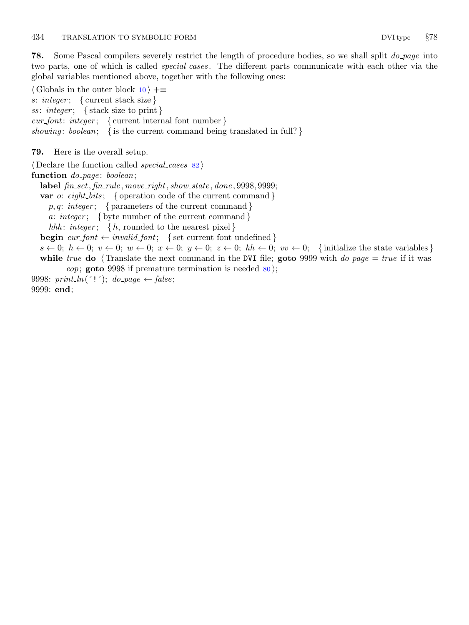<span id="page-33-0"></span>**78.** Some Pascal compilers severely restrict the length of procedure bodies, so we shall split  $do\_{page}$  into two parts, one of which is called *special cases*. The different parts communicate with each other via the global variables mentioned above, together with the following ones:

 $\langle$  Globals in the outer block [10](#page-4-0)  $\rangle$  += s: integer; { current stack size } ss: integer; { stack size to print }  $cur\_font: \ integer; \ \{ current \ internal \ font \ number \}$ showing: boolean; { is the current command being translated in full? }

79. Here is the overall setup.

 $\langle$  Declare the function called *special cases* [82](#page-35-0)  $\rangle$ 

function  $do\_page: boolean;$ 

label  $\emph{fin\_set}, \emph{fin\_rule}, \emph{move\_right}, \emph{show\_state}, \emph{done}, 9998, 9999;$ 

**var** *o*: *eight\_bits*; { operation code of the current command }

 $p, q: integer; \{ parameters of the current command \}$ 

a: integer; { byte number of the current command }

hhh: integer; { $h$ , rounded to the nearest pixel}

**begin**  $\text{cur}\text{-} \text{font} \leftarrow \text{invalid}\text{-} \text{font};$  {set current font undefined }

 $s \leftarrow 0; h \leftarrow 0; v \leftarrow 0; w \leftarrow 0; x \leftarrow 0; y \leftarrow 0; kh \leftarrow 0; vv \leftarrow 0;$  {initialize the state variables} while true do (Translate the next command in the DVI file; goto 9999 with  $do\_{page} = true$  if it was eop; goto 9998 if premature termination is needed  $\{80\}$  $\{80\}$  $\{80\}$ ;

9998:  $print\_ln('!)$ ;  $do\_page \leftarrow false$ ; 9999: end;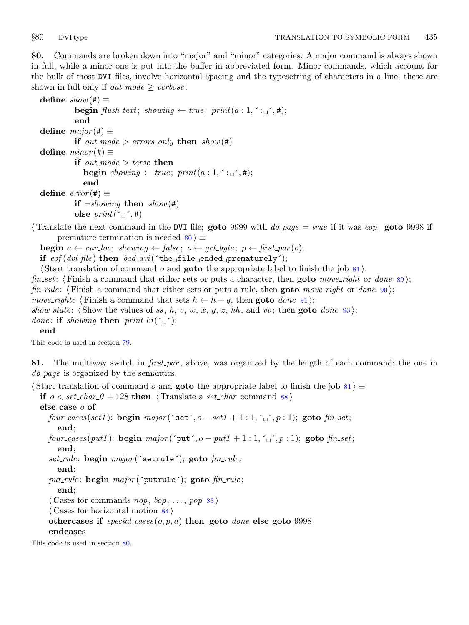<span id="page-34-0"></span>80. Commands are broken down into "major" and "minor" categories: A major command is always shown in full, while a minor one is put into the buffer in abbreviated form. Minor commands, which account for the bulk of most DVI files, involve horizontal spacing and the typesetting of characters in a line; these are shown in full only if *out\_mode*  $\ge$  *verbose*.

```
define show(\#) \equivbegin flush_text; showing \leftarrow true; print(a:1, \lceil \cdot, \ldots \rceil; \#);end
define major(\#) \equivif out_mode > errors_only then show(\#)define minor (#) \equivif out_mode > terse then
             begin showing \leftarrow true; print(a:1, : \text{--}, *);end
define error(\#) \equivif \neg showing then show(#)
```
else  $print(\ulcorner \_ \cdot, \#)$ 

Translate the next command in the DVI file; goto 9999 with  $do\_{page} = true$  if it was eop; goto 9998 if premature termination is needed  $80 \ge$ 

**begin**  $a \leftarrow cur\_loc$ ; showing  $\leftarrow false$ ;  $o \leftarrow get\_byte$ ;  $p \leftarrow first\_par(o)$ ;

if  $eof (dv i$ -file) then  $bad\_dv i$  ('the file ended prematurely');

 $\{\text{Start translation of command } o \text{ and **goto** the appropriate label to finish the job 81};\}$ 

fin set: (Finish a command that either sets or puts a character, then **goto** move right or done [89](#page-38-0));

fin rule: (Finish a command that either sets or puts a rule, then **goto** move right or done [90](#page-38-0));

move\_right:  $\langle$  Finish a command that sets  $h \leftarrow h + q$ , then goto done [91](#page-39-0) $\rangle$ ;

show\_state:  $\langle$  Show the values of ss, h, v, w, x, y, z, hh, and vv; then **goto** done [93](#page-40-0) $\rangle$ ;

*done:* if showing then  $print\_ln(\tilde{\ }_i)$ ;

#### end

This code is used in section [79](#page-33-0).

81. The multiway switch in  $first-par$ , above, was organized by the length of each command; the one in do *page* is organized by the semantics.

 $\text{Start translation of command } o \text{ and **goto** the appropriate label to finish the job 81 } ≡$ if  $o < set_{char\_0} + 128$  then (Translate a set char command [88](#page-37-0)) else case o of four cases (set1): begin major (´set´,  $o-set1 + 1:1, '$ ; `, p: 1); goto fin set; end; four cases (put1): begin major ( $\text{put}^2$ ,  $o - put1 + 1$ : 1,  $\text{or}^2$ , p: 1); goto fin set; end; set\_rule: begin  $major('setrule');$  goto  $fin\_rule;$ end; put\_rule: begin  $major('putrule');$  goto  $fin\_rule;$ end;  $\langle$  Cases for commands *nop*, *bop*, ..., *pop* [83](#page-36-0) $\rangle$  $\langle$  Cases for horizontal motion [84](#page-36-0) $\rangle$ othercases if  $special\_cases(o, p, a)$  then goto *done* else goto 9998 endcases This code is used in section 80.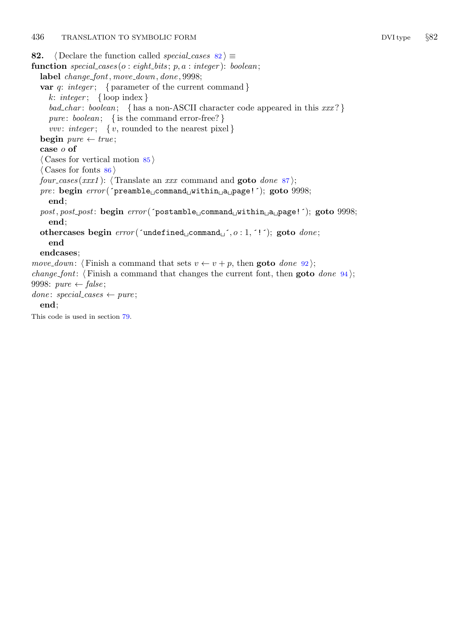```
82. \langle Declare the function called special cases 82\rangle \equivfunction special cases (o: eight\_bits; p, a: integer): boolean;label change_font, move_down, done, 9998;
  var q: integer; { parameter of the current command }
    k: integer; { loop index }
    bad_char: boolean; { has a non-ASCII character code appeared in this xxx?}
    pure: boolean; { is the command error-free? }
    vvv: integer; { v, rounded to the nearest pixel }
  begin pure \leftarrow true;case o of
  \langle85 \rangle\langle86 \ranglefour cases (xxx1): \langle Translate an xxx command and goto done87\rangle;
  pre: begin error ('preamble command within a page!'); goto 9998;
    end;
  post, post_post: begin error('postamble<sub>u</sub>command<sub>u</sub>within<sub>u</sub>a<sub>u</sub>page!'); goto 9998;
    end;
  othercases begin error('undefined_1 + c.m. \dots, c : 1, '!'); goto done;end
  endcases;
move_down: (Finish a command that sets v \leftarrow v + p92);
change font: \langle Finish a command that changes the current font, then goto94\rangle;
9998: pure \leftarrow false;done: special\_cases \leftarrow pure;end;
```
This code is used in section [79](#page-33-0).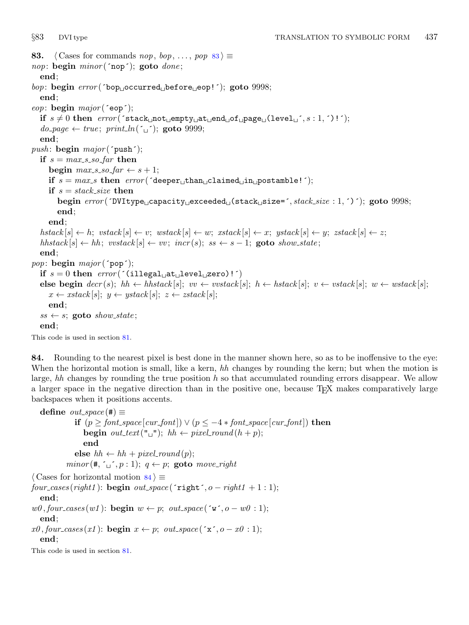```
83. \langle Cases for commands nop, bop, ..., pop 83\rangle \equivnop: begin minor(\texttt{`nop'}); goto done;end;
bop: begin error('bop<sub>U</sub>occurred<sub>U</sub>before<sub>U</sub>eop!'); goto 9998;
  end;
eop: begin major (\epsilonop\epsilon);
  if s \neq 0 then error(\text{'}stack\_not \text{'}=empty \text{'}\text{'}=end \text{'}\text{'}=space \text{'}(level \text{'}', s : 1, ^{\prime})!do\_page \leftarrow true; print\_ln('_1'); goto 9999;
  end;
push: \text{begin }map;
  if s = max_s so far then
     begin max_s so far \leftarrow s + 1;
     if s = max_s then error('deeper_U than_U claimed_U in_U postamble!);
     if s = stack\_size then
        begin error('DVItype_U capacity_Uexceeded_U(stack_Usize=', stack_size:1,')'); goto 9998;
        end;
     end;
  hstack[s] \leftarrow h; \text{ vstack}[s] \leftarrow v; \text{ wstack}[s] \leftarrow w; \text{ xstack}[s] \leftarrow x; \text{ ystack}[s] \leftarrow y; \text{ zstack}[s] \leftarrow z;hhstack [s] \leftarrow hh; vvstack [s] \leftarrow vv; incr(s); ss \leftarrow s - 1; goto show state;
  end;
pop: begin major('pop');if s = 0 then error('i1legal<sub>u</sub>ate<sub>u</sub>level<sub>u</sub>zero)!)else begin decr(s); hh ← hhstack [s]; vv \leftarrow vvstack[s]; h ← hstack [s]; v \leftarrow vstack[s]; w \leftarrow wstack[s];
     x \leftarrow xstack[s]; y \leftarrow ystack[s]; z \leftarrow xstack[s];end;
  ss \leftarrow s; goto show_state;
  end;
```
This code is used in section [81](#page-34-0).

84. Rounding to the nearest pixel is best done in the manner shown here, so as to be inoffensive to the eye: When the horizontal motion is small, like a kern, hh changes by rounding the kern; but when the motion is large, hh changes by rounding the true position h so that accumulated rounding errors disappear. We allow a larger space in the negative direction than in the positive one, because T<sub>E</sub>X makes comparatively large backspaces when it positions accents.

define  $out\_space(\#) \equiv$ if  $(p \geq$  font\_space  $[cur\_font] \vee (p \leq -4 * font\_space[cur\_font])$  then **begin**  $out\_text("_"); hh \leftarrow pixel\_round(h + p);$ end else  $hh \leftarrow hh + pixel_{round}(p);$  $minor (\#, \lceil \cdot \rceil, p : 1); q \leftarrow p;$  goto move\_right  $\langle$  Cases for horizontal motion 84 $\rangle \equiv$  $four\text{-}cases(right1): \text{begin } out\text{-}space(\text{right}^{\prime}, o-right1 + 1:1);$ end;  $w\theta$ , four\_cases (w1): **begin**  $w \leftarrow p$ ; out\_space ( $\infty$ , o – w $\theta$ :1); end;  $x\theta$ , four\_cases(x1): begin  $x \leftarrow p$ ; out\_space('x', o - x $\theta$  : 1); end;

This code is used in section [81](#page-34-0).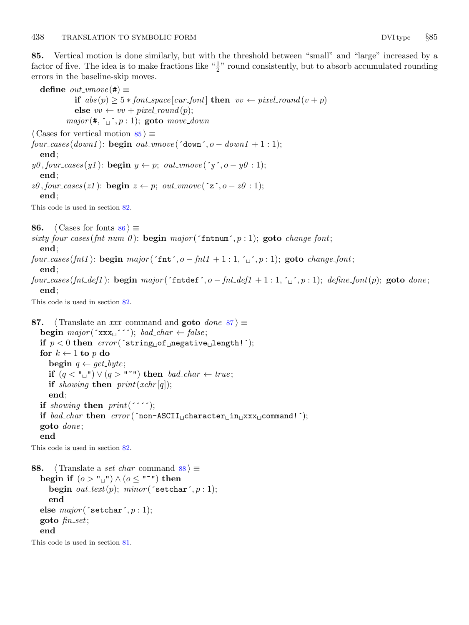<span id="page-37-0"></span>85. Vertical motion is done similarly, but with the threshold between "small" and "large" increased by a factor of five. The idea is to make fractions like  $\frac{4}{2}$ " round consistently, but to absorb accumulated rounding errors in the baseline-skip moves.

define  $out\_vmove$  (#)  $\equiv$ if  $abs(p) \geq 5 * font-space[cur\_font]$  then  $vv \leftarrow pixel-round(v + p)$ else  $vv \leftarrow vv + pixel_{round}(p);$  $major(\#, \lq \lq, p:1);$  goto move\_down  $\langle$  Cases for vertical motion 85  $\rangle \equiv$  $four\_\text{cases}(down1)$ : begin out\_vmove('down',  $o - down1 + 1$ : 1); end;  $y\theta$ , four\_cases(y1): **begin**  $y \leftarrow p$ ; out\_vmove('y', o - y0 : 1); end;  $z\theta$ , four\_cases(z1): **begin**  $z \leftarrow p$ ; out\_vmove( $z^2$ , o -  $z\theta$  : 1); end; This code is used in section [82](#page-35-0). 86.  $\langle$  Cases for fonts 86  $\rangle \equiv$  $sixty_four\_cases (fnt_number p)$ : begin major ('fntnum', p : 1); goto change font; end; four cases (fnt1): begin major (´fnt´, o – fnt1 + 1 : 1, ´, `, p : 1); goto change font; end; four cases (fnt def1): begin major (´fntdef´, o – fnt def1 + 1 : 1, ´, `, p : 1); define font(p); goto done; end; This code is used in section [82](#page-35-0). 87.  $\langle$  Translate an xxx command and goto *done* 87 i ≡ begin  $major(\lceil \text{xxx}_{\sqcup} \rceil)$ ; bad\_char  $\leftarrow false$ ; if  $p < 0$  then  $error('string\_\of\_negative\_\lceil length!~');$ for  $k \leftarrow 1$  to p do begin  $q \leftarrow get\_byte$ ; if  $(q < "u"') \lor (q > "''")$  then bad\_char  $\leftarrow true$ ; if showing then  $print(xchr[q])$ ; end; if showing then  $print('$ if bad\_char then error (´non-ASCII<sub>⊔</sub>character<sub>⊔</sub>in<sub>⊔</sub>xxx<sub>⊔</sub>command!´); goto done ; end This code is used in section [82](#page-35-0). 88.  $\langle$  Translate a *set\_char* command 88  $\rangle \equiv$ begin if  $(o > "u") \wedge (o \leq "v")$  then begin  $out\_text(p);$  minor ('setchar',  $p:1);$ end

goto  $\mathit{fin}\_set$ ; end

This code is used in section [81](#page-34-0).

else  $major('setchar', p : 1);$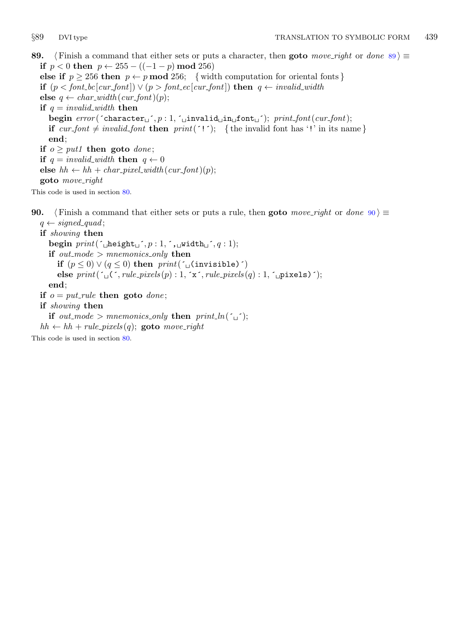<span id="page-38-0"></span>89. (Finish a command that either sets or puts a character, then goto move right or done 89)  $\equiv$ if  $p < 0$  then  $p \leftarrow 255 - ((-1 - p) \mod 256)$ else if  $p \ge 256$  then  $p \leftarrow p \mod 256$ ; { width computation for oriental fonts } if  $(p < font\_bc[cur\_font]) \vee (p > font\_ec[cur\_font])$  then  $q \leftarrow invalid\_width$ else  $q \leftarrow char\_width(cur\_font)(p);$ if  $q = invalid\_width$  then begin  $error(\text{`character}_j', p : 1, \text{`_unvalid}_\text{u} \text{ind}_j, \text{`s})$ ;  $printscript{`}$ ;  $print{\text{`} (cur{\text{`} f} \text{ord})}$ ; if cur font  $\neq$  invalid font then print( $'$ !'); { the invalid font has '!' in its name } end; if  $o \geq put1$  then goto *done*; if  $q = invalid\_width$  then  $q \leftarrow 0$ else  $hh \leftarrow hh + char\_pixel\_width(cur\_font)(p);$ goto move right

This code is used in section [80](#page-34-0).

90. (Finish a command that either sets or puts a rule, then goto move\_right or done 90)  $\equiv$  $q \leftarrow signed\_quad;$ 

if showing then begin  $print('$ <sub> $\omega$ </sub>height $\omega$ <sup> $\cdot$ </sup>,  $p : 1, \tilde{\cdot}$ ,  $\omega$ vidth $\omega$  $\tilde{\cdot}$ ,  $q : 1)$ ; if out\_mode > mnemonics\_only then if  $(p \leq 0) \vee (q \leq 0)$  then  $print('$ <sub> $\cup$ </sub>(invisible)') else  $print(\ulcorner \lrcorner (\ulcorner, rule\_pixels(p) : 1, \ulcorner x \urcorner, rule\_pixels(q) : 1, \ulcorner \lrcorner pixels) \urcorner);$ end; if  $o = put\_rule$  then goto done; if showing then if out\_mode > mnemonics\_only then  $print\_ln($ <sup>'</sup>  $hh \leftarrow hh + rule\_pixels(q);$  goto move\_right

This code is used in section [80](#page-34-0).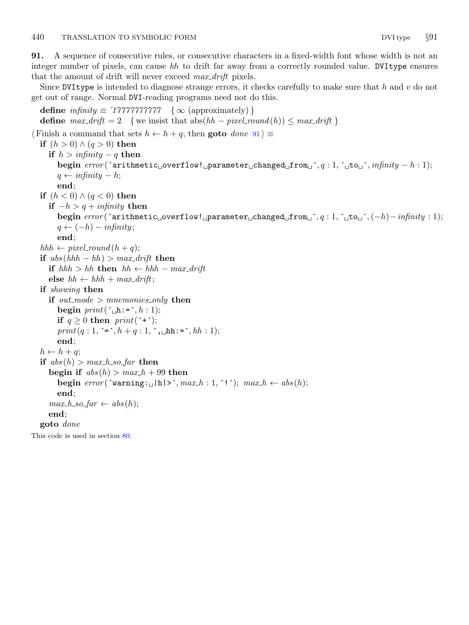<span id="page-39-0"></span>91. A sequence of consecutive rules, or consecutive characters in a fixed-width font whose width is not an integer number of pixels, can cause hh to drift far away from a correctly rounded value. DVItype ensures that the amount of drift will never exceed *max\_drift* pixels.

Since DVItype is intended to diagnose strange errors, it checks carefully to make sure that h and  $v$  do not get out of range. Normal DVI-reading programs need not do this.

```
define \text{infinity} \equiv \text{1777777777} \quad \{ \infty \text{ (approximately)} \}define max\_drift = 2 {we insist that abs(hh - pixel\_round(h)) \leq max\_drift }
\langle Finish a command that sets h \leftarrow h + q, then goto done 91 \equivif (h > 0) \wedge (q > 0) then
     if h > infinity – q then
        begin error('arithmetic<sub>u</sub>overflow!_i parameter uc{char}<sub>1</sub>, form_u^{'}, q: 1, \tilde{}_{u}to_u^{'}, infinity-h:1);q \leftarrow \text{infinity} - h;end;
  if (h < 0) \wedge (q < 0) then
     if -h > q + infinity then
        begin error(\text{`arithmetic\_overflow!}\_\text{p} \text{parameter\_changed\_from}\_\text{j`}, q : 1, \text{`}_\text{ub} \text{`}, (-h) -infinity : 1);q \leftarrow (-h) - \text{infinity};end;
  hhh \leftarrow pixel_{round}(h+q);if abs(hhh-hh) > max-drift then
     if hhh > hh then hh \leftarrow hhh - max\_driftelse hh \leftarrow hhh + max-drift;if showing then
     if out_mode > mnemonics_only then
        begin print(\ulcorner\Box h:=\ulcorner, h: 1);if q \geq 0 then print(***);
        print(q:1, =^{\text{'}}, h + q:1, ^{\text{'}}, \text{th}: =^{\text{'}}, hh:1);end;
  h \leftarrow h + q;
  if abs(h) > max_h so far then
     begin if abs(h) > max_h + 99 then
        begin error(\text{varning:} \Box \Box h | \geq \text{max} \Box h : 1, \text{ } ' \text{ } \Box); \text{ max} \Box h \leftarrow abs(h);end;
     max_h so far \leftarrow abs(h);end;
  goto done
```
This code is used in section [80](#page-34-0).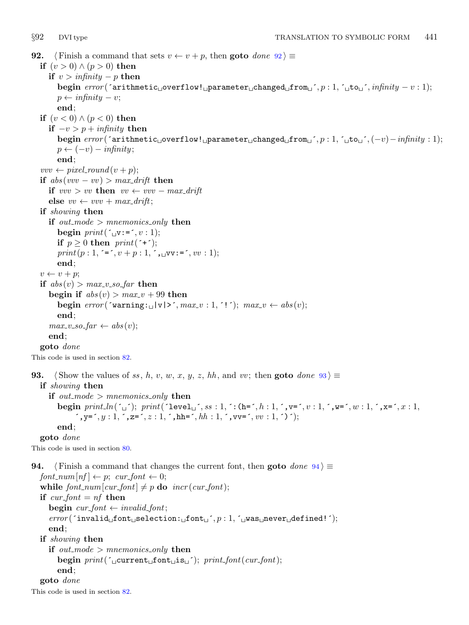```
92. \langle Finish a command that sets v \leftarrow v + p, then goto done 92 \rangle \equivif (v > 0) \wedge (p > 0) then
      if v > infinity – p then
         begin error('arithmetic<sub>U</sub>overflow!_1parameter<sub>U</sub>changed<sub>U</sub>from<sub>U</sub>', p : 1, 'uto<sub>U</sub>', infinity - v : 1);p \leftarrow \text{infinity} - v;end;
   if (v < 0) \wedge (p < 0) then
      if -v > p + infinity then
         begin error(\text{`arithmetic\_overflow!}\_\text{p}arameter\text{``changed\_from}\_\text{'}, p: 1, ´\text{``to}\_\text{'}, (-v) - infinity : 1);
         p \leftarrow (-v) - \text{infinity};end;
   vvv \leftarrow pixel_{round}(v + p);if abs(vv - vv) > max\_drift then
      if vvv > vv then vv \leftarrow vvv - max\_driftelse vv \leftarrow vvv + max\_drift;if showing then
      if out\_mode > mnemonics\_only then
         begin print('_Uv:=', v: 1);if p \geq 0 then print(\tau^*);
         print(p:1, =^{\text{'}}, v + p:1, ^{\text{'}}, \text{uv}: =^{\text{'}}, vv:1);end;
   v \leftarrow v + p;if abs(v) > max_v~ so~ far~ thenbegin if abs(v) > max_v + 99 then
         begin error('warning:_{\Box} |v| >^r, max_{\Box} v : 1, '!^r); max_{\Box} v \leftarrow abs(v);end;
      max_v\text{.}so\text{.}far \leftarrow abs(v);end;
   goto done
This code is used in section 82.
93. Show the values of ss, h, v, w, x, y, z, hh, and vv; then goto done 93 \geif showing then
      if out_mode > mnemonics_only then
         begin \text{print\_ln}(\text{`}_\sqcup\text{'}); \text{print}(\text{`level}_\sqcup\text{'},\text{ss}\text{:}1,\text{'}:(\text{h}=\text{'},h\text{:}1,\text{'},\text{v}=\text{'},v\text{:}1,\text{'},\text{w}=\text{'},w\text{:}1,\text{'},\text{x}=\text{'},x\text{:}1,\mathbf{y} = \hat{y}, y = 1, \hat{z} = \hat{z} = 1, \hat{z} = 1, \hat{z} = 1, \hat{z} = 1, \hat{z} = 1, \hat{z} = 1, \hat{z} = 1; \mathbf{y} = \hat{z} = 1, \mathbf{y} = \hat{z} = 1, \mathbf{y} = \hat{z} = 1, \mathbf{y} = \hat{z} = 1, \mathbf{y} = \hat{z} = 1, \mathbf{y} = \hat{z} = 1, \mathbf{y} = \hat{z} =end;
   goto done
This code is used in section 80.
94. (Finish a command that changes the current font, then goto done 94) \equivfont_{num}[nf] \leftarrow p; \; cur\_font \leftarrow 0;while font\_num[cur\_font] \neq p do \text{incr}(cur\_font);
   if cur\_font = nf then
      begin cur_font \leftarrow invalid_font;
      error( 'invalid font selection: font , p : 1, \infty was never defined! ');
      end;
   if showing then
      if out_mode > mnemonics_only then
         begin print(\text{current}_\text{u}font \text{start}_i); printfont (\text{current});end;
   goto done
This code is used in section 82.
```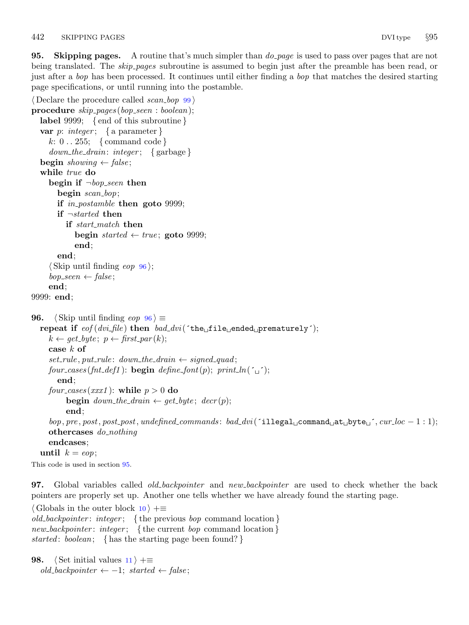<span id="page-41-0"></span>**95.** Skipping pages. A routine that's much simpler than  $do$ -page is used to pass over pages that are not being translated. The *skip pages* subroutine is assumed to begin just after the preamble has been read, or just after a bop has been processed. It continues until either finding a bop that matches the desired starting page specifications, or until running into the postamble.

```
\langle Declare the procedure called scan_bop99\rangleprocedure skip_{skip10pt} kip_gges(bop_label 9999; {end of this subroutine}
  var p: integer; { a parameter }
     k: 0...255; \{command code\}down\_the\_drain: integer; \{ garbage\}begin showing \leftarrow false;
  while true do
     begin if \neg\mathit{bop}-seen then
        begin scan\_loop;
       if in postamble then goto 9999;
       if \neg started then
          if start_match then
             begin started \leftarrow true; goto 9999;
             end;
        end;
     \langle Skip until finding eop 96\rangle;
     bop\_seen \leftarrow false;
     end;
9999: end;
96. \langle Skip until finding eop 96 \rangle \equivrepeat if \epsilon eof (dvi_file) then \deltaad_dvi (\epsilon the \epsilon file \epsilon ended prematurely\epsilon);
     k \leftarrow get\_byte; p \leftarrow first\_par(k);case k of
     set_{rule}, put_rule: down_the_drain \leftarrow signed_quad;
     four_cases (fnt_def1): begin define_font(p); print_ln(\simend;
     four\_cases(xxx1): while p > 0 do
          begin down_the_drain \leftarrow get_byte; decr(p);
          end;
     bop, pre, post, post-post, undefined_{commands:}{}'bad\_divi (`illegal<sub>u</sub>command<sub>u</sub>at<sub>u</sub>byte<sub>u</sub>', cur loc − 1 : 1);
     othercases do nothing
     endcases;
  until k = e^{i\theta};
This code is used in section 95.
```
97. Global variables called *old\_backpointer* and *new\_backpointer* are used to check whether the back pointers are properly set up. Another one tells whether we have already found the starting page.

 $\langle$  Globals in the outer block [10](#page-4-0)  $\rangle$  +≡ old backpointer: integer; {the previous bop command location} new\_backpointer: integer; {the current bop command location} started: boolean; { has the starting page been found?}

```
98. \langle Set initial values 11 \rangle +≡
   old\_backpointer \leftarrow -1; started \leftarrow false;
```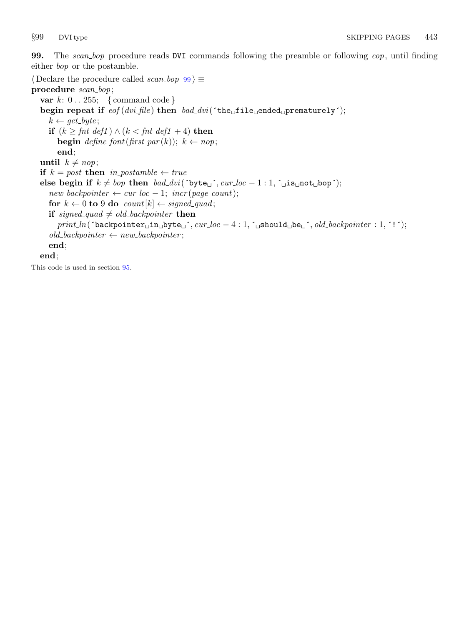<span id="page-42-0"></span>99. The scan bop procedure reads DVI commands following the preamble or following eop, until finding either bop or the postamble.

```
\langle Declare the procedure called scan_bop \vert 99\rangle \equivprocedure scan_bop;
  var k: 0...255; \{command code\}begin repeat if eof (dv i-file) then bad-dvi(\text{`the}\text{`file}\text{`}ended prematurely');
     k \leftarrow get\_byte;if (k \geq fnt\_def1) \land (k < fnt\_def1 + 4) then
        begin define_font(first_par(k)); k \leftarrow nop;
        end;
  until k \neq n \circ p;
  if k = post then in postamble \leftarrow trueelse begin if k \neq bop then bad\_divi(´byte\Box´, cur loc - 1 : 1, ´\Boxis\Boxnot\Boxbop´);
     new\text{-}backpointer \leftarrow cur\text{-}loc - 1;~incr(\text{-}page\text{-}count);for k \leftarrow 0 to 9 do count [k] \leftarrow signed\_quad;if signed quad \neq old backpointer then
        print\_ln(`backpointer_iin_ibyte_i´, cur\_loc - 4 : 1, ´_ishould_ibe_i´, old\_backpointer : 1, '!´);
     old\_backpointer \leftarrow new\_backpointer;end;
  end;
```
This code is used in section [95](#page-41-0).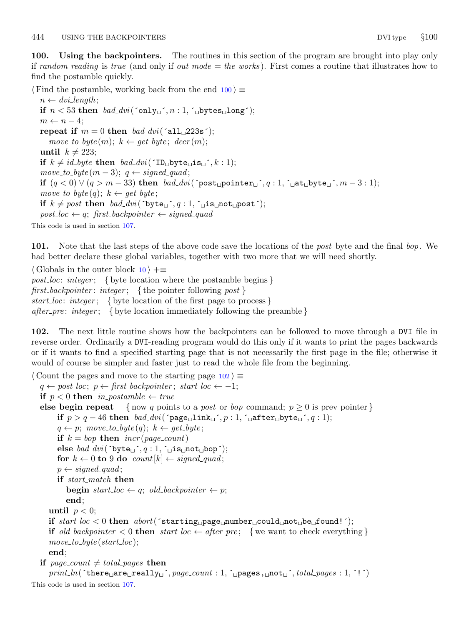<span id="page-43-0"></span>100. Using the backpointers. The routines in this section of the program are brought into play only if random reading is true (and only if out mode  $=$  the works). First comes a routine that illustrates how to find the postamble quickly.

 $\langle$  Find the postamble, working back from the end 100  $\rangle \equiv$  $n \leftarrow \text{div} \cdot \text{length};$ if  $n < 53$  then  $bad\_dvi$  ('only<sub>1</sub>',  $n:1$ , ' $\lnot$ bytes $\lnot$ long');  $m \leftarrow n-4$ ; repeat if  $m = 0$  then  $bad\_dvi$  ( $\text{all } 223s$ );  $move\_to\_byte(m); k \leftarrow get\_byte; decr(m);$ until  $k \neq 223$ ; if  $k \neq id\_byte$  then  $bad\_divi$  ( $\text{ID}_{\sqcup}$ byte $\sqcup$ is $\sqcup$ , k: 1);  $move\_to\_byte(m-3); q \leftarrow signed\_quad;$ if  $(q < 0) \vee (q > m - 33)$  then  $bad\_dvi$  ( ${\rm post\_pointer\_}$ , q:1,  ${\rm i}$  at  ${\rm b}$ yte  ${\rm i}$ ,  $m-3:1$ );  $move\_to\_byte(q); k \leftarrow get\_byte;$ if  $k \neq post$  then  $bad\_divi('byte\_', q : 1, ' _\cup is \text{__not\_post'});$  $post\_loc \leftarrow q$ ; first\_backpointer  $\leftarrow signed\_quad$ This code is used in section [107.](#page-46-0)

101. Note that the last steps of the above code save the locations of the post byte and the final bop. We had better declare these global variables, together with two more that we will need shortly.

 $\langle$  Globals in the outer block [10](#page-4-0)  $\rangle$  +≡ post loc: integer; { byte location where the postamble begins } first\_backpointer: integer; { the pointer following post } start loc: integer; { byte location of the first page to process } after pre: integer; { byte location immediately following the preamble }

102. The next little routine shows how the backpointers can be followed to move through a DVI file in reverse order. Ordinarily a DVI-reading program would do this only if it wants to print the pages backwards or if it wants to find a specified starting page that is not necessarily the first page in the file; otherwise it would of course be simpler and faster just to read the whole file from the beginning.

 $\langle$  Count the pages and move to the starting page  $102$   $\equiv$  $q \leftarrow post\_loc; p \leftarrow first\_backpointer; start\_loc \leftarrow -1;$ if  $p < 0$  then in postamble  $\leftarrow$  true else begin repeat { now q points to a post or bop command;  $p \geq 0$  is prev pointer } if  $p > q - 46$  then bad\_dvi(´page link j, p: 1, ´ after byte j, q: 1);  $q \leftarrow p$ ; move\_to\_byte(q);  $k \leftarrow get\_byte$ ; if  $k = loop$  then  $incr(page\_count)$ else  $bad\_dvi$  ( $\text{byte}_{\Box}$ , q: 1,  $\Box$ is $\Box$ not $\Box$ bop'); for  $k \leftarrow 0$  to 9 do count  $[k] \leftarrow signed\_quad;$  $p \leftarrow signed\_quad;$ if start\_match then **begin** start\_loc  $\leftarrow q$ ; old\_backpointer  $\leftarrow p$ ; end; until  $p < 0$ ; if  $start\_loc < 0$  then  $abort('starting \sqcup page \sqcup number \sqcup could \sqcup not \sqcup be \sqcup found!)$ ; if old backpointer  $\lt 0$  then start loc  $\leftarrow$  after pre; { we want to check everything }  $move\_to\_byte{\text{}}(start\_loc);$ end; if page\_count  $\neq$  total pages then  $print\_ln(\text{`there\_are\_really\_', page\_count : 1, \text{`upages}, \text{__not\_',} total\_pages : 1, '!')$ This code is used in section [107.](#page-46-0)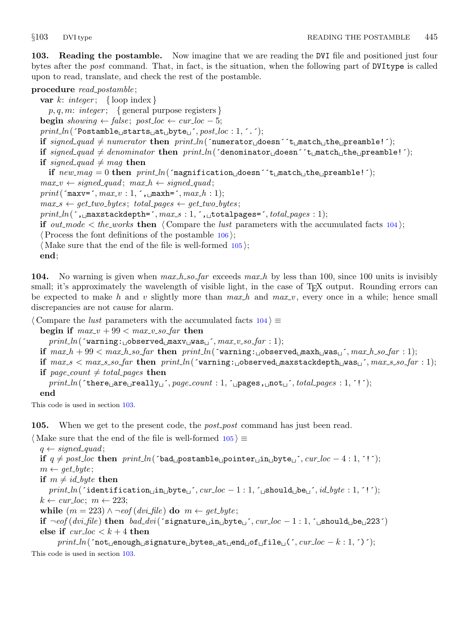<span id="page-44-0"></span>103. Reading the postamble. Now imagine that we are reading the DVI file and positioned just four bytes after the *post* command. That, in fact, is the situation, when the following part of DVItype is called upon to read, translate, and check the rest of the postamble.

#### procedure read\_postamble;

var k: integer; { loop index }  $p, q, m: integer; \{ general purpose registers\}$ **begin** showing  $\leftarrow$  false; post\_loc  $\leftarrow$  cur\_loc  $-5$ ;  $print\_ln($  Tostamble $_{\sqcup}$ starts $_{\sqcup}$ at $_{\sqcup}$ byte $_{\sqcup}$ ',  $post\_loc : 1,$ ''); if signed quad  $\neq$  numerator then print ln( $\lceil \text{numerator}_\text{u} \text{does} \rceil \leq \text{t}_\text{u}$ match  $\lceil \text{the}_\text{u} \text{preamble!'} \rceil$ ; if  $signed\_quad \neq denominator$  then  $print\_ln($  denominator doesn  $\leq$  t $_{\sqcup}$ match  $_{\sqcup}$ the  $_{\sqcup}$ preamble! $\leq$ ); if signed quad  $\neq$  mag then if  $new_mag = 0$  then  $print\_ln('magnification \text{ } does \text{ } not \text{ } t \text{ } \text{ } must \text{ } ch \text{ } t \text{ } the \text{ } {} \text{ } present \text{ } let '$ ;  $max_v \leftarrow signed\_quad; max_h \leftarrow signed\_quad;$  $print('maxv=', max_v : 1, ', \text{maxh=}', max.h : 1);$  $max_s \leftarrow get\_two\_bytes; total\_pages \leftarrow get\_two\_bytes;$  $print\_ln($ ,  $\text{maxstackdepth=}$ ,  $max\_s : 1,$ ,  $\text{totalpages=}$ ,  $total\_pages : 1);$ if out mode  $\lt$  the works then  $\langle$  Compare the lust parameters with the accumulated facts 104 $\rangle$ ;  $\langle$  Process the font definitions of the postamble [106](#page-45-0) $\rangle$ ;  $\langle$  Make sure that the end of the file is well-formed 105 $\rangle$ ; end;

104. No warning is given when  $max_h$  so far exceeds  $max_h$  by less than 100, since 100 units is invisibly small; it's approximately the wavelength of visible light, in the case of T<sub>E</sub>X output. Rounding errors can be expected to make h and v slightly more than  $max_h$  and  $max_v$ , every once in a while; hence small discrepancies are not cause for alarm.

 $\langle$  Compare the *lust* parameters with the accumulated facts  $104 \rangle \equiv$ 

begin if  $max_v + 99 < max_v \cdot so_{\text{f}}ar$  then

 $print\_ln($  'warning: observed  $maxv \sqcup was \sqcup$ ',  $max_v \sqcup so\_far : 1$ );

if max h + 99 < max h so far then print ln(´warning: observed maxh was ´, max h so far : 1);

if  $max_s < max_{s=0}$  far then  $print\_ln$  ('warning:  $\log$ observed  $\maxstack{depth_{\text{U}}}{s_{\text{U}}}$ ,  $max_{s=0}$  far : 1);

if page\_count  $\neq$  total pages then

```
print\_ln( (there are really \sim, page count : 1, \sim pages, \sim not \sim, total pages : 1, \sim ');
```
end

This code is used in section 103.

105. When we get to the present code, the *post-post* command has just been read.

 $\langle$  Make sure that the end of the file is well-formed  $105 \rangle \equiv$ 

 $q \leftarrow signed\_quad;$ if  $q \neq post\_loc$  then  $print\_ln($  `bad postamble pointer in byte  $\checkmark$ , cur loc − 4 : 1, ´!´);  $m \leftarrow get\_byte;$ if  $m \neq id$  byte then  $print\_ln($  identification  $\text{min}_\text{u}$ byte $\text{min}_\text{u}$ ,  $cur\_loc - 1 : 1$ ,  $\text{min}_\text{u}$ should  $\text{min}_\text{u}$ ,  $id\_byte : 1, '!$ ;  $k \leftarrow cur\_loc; m \leftarrow 223;$ while  $(m = 223) \wedge \neg \text{eof} (\text{dvi}\text{-file})$  do  $m \leftarrow \text{get}\text{-byte};$ if  $\neg\text{cof}(div\text{.file})$  then  $bad\text{.div}(\text{`signature}\text{.in}\text{.byte}\text{.}, cur\text{.loc} - 1 : 1, \text{`}_\text{.in}$ should $_\text{.in}$ be $_\text{.223}$ ´) else if  $cur\_loc < k+4$  then  $\mathit{print\_ln}(\texttt{'not\_enough\_signature\_bytes\_at\_end\_of\_file\_(\texttt{',} \mathit{cur\_loc} - k : 1, \texttt{'})');$ This code is used in section 103.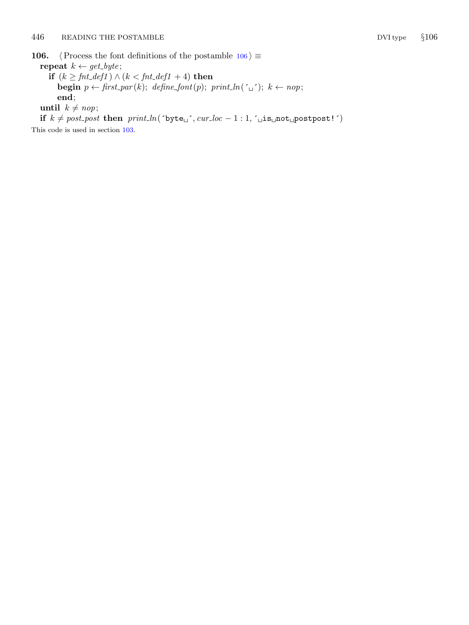<span id="page-45-0"></span>106.  $\langle$  Process the font definitions of the postamble 106  $\rangle \equiv$ repeat  $k \leftarrow get\_byte;$ 

if  $(k \geq fnt\_def1) \wedge (k < fnt\_def1 + 4)$  then **begin**  $p \leftarrow \text{first\_par}(k)$ ; define\_font(p); print\_ln('\_\_'); k  $\leftarrow$  nop; end;

until  $k \neq n \circ p$ ;

if  $k \neq post\_post$  then  $print\_ln('byte\_', cur\_loc - 1 : 1, '\_is\_not\_postpost!')$ 

This code is used in section [103.](#page-44-0)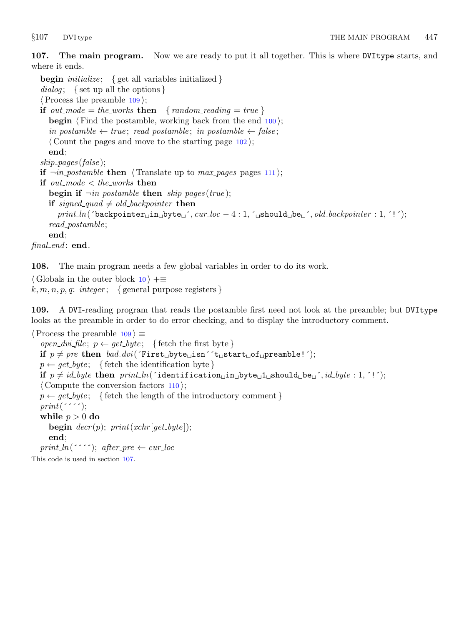<span id="page-46-0"></span>107. The main program. Now we are ready to put it all together. This is where DVItype starts, and where it ends.

**begin** *initialize*; { get all variables initialized } dialog; { set up all the options }  $\langle$  Process the preamble 109 $\rangle$ ; if out mode = the works then { random reading = true } **begin**  $\langle$  Find the postamble, working back from the end [100](#page-43-0) $\rangle$ ;  $in\_postample \leftarrow true; read\_postample; in\_postample \leftarrow false;$  $\langle$  Count the pages and move to the starting page [102](#page-43-0) $\rangle$ ; end; skip pages (false ); if  $\neg in\_postample$  then (Translate up to max pages pages [111](#page-47-0)); if out\_mode  $<$  the\_works then begin if  $\neg$ *in\_postamble* then skip\_pages(true); if signed quad  $\neq$  old backpointer then  $print\_ln($  backpointer  $\text{min}_\text{D}$  byte  $\text{min}_\text{D}$ ,  $cur\_loc - 4 : 1$ ,  $\text{min}_\text{D}$  is hould  $\text{min}_\text{D}$ ,  $old\_backpointer : 1, '!$ ; read\_postamble; end;  $final$  end: end.

108. The main program needs a few global variables in order to do its work.

 $\langle$  Globals in the outer block [10](#page-4-0)  $\rangle$  + $\equiv$  $k, m, n, p, q: integer; \{ general purpose registers \}$ 

109. A DVI-reading program that reads the postamble first need not look at the preamble; but DVItype looks at the preamble in order to do error checking, and to display the introductory comment.

 $\langle$  Process the preamble 109  $\rangle \equiv$ open\_dvi\_file;  $p \leftarrow get\_byte; \{ \text{ fetch the first byte} \}$ if  $p \neq pre$  then  $bad\_dvi$  ( $First_{\Box}byte_{\Box}isn^*t_{\Box}start_{\Box}of_{\Box}preamble!$ );  $p \leftarrow get\_byte; \{ \text{ fetch the identification byte} \}$ if  $p \neq id$  byte then  $print\_ln($  identification in byte  $1$  should be  $i$ ,  $id$  byte : 1,  $\cdot$  ');  $\langle$  Compute the conversion factors [110](#page-47-0) $\rangle$ ;  $p \leftarrow \text{get\_byte};$  { fetch the length of the introductory comment }  $print('$ :  $\cdot$ ; while  $p > 0$  do begin  $decr(p)$ ;  $print(xchr[get\_byte])$ ; end; print ln(´´´); after pre  $\leftarrow$  cur loc This code is used in section 107.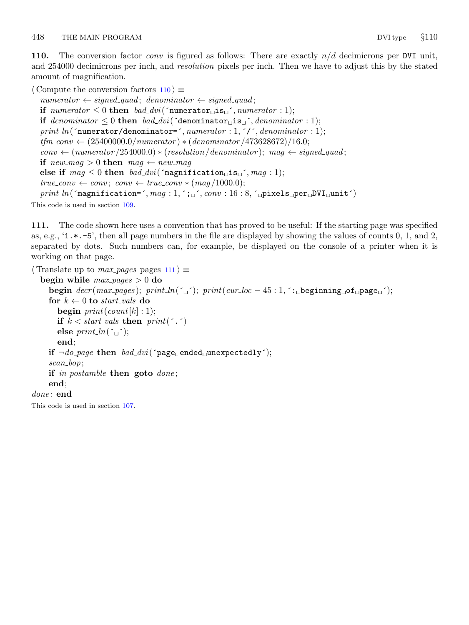<span id="page-47-0"></span>110. The conversion factor *conv* is figured as follows: There are exactly  $n/d$  decimicrons per DVI unit, and 254000 decimicrons per inch, and *resolution* pixels per inch. Then we have to adjust this by the stated amount of magnification.

```
\langle Compute the conversion factors 110 \rangle \equivnumerator \leftarrow signed\_quad; denominator \leftarrow signed\_quad;if numerator \leq 0 then bad_dvi('numerator is i, numerator : 1);
  if denominator \leq 0 then bad_dvi(\check{\text{denominator}}is<sub>\u</sub>\check{\text{denominator}}: 1);
  print\_ln( "numerator/denominator=", numerator : 1, ', ', denominator : 1);tfm_{conv} ← (25400000.0/numerator) * (denominator /473628672)/16.0;
  conv \leftarrow (numerator/254000.0) * (resolution/denominator); mag \leftarrow signed-quad;if new_mag > 0 then mag \leftarrow new_magelse if mag \leq 0 then bad\_dvi ('magnification is , mag: 1);
  true\_conv \leftarrow conv; conv \leftarrow true\_conv * (mag/1000.0);print\_ln('magnification=', mag: 1, '; \iota', conv: 16:8, 'upixels \iota_{\text{up}}
```
This code is used in section [109.](#page-46-0)

111. The code shown here uses a convention that has proved to be useful: If the starting page was specified as, e.g., '1.\*.−5', then all page numbers in the file are displayed by showing the values of counts 0, 1, and 2, separated by dots. Such numbers can, for example, be displayed on the console of a printer when it is working on that page.

```
\langle Translate up to max_pages pages 111\rangle \equivbegin while max_p aqs > 0 do
     begin decr(max\text{-}pages); print ln(\text{`u'}); print(cur loc - 45 : 1, \text{`i}_\text{u}beginning \text{`o}f\text{``pageu'});
     for k \leftarrow 0 to start_vals do
        begin print(count[k]: 1);if k < start vals then print(' \cdot )else print\_ln('_1<sup>;</sup>
        end;
     if \neg do\_\text{page} then \text{bad}\_\text{divi}(\text{'page}\_\text{model}\_\text{unexpectedly}´);
     scan_bop;
     if in postamble then goto done;
     end;
done: end
```
This code is used in section [107.](#page-46-0)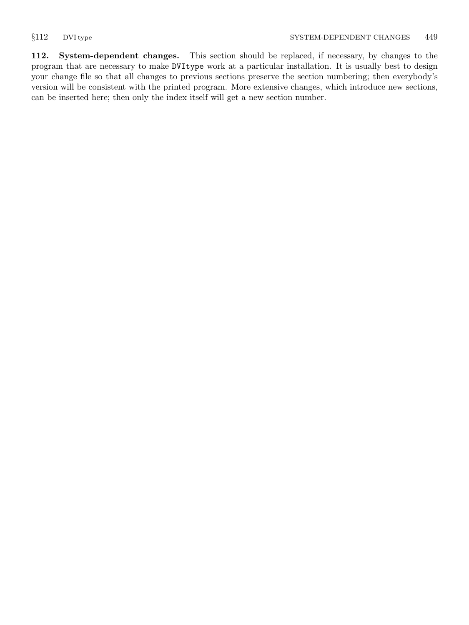<span id="page-48-0"></span>112. System-dependent changes. This section should be replaced, if necessary, by changes to the program that are necessary to make DVItype work at a particular installation. It is usually best to design your change file so that all changes to previous sections preserve the section numbering; then everybody's version will be consistent with the printed program. More extensive changes, which introduce new sections, can be inserted here; then only the index itself will get a new section number.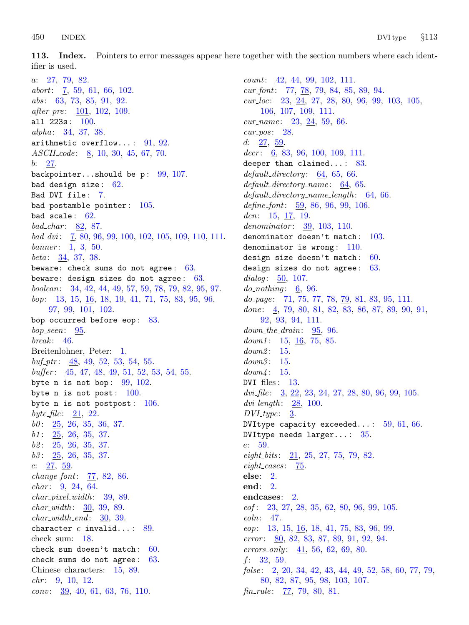<span id="page-49-0"></span>113. Index. Pointers to error messages appear here together with the section numbers where each identifier is used.

a: [27,](#page-15-0) [79](#page-33-0), [82](#page-35-0). abort: [7,](#page-3-0) [59](#page-27-0), [61,](#page-28-0) [66](#page-29-0), [102.](#page-43-0) abs: [63,](#page-28-0) [73](#page-31-0), [85,](#page-37-0) [91](#page-39-0), [92.](#page-40-0) after<sub>-pre</sub>: [101](#page-43-0), [102,](#page-43-0) [109](#page-46-0). all  $223s : 100$ .  $alpha: 34, 37, 38.$  $alpha: 34, 37, 38.$  $alpha: 34, 37, 38.$  $alpha: 34, 37, 38.$  $alpha: 34, 37, 38.$  $alpha: 34, 37, 38.$ arithmetic overflow...:  $91, 92$  $91, 92$ . ASCII<sub>-code</sub>: [8,](#page-4-0) [10,](#page-4-0) [30,](#page-17-0) [45,](#page-23-0) [67,](#page-30-0) [70](#page-30-0). b: [27.](#page-15-0) backpointer...should be  $p: 99, 107$  $p: 99, 107$  $p: 99, 107$  $p: 99, 107$ . bad design size : [62](#page-28-0). Bad DVI file: [7.](#page-3-0) bad postamble pointer : [105.](#page-44-0) bad scale:  $62$ . bad\_char:  $82, 87$  $82, 87$  $82, 87$ . bad dvi : [7,](#page-3-0) [80,](#page-34-0) [96](#page-41-0), [99](#page-42-0), [100,](#page-43-0) [102](#page-43-0), [105](#page-44-0), [109,](#page-46-0) [110,](#page-47-0) [111](#page-47-0).  $banner: 1, 3, 50.$  $banner: 1, 3, 50.$  $banner: 1, 3, 50.$  $banner: 1, 3, 50.$  $banner: 1, 3, 50.$  $banner: 1, 3, 50.$  $banner: 1, 3, 50.$ beta:  $34, 37, 38$  $34, 37, 38$  $34, 37, 38$  $34, 37, 38$ . beware: check sums do not agree:  $63$ . beware: design sizes do not agree:  $63$ . boolean: [34](#page-18-0), [42](#page-22-0), [44](#page-22-0), [49](#page-23-0), [57](#page-27-0), [59,](#page-27-0) [78,](#page-33-0) [79,](#page-33-0) [82,](#page-35-0) [95](#page-41-0), [97](#page-41-0). bop: [13](#page-6-0), [15](#page-7-0), [16](#page-10-0), [18](#page-11-0), [19](#page-11-0), [41](#page-22-0), [71,](#page-31-0) [75,](#page-32-0) [83,](#page-36-0) [95,](#page-41-0) [96,](#page-41-0) [97,](#page-41-0) [99,](#page-42-0) [101](#page-43-0), [102](#page-43-0). bop occurred before eop: [83](#page-36-0).  $bop\_seen$ : [95](#page-41-0).  $break: 46.$  $break: 46.$  $break: 46.$ Breitenlohner, Peter: [1.](#page-1-0)  $\textit{buf\_ptr}:$  [48,](#page-23-0) [49,](#page-23-0) [52,](#page-24-0) [53,](#page-25-0) [54](#page-25-0), [55](#page-25-0).  $buffer: 45, 47, 48, 49, 51, 52, 53, 54, 55.$  $buffer: 45, 47, 48, 49, 51, 52, 53, 54, 55.$  $buffer: 45, 47, 48, 49, 51, 52, 53, 54, 55.$  $buffer: 45, 47, 48, 49, 51, 52, 53, 54, 55.$  $buffer: 45, 47, 48, 49, 51, 52, 53, 54, 55.$  $buffer: 45, 47, 48, 49, 51, 52, 53, 54, 55.$  $buffer: 45, 47, 48, 49, 51, 52, 53, 54, 55.$  $buffer: 45, 47, 48, 49, 51, 52, 53, 54, 55.$  $buffer: 45, 47, 48, 49, 51, 52, 53, 54, 55.$  $buffer: 45, 47, 48, 49, 51, 52, 53, 54, 55.$  $buffer: 45, 47, 48, 49, 51, 52, 53, 54, 55.$  $buffer: 45, 47, 48, 49, 51, 52, 53, 54, 55.$  $buffer: 45, 47, 48, 49, 51, 52, 53, 54, 55.$  $buffer: 45, 47, 48, 49, 51, 52, 53, 54, 55.$  $buffer: 45, 47, 48, 49, 51, 52, 53, 54, 55.$  $buffer: 45, 47, 48, 49, 51, 52, 53, 54, 55.$  $buffer: 45, 47, 48, 49, 51, 52, 53, 54, 55.$  $buffer: 45, 47, 48, 49, 51, 52, 53, 54, 55.$ byte n is not bop:  $99, 102$  $99, 102$ . byte n is not post:  $100$ . byte n is not postpost:  $106$ . byte\_file:  $21, 22$  $21, 22$ .  $b0: \quad \underline{25}$  $b0: \quad \underline{25}$  $b0: \quad \underline{25}$ , [26,](#page-14-0) [35](#page-19-0), [36,](#page-19-0) [37.](#page-20-0)  $b1: 25, 26, 35, 37.$  $b1: 25, 26, 35, 37.$  $b1: 25, 26, 35, 37.$  $b1: 25, 26, 35, 37.$  $b1: 25, 26, 35, 37.$  $b1: 25, 26, 35, 37.$  $b1: 25, 26, 35, 37.$  $b1: 25, 26, 35, 37.$  $b2: \quad 25, \quad 26, \quad 35, \quad 37.$  $b2: \quad 25, \quad 26, \quad 35, \quad 37.$  $b2: \quad 25, \quad 26, \quad 35, \quad 37.$  $b2: \quad 25, \quad 26, \quad 35, \quad 37.$  $b2: \quad 25, \quad 26, \quad 35, \quad 37.$  $b2: \quad 25, \quad 26, \quad 35, \quad 37.$  $b2: \quad 25, \quad 26, \quad 35, \quad 37.$  $b2: \quad 25, \quad 26, \quad 35, \quad 37.$  $b3: \underline{25}, 26, 35, 37.$  $b3: \underline{25}, 26, 35, 37.$  $b3: \underline{25}, 26, 35, 37.$  $b3: \underline{25}, 26, 35, 37.$  $b3: \underline{25}, 26, 35, 37.$  $b3: \underline{25}, 26, 35, 37.$  $b3: \underline{25}, 26, 35, 37.$  $b3: \underline{25}, 26, 35, 37.$ c:  $27, 59$  $27, 59$  $27, 59$ .  $change_{\text{.}}$   $77,82,86$  $77,82,86$  $77,82,86$  $77,82,86$ .  $char: 9, 24, 64.$  $char: 9, 24, 64.$  $char: 9, 24, 64.$  $char: 9, 24, 64.$  $char: 9, 24, 64.$  $char: 9, 24, 64.$  $char: 9, 24, 64.$  $char\_pixel\_width:$  [39](#page-21-0), [89.](#page-38-0)  $char_width: 30, 39, 89.$  $char_width: 30, 39, 89.$  $char_width: 30, 39, 89.$  $char_width: 30, 39, 89.$  $char_width: 30, 39, 89.$  $char_width: 30, 39, 89.$  $char\_width\_end$ : [30,](#page-17-0) [39.](#page-21-0) character c invalid...:  $89$ . check sum: [18.](#page-11-0) check sum doesn't match : [60](#page-27-0). check sums do not agree : [63](#page-28-0). Chinese characters: [15,](#page-7-0) [89](#page-38-0).  $chr: 9, 10, 12.$  $chr: 9, 10, 12.$  $chr: 9, 10, 12.$  $chr: 9, 10, 12.$  $chr: 9, 10, 12.$  $chr: 9, 10, 12.$  $chr: 9, 10, 12.$  $conv: \quad 39, \, 40, \, 61, \, 63, \, 76, \, 110.$  $conv: \quad 39, \, 40, \, 61, \, 63, \, 76, \, 110.$  $conv: \quad 39, \, 40, \, 61, \, 63, \, 76, \, 110.$  $conv: \quad 39, \, 40, \, 61, \, 63, \, 76, \, 110.$  $conv: \quad 39, \, 40, \, 61, \, 63, \, 76, \, 110.$  $conv: \quad 39, \, 40, \, 61, \, 63, \, 76, \, 110.$  $conv: \quad 39, \, 40, \, 61, \, 63, \, 76, \, 110.$  $conv: \quad 39, \, 40, \, 61, \, 63, \, 76, \, 110.$  $conv: \quad 39, \, 40, \, 61, \, 63, \, 76, \, 110.$  $conv: \quad 39, \, 40, \, 61, \, 63, \, 76, \, 110.$  $conv: \quad 39, \, 40, \, 61, \, 63, \, 76, \, 110.$  $conv: \quad 39, \, 40, \, 61, \, 63, \, 76, \, 110.$ 

count: [42,](#page-22-0) [44,](#page-22-0) [99](#page-42-0), [102](#page-43-0), [111.](#page-47-0) cur font: [77,](#page-32-0) [78,](#page-33-0) [79,](#page-33-0) [84,](#page-36-0) [85](#page-37-0), [89](#page-38-0), [94](#page-40-0). cur loc: [23](#page-13-0), [24,](#page-14-0) [27](#page-15-0), [28,](#page-16-0) [80](#page-34-0), [96,](#page-41-0) [99](#page-42-0), [103,](#page-44-0) [105](#page-44-0), [106,](#page-45-0) [107](#page-46-0), [109,](#page-46-0) [111.](#page-47-0)  $cur_name: 23, 24, 59, 66.$  $cur_name: 23, 24, 59, 66.$  $cur_name: 23, 24, 59, 66.$  $cur_name: 23, 24, 59, 66.$  $cur_name: 23, 24, 59, 66.$  $cur_name: 23, 24, 59, 66.$  $cur_name: 23, 24, 59, 66.$  $cur_name: 23, 24, 59, 66.$  $cur_name: 23, 24, 59, 66.$  $cur_pos: 28.$  $cur_pos: 28.$ d: [27,](#page-15-0) [59](#page-27-0). decr:  $6, 83, 96, 100, 109, 111.$  $6, 83, 96, 100, 109, 111.$  $6, 83, 96, 100, 109, 111.$  $6, 83, 96, 100, 109, 111.$  $6, 83, 96, 100, 109, 111.$  $6, 83, 96, 100, 109, 111.$  $6, 83, 96, 100, 109, 111.$  $6, 83, 96, 100, 109, 111.$  $6, 83, 96, 100, 109, 111.$  $6, 83, 96, 100, 109, 111.$  $6, 83, 96, 100, 109, 111.$ deeper than claimed...: [83.](#page-36-0)  $default\_directory: 64, 65, 66.$  $default\_directory: 64, 65, 66.$  $default\_directory: 64, 65, 66.$  $default\_directory: 64, 65, 66.$  $default\_directory: 64, 65, 66.$  $default\_directory: 64, 65, 66.$  $default\_directory: 64, 65, 66.$  $default\_directory_name: 64, 65.$  $default\_directory_name: 64, 65.$  $default\_directory_name: 64, 65.$  $default\_directory_name: 64, 65.$  $default\_directory\_name\_length: 64, 66.$  $default\_directory\_name\_length: 64, 66.$  $default\_directory\_name\_length: 64, 66.$  $default\_directory\_name\_length: 64, 66.$ define font: [59](#page-27-0), [86](#page-37-0), [96](#page-41-0), [99](#page-42-0), [106.](#page-45-0) den: [15](#page-7-0), [17](#page-10-0), [19](#page-11-0). denominator: [39](#page-21-0), [103](#page-44-0), [110.](#page-47-0) denominator doesn't match: [103](#page-44-0). denominator is wrong:  $110$ . design size doesn't match:  $60.$ design sizes do not agree: [63.](#page-28-0) dialog:  $\frac{50}{107}$ .  $do\_nothinging: 6, 96.$  $do\_nothinging: 6, 96.$  $do\_nothinging: 6, 96.$  $do\_nothinging: 6, 96.$  $do\_nothinging: 6, 96.$  $do\_page: 71, 75, 77, 78, \underline{79}, 81, 83, 95, 111.$  $do\_page: 71, 75, 77, 78, \underline{79}, 81, 83, 95, 111.$  $do\_page: 71, 75, 77, 78, \underline{79}, 81, 83, 95, 111.$  $do\_page: 71, 75, 77, 78, \underline{79}, 81, 83, 95, 111.$  $do\_page: 71, 75, 77, 78, \underline{79}, 81, 83, 95, 111.$  $do\_page: 71, 75, 77, 78, \underline{79}, 81, 83, 95, 111.$  $do\_page: 71, 75, 77, 78, \underline{79}, 81, 83, 95, 111.$  $do\_page: 71, 75, 77, 78, \underline{79}, 81, 83, 95, 111.$  $do\_page: 71, 75, 77, 78, \underline{79}, 81, 83, 95, 111.$  $do\_page: 71, 75, 77, 78, \underline{79}, 81, 83, 95, 111.$  $do\_page: 71, 75, 77, 78, \underline{79}, 81, 83, 95, 111.$  $do\_page: 71, 75, 77, 78, \underline{79}, 81, 83, 95, 111.$  $do\_page: 71, 75, 77, 78, \underline{79}, 81, 83, 95, 111.$  $do\_page: 71, 75, 77, 78, \underline{79}, 81, 83, 95, 111.$  $do\_page: 71, 75, 77, 78, \underline{79}, 81, 83, 95, 111.$  $do\_page: 71, 75, 77, 78, \underline{79}, 81, 83, 95, 111.$  $do\_page: 71, 75, 77, 78, \underline{79}, 81, 83, 95, 111.$  $do\_page: 71, 75, 77, 78, \underline{79}, 81, 83, 95, 111.$ done:  $\underline{4}$  $\underline{4}$  $\underline{4}$ , [79](#page-33-0), [80](#page-34-0), [81](#page-34-0), [82](#page-35-0), [83](#page-36-0), [86](#page-37-0), [87](#page-37-0), [89](#page-38-0), [90,](#page-38-0) [91,](#page-39-0) [92,](#page-40-0) [93,](#page-40-0) [94](#page-40-0), [111](#page-47-0).  $down\_the\_drain: 95, 96.$  $down\_the\_drain: 95, 96.$  $down\_the\_drain: 95, 96.$  $down\_the\_drain: 95, 96.$  $down1: 15, 16, 75, 85.$  $down1: 15, 16, 75, 85.$  $down1: 15, 16, 75, 85.$  $down1: 15, 16, 75, 85.$  $down1: 15, 16, 75, 85.$  $down1: 15, 16, 75, 85.$  $down1: 15, 16, 75, 85.$  $down1: 15, 16, 75, 85.$  $down2: 15.$  $down2: 15.$  $down2: 15.$  $down3: 15.$  $down3: 15.$  $down3: 15.$  $down4: 15.$  $down4: 15.$  $down4: 15.$ DVI files :  $13$ . dvi\_file:  $\frac{3}{22}$  $\frac{3}{22}$  $\frac{3}{22}$  $\frac{3}{22}$  $\frac{3}{22}$ , [23,](#page-13-0) [24](#page-14-0), [27](#page-15-0), [28,](#page-16-0) [80](#page-34-0), [96](#page-41-0), [99,](#page-42-0) [105.](#page-44-0)  $dvi\_length:$   $28, 100.$  $28, 100.$  $28, 100.$  $DVI_{\text{-type}}$ : [3](#page-2-0). DVItype capacity exceeded...:  $59, 61, 66$  $59, 61, 66$  $59, 61, 66$  $59, 61, 66$ . DVItype needs larger... : [35](#page-19-0). e: [59](#page-27-0).  $eight\_bits: \quad 21, 25, 27, 75, 79, 82.$  $eight\_bits: \quad 21, 25, 27, 75, 79, 82.$  $eight\_bits: \quad 21, 25, 27, 75, 79, 82.$  $eight\_bits: \quad 21, 25, 27, 75, 79, 82.$  $eight\_bits: \quad 21, 25, 27, 75, 79, 82.$  $eight\_bits: \quad 21, 25, 27, 75, 79, 82.$  $eight\_bits: \quad 21, 25, 27, 75, 79, 82.$  $eight\_bits: \quad 21, 25, 27, 75, 79, 82.$  $eight\_bits: \quad 21, 25, 27, 75, 79, 82.$  $eight\_bits: \quad 21, 25, 27, 75, 79, 82.$  $eight\_bits: \quad 21, 25, 27, 75, 79, 82.$  $eight\_bits: \quad 21, 25, 27, 75, 79, 82.$  $eight\_bits: \quad 21, 25, 27, 75, 79, 82.$  $eight\_cases$ : [75](#page-32-0). else: [2](#page-1-0). end: [2](#page-1-0). endcases: [2](#page-1-0). eof : [23](#page-13-0), [27](#page-15-0), [28,](#page-16-0) [35](#page-19-0), [62](#page-28-0), [80,](#page-34-0) [96](#page-41-0), [99](#page-42-0), [105.](#page-44-0) eoln: [47](#page-23-0). eop: [13](#page-6-0), [15,](#page-7-0) [16](#page-10-0), [18](#page-11-0), [41,](#page-22-0) [75,](#page-32-0) [83](#page-36-0), [96,](#page-41-0) [99.](#page-42-0) error: [80](#page-34-0), [82,](#page-35-0) [83,](#page-36-0) [87](#page-37-0), [89](#page-38-0), [91](#page-39-0), [92,](#page-40-0) [94.](#page-40-0) errors only:  $41, 56, 62, 69, 80$  $41, 56, 62, 69, 80$  $41, 56, 62, 69, 80$  $41, 56, 62, 69, 80$  $41, 56, 62, 69, 80$  $41, 56, 62, 69, 80$  $41, 56, 62, 69, 80$  $41, 56, 62, 69, 80$  $41, 56, 62, 69, 80$ . f: [32,](#page-18-0) [59.](#page-27-0) false: [2](#page-1-0), [20,](#page-12-0) [34,](#page-18-0) [42](#page-22-0), [43,](#page-22-0) [44,](#page-22-0) [49](#page-23-0), [52,](#page-24-0) [58,](#page-27-0) [60](#page-27-0), [77,](#page-32-0) [79,](#page-33-0) [80,](#page-34-0) [82,](#page-35-0) [87](#page-37-0), [95](#page-41-0), [98](#page-41-0), [103](#page-44-0), [107](#page-46-0).  $fin\_rule: 77, 79, 80, 81.$  $fin\_rule: 77, 79, 80, 81.$  $fin\_rule: 77, 79, 80, 81.$  $fin\_rule: 77, 79, 80, 81.$  $fin\_rule: 77, 79, 80, 81.$  $fin\_rule: 77, 79, 80, 81.$  $fin\_rule: 77, 79, 80, 81.$  $fin\_rule: 77, 79, 80, 81.$  $fin\_rule: 77, 79, 80, 81.$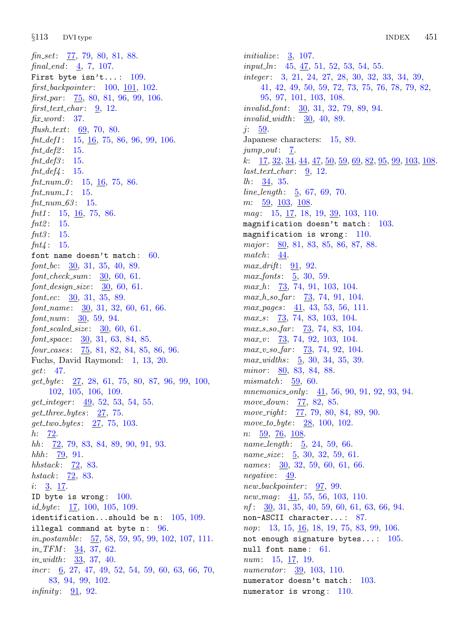fin\_set:  $\frac{77}{79}$  $\frac{77}{79}$  $\frac{77}{79}$ , 79, [80,](#page-34-0) [81](#page-34-0), [88](#page-37-0). final\_end:  $\frac{4}{7}$  $\frac{4}{7}$  $\frac{4}{7}$ , [107](#page-46-0). First byte isn't...:  $109$ . first\_backpointer: [100,](#page-43-0) [101,](#page-43-0) [102.](#page-43-0) first par:  $\frac{75}{5}$  $\frac{75}{5}$  $\frac{75}{5}$ , [80,](#page-34-0) [81,](#page-34-0) [96,](#page-41-0) [99,](#page-42-0) [106.](#page-45-0)  $first\_text\_char: 9, 12.$  $first\_text\_char: 9, 12.$  $first\_text\_char: 9, 12.$  $first\_text\_char: 9, 12.$  $first\_text\_char: 9, 12.$  $\operatorname{fix}$ -word: [37.](#page-20-0) flush\_text:  $69, 70, 80$  $69, 70, 80$  $69, 70, 80$  $69, 70, 80$  $69, 70, 80$ .  $fnt\_def1$ : [15](#page-7-0), [16,](#page-10-0) [75,](#page-32-0) [86](#page-37-0), [96](#page-41-0), [99](#page-42-0), [106.](#page-45-0)  $fnt\_def2$ : [15](#page-7-0).  $fnt\_def3: 15.$  $fnt\_def3: 15.$  $fnt\_def3: 15.$  $fnt\_def4$ : [15](#page-7-0).  $fnt\_num\_0:$  [15](#page-7-0), [16](#page-10-0), [75,](#page-32-0) [86](#page-37-0).  $fnt\_num\_1$ : [15](#page-7-0).  $fnt_number_63: 15.$  $fnt_number_63: 15.$  $fnt_number_63: 15.$  $fnt1: 15, 16, 75, 86.$  $fnt1: 15, 16, 75, 86.$  $fnt1: 15, 16, 75, 86.$  $fnt1: 15, 16, 75, 86.$  $fnt1: 15, 16, 75, 86.$  $fnt1: 15, 16, 75, 86.$  $fnt1: 15, 16, 75, 86.$  $fnt1: 15, 16, 75, 86.$  $fnt2$ : [15.](#page-7-0)  $fnt3: 15.$  $fnt3: 15.$  $fnt4: 15.$  $fnt4: 15.$ font name doesn't match:  $60$ .  $font\_bc: \quad \underline{30}$  $font\_bc: \quad \underline{30}$  $font\_bc: \quad \underline{30}$ , [31](#page-17-0), [35,](#page-19-0) [40](#page-21-0), [89](#page-38-0).  $font\_check\_sum: 30, 60, 61.$  $font\_check\_sum: 30, 60, 61.$  $font\_check\_sum: 30, 60, 61.$  $font\_check\_sum: 30, 60, 61.$  $font\_check\_sum: 30, 60, 61.$  $font\_check\_sum: 30, 60, 61.$  $font\_check\_sum: 30, 60, 61.$  $font\_design\_size: 30, 60, 61.$  $font\_design\_size: 30, 60, 61.$  $font\_design\_size: 30, 60, 61.$  $font\_design\_size: 30, 60, 61.$  $font\_design\_size: 30, 60, 61.$  $font\_design\_size: 30, 60, 61.$  $font\_ec: 30, 31, 35, 89.$  $font\_ec: 30, 31, 35, 89.$  $font\_ec: 30, 31, 35, 89.$  $font\_ec: 30, 31, 35, 89.$  $font\_ec: 30, 31, 35, 89.$  $font\_ec: 30, 31, 35, 89.$  $font\_ec: 30, 31, 35, 89.$  $font\_ec: 30, 31, 35, 89.$  $font_name: 30, 31, 32, 60, 61, 66.$  $font_name: 30, 31, 32, 60, 61, 66.$  $font_name: 30, 31, 32, 60, 61, 66.$  $font_name: 30, 31, 32, 60, 61, 66.$  $font_name: 30, 31, 32, 60, 61, 66.$  $font_name: 30, 31, 32, 60, 61, 66.$  $font_name: 30, 31, 32, 60, 61, 66.$  $font_name: 30, 31, 32, 60, 61, 66.$  $font_name: 30, 31, 32, 60, 61, 66.$  $font_name: 30, 31, 32, 60, 61, 66.$  $font_name: 30, 31, 32, 60, 61, 66.$  $font_name: 30, 31, 32, 60, 61, 66.$  $font_{num:} \quad 30, 59, 94.$  $font_{num:} \quad 30, 59, 94.$  $font_{num:} \quad 30, 59, 94.$  $font_{num:} \quad 30, 59, 94.$  $font_{num:} \quad 30, 59, 94.$  $font_{num:} \quad 30, 59, 94.$  $font_{num:} \quad 30, 59, 94.$  $font\_scaled\_size: 30, 60, 61.$  $font\_scaled\_size: 30, 60, 61.$  $font\_scaled\_size: 30, 60, 61.$  $font\_scaled\_size: 30, 60, 61.$  $font\_scaled\_size: 30, 60, 61.$  $font\_scaled\_size: 30, 60, 61.$  $font\_space: 30, 31, 63, 84, 85.$  $font\_space: 30, 31, 63, 84, 85.$  $font\_space: 30, 31, 63, 84, 85.$  $font\_space: 30, 31, 63, 84, 85.$  $font\_space: 30, 31, 63, 84, 85.$  $font\_space: 30, 31, 63, 84, 85.$  $font\_space: 30, 31, 63, 84, 85.$  $font\_space: 30, 31, 63, 84, 85.$  $font\_space: 30, 31, 63, 84, 85.$  $font\_space: 30, 31, 63, 84, 85.$ four\_cases: [75](#page-32-0), [81](#page-34-0), [82,](#page-35-0) [84,](#page-36-0) [85](#page-37-0), [86](#page-37-0), [96.](#page-41-0) Fuchs, David Raymond: [1](#page-1-0), [13,](#page-6-0) [20.](#page-12-0) get: [47.](#page-23-0)  $get\_byte: \quad 27, \quad 28, \quad 61, \quad 75, \quad 80, \quad 87, \quad 96, \quad 99, \quad 100,$  $get\_byte: \quad 27, \quad 28, \quad 61, \quad 75, \quad 80, \quad 87, \quad 96, \quad 99, \quad 100,$  $get\_byte: \quad 27, \quad 28, \quad 61, \quad 75, \quad 80, \quad 87, \quad 96, \quad 99, \quad 100,$  $get\_byte: \quad 27, \quad 28, \quad 61, \quad 75, \quad 80, \quad 87, \quad 96, \quad 99, \quad 100,$  $get\_byte: \quad 27, \quad 28, \quad 61, \quad 75, \quad 80, \quad 87, \quad 96, \quad 99, \quad 100,$  $get\_byte: \quad 27, \quad 28, \quad 61, \quad 75, \quad 80, \quad 87, \quad 96, \quad 99, \quad 100,$  $get\_byte: \quad 27, \quad 28, \quad 61, \quad 75, \quad 80, \quad 87, \quad 96, \quad 99, \quad 100,$  $get\_byte: \quad 27, \quad 28, \quad 61, \quad 75, \quad 80, \quad 87, \quad 96, \quad 99, \quad 100,$  $get\_byte: \quad 27, \quad 28, \quad 61, \quad 75, \quad 80, \quad 87, \quad 96, \quad 99, \quad 100,$  $get\_byte: \quad 27, \quad 28, \quad 61, \quad 75, \quad 80, \quad 87, \quad 96, \quad 99, \quad 100,$  $get\_byte: \quad 27, \quad 28, \quad 61, \quad 75, \quad 80, \quad 87, \quad 96, \quad 99, \quad 100,$  $get\_byte: \quad 27, \quad 28, \quad 61, \quad 75, \quad 80, \quad 87, \quad 96, \quad 99, \quad 100,$  $get\_byte: \quad 27, \quad 28, \quad 61, \quad 75, \quad 80, \quad 87, \quad 96, \quad 99, \quad 100,$  $get\_byte: \quad 27, \quad 28, \quad 61, \quad 75, \quad 80, \quad 87, \quad 96, \quad 99, \quad 100,$  $get\_byte: \quad 27, \quad 28, \quad 61, \quad 75, \quad 80, \quad 87, \quad 96, \quad 99, \quad 100,$  $get\_byte: \quad 27, \quad 28, \quad 61, \quad 75, \quad 80, \quad 87, \quad 96, \quad 99, \quad 100,$  $get\_byte: \quad 27, \quad 28, \quad 61, \quad 75, \quad 80, \quad 87, \quad 96, \quad 99, \quad 100,$  $get\_byte: \quad 27, \quad 28, \quad 61, \quad 75, \quad 80, \quad 87, \quad 96, \quad 99, \quad 100,$ [102,](#page-43-0) [105](#page-44-0), [106](#page-45-0), [109.](#page-46-0) get integer : [49,](#page-23-0) [52,](#page-24-0) [53](#page-25-0), [54](#page-25-0), [55](#page-25-0).  $get\_three\_bytes: \quad 27, 75.$  $get\_three\_bytes: \quad 27, 75.$  $get\_three\_bytes: \quad 27, 75.$  $get\_three\_bytes: \quad 27, 75.$  $get\_two\_bytes: \quad 27, 75, 103.$  $get\_two\_bytes: \quad 27, 75, 103.$  $get\_two\_bytes: \quad 27, 75, 103.$  $get\_two\_bytes: \quad 27, 75, 103.$  $get\_two\_bytes: \quad 27, 75, 103.$  $get\_two\_bytes: \quad 27, 75, 103.$ h: [72](#page-31-0). hh: [72](#page-31-0), [79](#page-33-0), [83](#page-36-0), [84,](#page-36-0) [89,](#page-38-0) [90,](#page-38-0) [91,](#page-39-0) [93.](#page-40-0)  $hhh: 79, 91.$  $hhh: 79, 91.$  $hhh: 79, 91.$  $hhh: 79, 91.$  $hhh: 79, 91.$ hhstack:  $\frac{72}{3}$  $\frac{72}{3}$  $\frac{72}{3}$ , [83](#page-36-0). *hstack*:  $\frac{72}{6}$  $\frac{72}{6}$  $\frac{72}{6}$ , [83](#page-36-0). *i*:  $3, 17$  $3, 17$ . ID byte is wrong:  $100$ .  $id\_byte: 17, 100, 105, 109.$  $id\_byte: 17, 100, 105, 109.$  $id\_byte: 17, 100, 105, 109.$  $id\_byte: 17, 100, 105, 109.$  $id\_byte: 17, 100, 105, 109.$  $id\_byte: 17, 100, 105, 109.$  $id\_byte: 17, 100, 105, 109.$  $id\_byte: 17, 100, 105, 109.$  $id\_byte: 17, 100, 105, 109.$ identification...should be n:  $105, 109$  $105, 109$ . illegal command at byte n:  $96$ . *in postamble*:  $\frac{57}{56}$  $\frac{57}{56}$  $\frac{57}{56}$ , [58,](#page-27-0) [59,](#page-27-0) [95,](#page-41-0) [99](#page-42-0), [102](#page-43-0), [107,](#page-46-0) [111.](#page-47-0)  $in\_TFM$ :  $34, 37, 62$  $34, 37, 62$  $34, 37, 62$  $34, 37, 62$  $34, 37, 62$ . in width : [33](#page-18-0), [37](#page-20-0), [40.](#page-21-0) *incr*:  $\underline{6}$ , 27, 47, 49, 52, 54, 59, 60, 63, 6[6,](#page-2-0) [70](#page-30-0), [83,](#page-36-0) [94,](#page-40-0) [99](#page-42-0), [102](#page-43-0). infinity:  $91, 92$  $91, 92$  $91, 92$ .

*initialize:*  $3, 107$  $3, 107$  $3, 107$ .  $input\_ln$ : [45](#page-23-0), [47](#page-23-0), [51,](#page-24-0) [52,](#page-24-0) [53,](#page-25-0) [54](#page-25-0), [55](#page-25-0). integer: [3,](#page-2-0) [21](#page-13-0), [24](#page-14-0), [27,](#page-15-0) [28](#page-16-0), [30,](#page-17-0) [32,](#page-18-0) [33](#page-18-0), [34,](#page-18-0) [39](#page-21-0), [41,](#page-22-0) [42,](#page-22-0) [49](#page-23-0), [50,](#page-24-0) [59,](#page-27-0) [72](#page-31-0), [73](#page-31-0), [75,](#page-32-0) [76](#page-32-0), [78](#page-33-0), [79,](#page-33-0) [82,](#page-35-0) [95,](#page-41-0) [97](#page-41-0), [101,](#page-43-0) [103](#page-44-0), [108.](#page-46-0) invalid font: [30,](#page-17-0) [31,](#page-17-0) [32,](#page-18-0) [79](#page-33-0), [89](#page-38-0), [94](#page-40-0). invalid width : [30,](#page-17-0) [40](#page-21-0), [89.](#page-38-0)  $j: \frac{59}{2}$  $j: \frac{59}{2}$  $j: \frac{59}{2}$ . Japanese characters: [15](#page-7-0), [89](#page-38-0).  $jump_out: \underline{7}.$  $jump_out: \underline{7}.$  $jump_out: \underline{7}.$ k:  $17, 32, 34, 44, 47, 50, 59, 69, 82, 95, 99, 103, 108.$  $17, 32, 34, 44, 47, 50, 59, 69, 82, 95, 99, 103, 108.$  $17, 32, 34, 44, 47, 50, 59, 69, 82, 95, 99, 103, 108.$  $17, 32, 34, 44, 47, 50, 59, 69, 82, 95, 99, 103, 108.$  $17, 32, 34, 44, 47, 50, 59, 69, 82, 95, 99, 103, 108.$  $17, 32, 34, 44, 47, 50, 59, 69, 82, 95, 99, 103, 108.$  $17, 32, 34, 44, 47, 50, 59, 69, 82, 95, 99, 103, 108.$  $17, 32, 34, 44, 47, 50, 59, 69, 82, 95, 99, 103, 108.$  $17, 32, 34, 44, 47, 50, 59, 69, 82, 95, 99, 103, 108.$  $17, 32, 34, 44, 47, 50, 59, 69, 82, 95, 99, 103, 108.$  $17, 32, 34, 44, 47, 50, 59, 69, 82, 95, 99, 103, 108.$  $17, 32, 34, 44, 47, 50, 59, 69, 82, 95, 99, 103, 108.$  $17, 32, 34, 44, 47, 50, 59, 69, 82, 95, 99, 103, 108.$  $17, 32, 34, 44, 47, 50, 59, 69, 82, 95, 99, 103, 108.$  $17, 32, 34, 44, 47, 50, 59, 69, 82, 95, 99, 103, 108.$  $17, 32, 34, 44, 47, 50, 59, 69, 82, 95, 99, 103, 108.$  $17, 32, 34, 44, 47, 50, 59, 69, 82, 95, 99, 103, 108.$  $17, 32, 34, 44, 47, 50, 59, 69, 82, 95, 99, 103, 108.$  $17, 32, 34, 44, 47, 50, 59, 69, 82, 95, 99, 103, 108.$  $17, 32, 34, 44, 47, 50, 59, 69, 82, 95, 99, 103, 108.$  $17, 32, 34, 44, 47, 50, 59, 69, 82, 95, 99, 103, 108.$  $17, 32, 34, 44, 47, 50, 59, 69, 82, 95, 99, 103, 108.$  $17, 32, 34, 44, 47, 50, 59, 69, 82, 95, 99, 103, 108.$  $17, 32, 34, 44, 47, 50, 59, 69, 82, 95, 99, 103, 108.$  $17, 32, 34, 44, 47, 50, 59, 69, 82, 95, 99, 103, 108.$  $17, 32, 34, 44, 47, 50, 59, 69, 82, 95, 99, 103, 108.$  $last\_text\_char: 9, 12.$  $last\_text\_char: 9, 12.$  $last\_text\_char: 9, 12.$  $last\_text\_char: 9, 12.$  $last\_text\_char: 9, 12.$ *lh*:  $\frac{34}{35}$ .  $line_length: 5, 67, 69, 70.$  $line_length: 5, 67, 69, 70.$  $line_length: 5, 67, 69, 70.$  $line_length: 5, 67, 69, 70.$  $line_length: 5, 67, 69, 70.$  $line_length: 5, 67, 69, 70.$  $line_length: 5, 67, 69, 70.$  $line_length: 5, 67, 69, 70.$  $line_length: 5, 67, 69, 70.$ m: [59](#page-27-0), [103](#page-44-0), [108](#page-46-0). mag: [15,](#page-7-0) <u>17</u>, [18,](#page-11-0) [19,](#page-11-0) <u>39</u>, [103,](#page-44-0) [110](#page-47-0). magnification doesn't match:  $103$ . magnification is wrong:  $110$ . major: [80,](#page-34-0) [81,](#page-34-0) [83,](#page-36-0) [85,](#page-37-0) [86,](#page-37-0) [87,](#page-37-0) [88.](#page-37-0)  $match: 44.$  $match: 44.$  $match: 44.$  $max\_drift:$  [91](#page-39-0), [92](#page-40-0).  $max_fonts$ :  $5, 30, 59$  $5, 30, 59$  $5, 30, 59$  $5, 30, 59$ .  $max_h$ : [73,](#page-31-0) [74,](#page-31-0) [91](#page-39-0), [103](#page-44-0), [104](#page-44-0).  $max\_h\_so\_far$ :  $\frac{73}{74}$ , [74,](#page-31-0) [91](#page-39-0), [104](#page-44-0).  $max_pages: \underline{41}, 43, 53, 56, 111.$  $max_pages: \underline{41}, 43, 53, 56, 111.$  $max_pages: \underline{41}, 43, 53, 56, 111.$  $max_pages: \underline{41}, 43, 53, 56, 111.$  $max_pages: \underline{41}, 43, 53, 56, 111.$  $max_pages: \underline{41}, 43, 53, 56, 111.$  $max_pages: \underline{41}, 43, 53, 56, 111.$  $max_pages: \underline{41}, 43, 53, 56, 111.$  $max_pages: \underline{41}, 43, 53, 56, 111.$  $max_pages: \underline{41}, 43, 53, 56, 111.$  $max_s$ :  $\frac{73}{74}$ ,  $\frac{74}{83}$  $\frac{74}{83}$  $\frac{74}{83}$ ,  $\frac{103}{104}$  $\frac{103}{104}$  $\frac{103}{104}$ .  $max_s$  so far:  $\frac{73}{13}$ , [74,](#page-31-0) [83](#page-36-0), [104](#page-44-0).  $max_v$ :  $\frac{73}{74}$  $\frac{73}{74}$  $\frac{73}{74}$ ,  $\frac{74}{92}$ ,  $\frac{103}{104}$  $\frac{103}{104}$  $\frac{103}{104}$  $\frac{103}{104}$  $\frac{103}{104}$ .  $max_v\_{so}$  far:  $\frac{73}{13}$  $\frac{73}{13}$  $\frac{73}{13}$ , [74](#page-31-0), [92,](#page-40-0) [104.](#page-44-0) max widths: [5,](#page-2-0) [30,](#page-17-0) [34](#page-18-0), [35](#page-19-0), [39](#page-21-0). minor:  $80, 83, 84, 88$  $80, 83, 84, 88$  $80, 83, 84, 88$  $80, 83, 84, 88$  $80, 83, 84, 88$  $80, 83, 84, 88$  $80, 83, 84, 88$ .  $mismatch: 59, 60.$  $mismatch: 59, 60.$  $mismatch: 59, 60.$  $mismatch: 59, 60.$  $mismatch: 59, 60.$ mnemonics\_only:  $41, 56, 90, 91, 92, 93, 94$  $41, 56, 90, 91, 92, 93, 94$  $41, 56, 90, 91, 92, 93, 94$  $41, 56, 90, 91, 92, 93, 94$  $41, 56, 90, 91, 92, 93, 94$  $41, 56, 90, 91, 92, 93, 94$  $41, 56, 90, 91, 92, 93, 94$  $41, 56, 90, 91, 92, 93, 94$  $41, 56, 90, 91, 92, 93, 94$  $41, 56, 90, 91, 92, 93, 94$  $41, 56, 90, 91, 92, 93, 94$  $41, 56, 90, 91, 92, 93, 94$  $41, 56, 90, 91, 92, 93, 94$ . move\_down: [77](#page-32-0), [82,](#page-35-0) [85](#page-37-0). move\_right: [77](#page-32-0), [79](#page-33-0), [80](#page-34-0), [84](#page-36-0), [89](#page-38-0), [90.](#page-38-0) move\_to\_byte:  $28, 100, 102$  $28, 100, 102$  $28, 100, 102$  $28, 100, 102$ .  $n: \frac{59}{76}, \frac{76}{108}.$ name\_length: [5,](#page-2-0) [24](#page-14-0), [59](#page-27-0), [66.](#page-29-0) name\_size: [5,](#page-2-0) [30](#page-17-0), [32](#page-18-0), [59](#page-27-0), [61.](#page-28-0)  $names: \underline{30}$  $names: \underline{30}$  $names: \underline{30}$ , [32,](#page-18-0) [59,](#page-27-0) [60,](#page-27-0) [61](#page-28-0), [66](#page-29-0). negative: [49.](#page-23-0) new\_backpointer: [97](#page-41-0), [99.](#page-42-0) new mag:  $\frac{41}{55}$  $\frac{41}{55}$  $\frac{41}{55}$  $\frac{41}{55}$  $\frac{41}{55}$ , [56,](#page-26-0) [103,](#page-44-0) [110.](#page-47-0)  $nf: \frac{30}{31}, 31, 35, 40, 59, 60, 61, 63, 66, 94.$  $nf: \frac{30}{31}, 31, 35, 40, 59, 60, 61, 63, 66, 94.$  $nf: \frac{30}{31}, 31, 35, 40, 59, 60, 61, 63, 66, 94.$  $nf: \frac{30}{31}, 31, 35, 40, 59, 60, 61, 63, 66, 94.$  $nf: \frac{30}{31}, 31, 35, 40, 59, 60, 61, 63, 66, 94.$  $nf: \frac{30}{31}, 31, 35, 40, 59, 60, 61, 63, 66, 94.$  $nf: \frac{30}{31}, 31, 35, 40, 59, 60, 61, 63, 66, 94.$  $nf: \frac{30}{31}, 31, 35, 40, 59, 60, 61, 63, 66, 94.$  $nf: \frac{30}{31}, 31, 35, 40, 59, 60, 61, 63, 66, 94.$  $nf: \frac{30}{31}, 31, 35, 40, 59, 60, 61, 63, 66, 94.$  $nf: \frac{30}{31}, 31, 35, 40, 59, 60, 61, 63, 66, 94.$  $nf: \frac{30}{31}, 31, 35, 40, 59, 60, 61, 63, 66, 94.$  $nf: \frac{30}{31}, 31, 35, 40, 59, 60, 61, 63, 66, 94.$  $nf: \frac{30}{31}, 31, 35, 40, 59, 60, 61, 63, 66, 94.$  $nf: \frac{30}{31}, 31, 35, 40, 59, 60, 61, 63, 66, 94.$  $nf: \frac{30}{31}, 31, 35, 40, 59, 60, 61, 63, 66, 94.$  $nf: \frac{30}{31}, 31, 35, 40, 59, 60, 61, 63, 66, 94.$  $nf: \frac{30}{31}, 31, 35, 40, 59, 60, 61, 63, 66, 94.$ non−ASCII character... : [87.](#page-37-0) nop: [13,](#page-6-0) [15](#page-7-0), [16,](#page-10-0) [18](#page-11-0), [19](#page-11-0), [75,](#page-32-0) [83](#page-36-0), [99,](#page-42-0) [106.](#page-45-0) not enough signature bytes...:  $105$ . null font name: [61.](#page-28-0) num: [15](#page-7-0), [17,](#page-10-0) [19.](#page-11-0) numerator: [39](#page-21-0), [103,](#page-44-0) [110](#page-47-0). numerator doesn't match: [103](#page-44-0). numerator is wrong:  $110$ .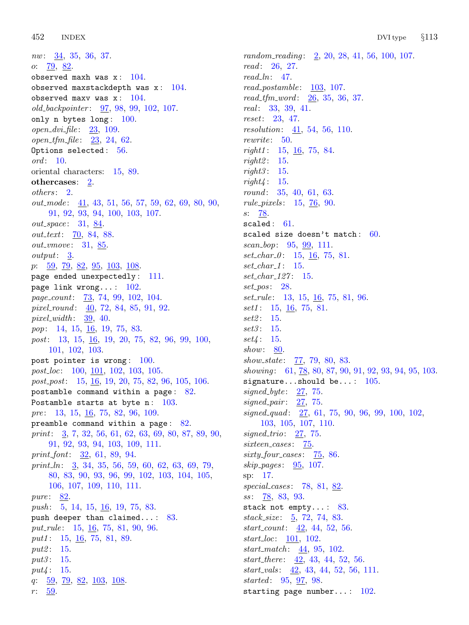nw: [34](#page-18-0), [35](#page-19-0), [36](#page-19-0), [37.](#page-20-0) *o*:  $\frac{79}{6}$ , [82.](#page-35-0) observed maxh was  $x: 104$  $x: 104$ . observed maxstackdepth was  $x: 104$  $x: 104$ . observed maxv was  $x: 104$  $x: 104$ . old\_backpointer: [97](#page-41-0), [98](#page-41-0), [99,](#page-42-0) [102,](#page-43-0) [107](#page-46-0). only n bytes long: [100.](#page-43-0) open  $\Delta vi$  file: [23,](#page-13-0) [109](#page-46-0).  $open\_tfm\_file: 23, 24, 62.$  $open\_tfm\_file: 23, 24, 62.$  $open\_tfm\_file: 23, 24, 62.$  $open\_tfm\_file: 23, 24, 62.$  $open\_tfm\_file: 23, 24, 62.$  $open\_tfm\_file: 23, 24, 62.$  $open\_tfm\_file: 23, 24, 62.$ Options selected: [56](#page-26-0). ord: [10](#page-4-0). oriental characters: [15](#page-7-0), [89](#page-38-0). othercases: [2.](#page-1-0) others: [2](#page-1-0).  $out\_mode$ :  $41, 43, 51, 56, 57, 59, 62, 69, 80, 90,$  $41, 43, 51, 56, 57, 59, 62, 69, 80, 90,$  $41, 43, 51, 56, 57, 59, 62, 69, 80, 90,$  $41, 43, 51, 56, 57, 59, 62, 69, 80, 90,$  $41, 43, 51, 56, 57, 59, 62, 69, 80, 90,$  $41, 43, 51, 56, 57, 59, 62, 69, 80, 90,$  $41, 43, 51, 56, 57, 59, 62, 69, 80, 90,$  $41, 43, 51, 56, 57, 59, 62, 69, 80, 90,$  $41, 43, 51, 56, 57, 59, 62, 69, 80, 90,$  $41, 43, 51, 56, 57, 59, 62, 69, 80, 90,$  $41, 43, 51, 56, 57, 59, 62, 69, 80, 90,$  $41, 43, 51, 56, 57, 59, 62, 69, 80, 90,$  $41, 43, 51, 56, 57, 59, 62, 69, 80, 90,$  $41, 43, 51, 56, 57, 59, 62, 69, 80, 90,$  $41, 43, 51, 56, 57, 59, 62, 69, 80, 90,$  $41, 43, 51, 56, 57, 59, 62, 69, 80, 90,$  $41, 43, 51, 56, 57, 59, 62, 69, 80, 90,$  $41, 43, 51, 56, 57, 59, 62, 69, 80, 90,$  $41, 43, 51, 56, 57, 59, 62, 69, 80, 90,$ [91,](#page-39-0) [92,](#page-40-0) [93,](#page-40-0) [94,](#page-40-0) [100,](#page-43-0) [103,](#page-44-0) [107.](#page-46-0) out\_space: [31,](#page-17-0) [84.](#page-36-0) out\_text: [70](#page-30-0), [84](#page-36-0), [88.](#page-37-0) out\_vmove: [31](#page-17-0), [85](#page-37-0). output: [3.](#page-2-0) p:  $\frac{59}{79}$  $\frac{59}{79}$  $\frac{59}{79}$ ,  $\frac{82}{95}$  $\frac{82}{95}$  $\frac{82}{95}$ ,  $\frac{95}{103}$ ,  $\frac{108}{95}$  $\frac{108}{95}$  $\frac{108}{95}$ . page ended unexpectedly : [111](#page-47-0). page link wrong...:  $102$ . page count: [73](#page-31-0), [74](#page-31-0), [99](#page-42-0), [102](#page-43-0), [104](#page-44-0). pixel\_round:  $\underline{40}$ , [72,](#page-31-0) [84](#page-36-0), [85](#page-37-0), [91](#page-39-0), [92](#page-40-0). pixel\_width:  $39, 40$  $39, 40$  $39, 40$ . pop: [14,](#page-6-0) [15,](#page-7-0) <u>[16](#page-10-0)</u>, [19,](#page-11-0) [75,](#page-32-0) [83](#page-36-0). post: [13](#page-6-0), [15,](#page-7-0) [16](#page-10-0), [19,](#page-11-0) [20](#page-12-0), [75,](#page-32-0) [82](#page-35-0), [96,](#page-41-0) [99](#page-42-0), [100,](#page-43-0) [101,](#page-43-0) [102,](#page-43-0) [103.](#page-44-0) post pointer is wrong: [100.](#page-43-0)  $post\_loc: 100, 101, 102, 103, 105.$  $post\_loc: 100, 101, 102, 103, 105.$  $post\_loc: 100, 101, 102, 103, 105.$  $post\_loc: 100, 101, 102, 103, 105.$  $post\_loc: 100, 101, 102, 103, 105.$  $post\_loc: 100, 101, 102, 103, 105.$  $post\_loc: 100, 101, 102, 103, 105.$  $post\_loc: 100, 101, 102, 103, 105.$  $post\_loc: 100, 101, 102, 103, 105.$  $post\_loc: 100, 101, 102, 103, 105.$  $post\_loc: 100, 101, 102, 103, 105.$ post<sub>-post</sub>: [15,](#page-7-0) <u>[16](#page-10-0)</u>, [19,](#page-11-0) [20,](#page-12-0) [75](#page-32-0), [82](#page-35-0), [96,](#page-41-0) [105,](#page-44-0) [106](#page-45-0). postamble command within a page : [82.](#page-35-0) Postamble starts at byte n:  $103$ . pre: [13](#page-6-0), [15](#page-7-0), [16](#page-10-0), [75](#page-32-0), [82,](#page-35-0) [96,](#page-41-0) [109.](#page-46-0) preamble command within a page: [82.](#page-35-0) print: [3](#page-2-0), [7,](#page-3-0) [32](#page-18-0), [56,](#page-26-0) [61](#page-28-0), [62,](#page-28-0) [63](#page-28-0), [69,](#page-30-0) [80](#page-34-0), [87,](#page-37-0) [89,](#page-38-0) [90](#page-38-0), [91,](#page-39-0) [92,](#page-40-0) [93,](#page-40-0) [94,](#page-40-0) [103,](#page-44-0) [109,](#page-46-0) [111.](#page-47-0) print font: [32](#page-18-0), [61,](#page-28-0) [89,](#page-38-0) [94](#page-40-0). print  $\ln$ : [3](#page-2-0), [34](#page-18-0), [35,](#page-19-0) [56,](#page-26-0) [59,](#page-27-0) [60](#page-27-0), [62](#page-28-0), [63,](#page-28-0) [69,](#page-30-0) [79](#page-33-0), [80,](#page-34-0) [83](#page-36-0), [90,](#page-38-0) [93,](#page-40-0) [96](#page-41-0), [99,](#page-42-0) [102,](#page-43-0) [103](#page-44-0), [104,](#page-44-0) [105,](#page-44-0) [106,](#page-45-0) [107](#page-46-0), [109](#page-46-0), [110,](#page-47-0) [111](#page-47-0). pure: [82.](#page-35-0) push: [5,](#page-2-0) [14,](#page-6-0) [15,](#page-7-0) [16,](#page-10-0) [19,](#page-11-0) [75](#page-32-0), [83](#page-36-0). push deeper than claimed...:  $83$ . put\_rule: [15](#page-7-0), [16](#page-10-0), [75](#page-32-0), [81](#page-34-0), [90](#page-38-0), [96](#page-41-0). put1: [15](#page-7-0), [16,](#page-10-0) [75](#page-32-0), [81,](#page-34-0) [89](#page-38-0). put2: [15](#page-7-0). put $3: 15$  $3: 15$ .  $put4: 15.$  $put4: 15.$  $put4: 15.$ q:  $\frac{59}{79}$  $\frac{59}{79}$  $\frac{59}{79}$  $\frac{59}{79}$  $\frac{59}{79}$ ,  $\frac{82}{103}$  $\frac{82}{103}$  $\frac{82}{103}$ ,  $\frac{103}{108}$ .  $r: 59.$  $r: 59.$  $r: 59.$ 

random\_reading: [2,](#page-1-0) [20](#page-12-0), [28](#page-16-0), [41,](#page-22-0) [56](#page-26-0), [100,](#page-43-0) [107.](#page-46-0) read: [26](#page-14-0), [27](#page-15-0).  $read\_ln: 47$ . read\_postamble: [103,](#page-44-0) [107.](#page-46-0)  $read\_tfm\_word: \quad 26, 35, 36, 37.$  $read\_tfm\_word: \quad 26, 35, 36, 37.$  $read\_tfm\_word: \quad 26, 35, 36, 37.$  $read\_tfm\_word: \quad 26, 35, 36, 37.$  $read\_tfm\_word: \quad 26, 35, 36, 37.$  $read\_tfm\_word: \quad 26, 35, 36, 37.$  $read\_tfm\_word: \quad 26, 35, 36, 37.$  $read\_tfm\_word: \quad 26, 35, 36, 37.$ real : [33,](#page-18-0) [39,](#page-21-0) [41](#page-22-0). reset: [23](#page-13-0), [47](#page-23-0). resolution: [41](#page-22-0), [54,](#page-25-0) [56,](#page-26-0) [110](#page-47-0). rewrite: [50.](#page-24-0)  $right1: 15, 16, 75, 84.$  $right1: 15, 16, 75, 84.$  $right1: 15, 16, 75, 84.$  $right1: 15, 16, 75, 84.$  $right1: 15, 16, 75, 84.$  $right1: 15, 16, 75, 84.$  $right1: 15, 16, 75, 84.$  $right1: 15, 16, 75, 84.$  $right2: 15.$  $right2: 15.$  $right3: 15.$  $right3: 15.$  $right4: 15.$  $right4: 15.$ round: [35](#page-19-0), [40,](#page-21-0) [61](#page-28-0), [63.](#page-28-0) rule pixels : [15](#page-7-0), [76,](#page-32-0) [90](#page-38-0). s: [78](#page-33-0). scaled:  $61$ . scaled size doesn't match:  $60$ . scan\_bop: [95,](#page-41-0) [99](#page-42-0), [111.](#page-47-0)  $set_{char_0} 0: 15, 16, 75, 81.$  $set_{char_0} 0: 15, 16, 75, 81.$  $set_{char_0} 0: 15, 16, 75, 81.$  $set_{char_0} 0: 15, 16, 75, 81.$  $set_{char_0} 0: 15, 16, 75, 81.$  $set_{char_0} 0: 15, 16, 75, 81.$  $set_{char_0} 0: 15, 16, 75, 81.$  $set_{char_0} 0: 15, 16, 75, 81.$  $set\_char_1$ : [15.](#page-7-0) set\_char\_127: [15](#page-7-0). set\_pos: [28](#page-16-0). set\_rule: [13](#page-6-0), [15](#page-7-0), <u>[16](#page-10-0)</u>, [75](#page-32-0), [81,](#page-34-0) [96.](#page-41-0)  $set1: 15, 16, 75, 81.$  $set1: 15, 16, 75, 81.$  $set1: 15, 16, 75, 81.$  $set1: 15, 16, 75, 81.$  $set1: 15, 16, 75, 81.$  $set1: 15, 16, 75, 81.$  $set1: 15, 16, 75, 81.$  $set1: 15, 16, 75, 81.$ set2: [15.](#page-7-0)  $set3: 15.$  $set3: 15.$ set $4: 15$ . show: [80](#page-34-0). show state:  $\frac{77}{7}$ , [79](#page-33-0), [80,](#page-34-0) [83.](#page-36-0) showing: [61](#page-28-0), [78,](#page-33-0) [80,](#page-34-0) [87,](#page-37-0) [90](#page-38-0), [91](#page-39-0), [92](#page-40-0), [93,](#page-40-0) [94,](#page-40-0) [95](#page-41-0), [103](#page-44-0). signature...should be...:  $105$ . signed byte:  $27, 75$  $27, 75$  $27, 75$ . signed pair:  $27, 75$  $27, 75$  $27, 75$ .  $signed_{quad}$ :  $27, 61, 75, 90, 96, 99, 100, 102,$  $27, 61, 75, 90, 96, 99, 100, 102,$  $27, 61, 75, 90, 96, 99, 100, 102,$  $27, 61, 75, 90, 96, 99, 100, 102,$  $27, 61, 75, 90, 96, 99, 100, 102,$  $27, 61, 75, 90, 96, 99, 100, 102,$  $27, 61, 75, 90, 96, 99, 100, 102,$  $27, 61, 75, 90, 96, 99, 100, 102,$  $27, 61, 75, 90, 96, 99, 100, 102,$  $27, 61, 75, 90, 96, 99, 100, 102,$  $27, 61, 75, 90, 96, 99, 100, 102,$  $27, 61, 75, 90, 96, 99, 100, 102,$  $27, 61, 75, 90, 96, 99, 100, 102,$  $27, 61, 75, 90, 96, 99, 100, 102,$  $27, 61, 75, 90, 96, 99, 100, 102,$ [103,](#page-44-0) [105](#page-44-0), [107,](#page-46-0) [110.](#page-47-0) signed\_trio:  $27, 75$  $27, 75$  $27, 75$ . sixteen\_cases: [75.](#page-32-0) sixty\_four\_cases: [75,](#page-32-0) [86](#page-37-0).  $skip_10pt p\text{.}~\underline{p}$  pages:  $\frac{95}{25}$  $\frac{95}{25}$  $\frac{95}{25}$ , [107](#page-46-0). sp: [17](#page-10-0). special cases:  $78, 81, 82$  $78, 81, 82$  $78, 81, 82$  $78, 81, 82$  $78, 81, 82$ . ss: [78](#page-33-0), [83](#page-36-0), [93](#page-40-0). stack not empty...:  $83$ .  $stack\_size: 5, 72, 74, 83.$  $stack\_size: 5, 72, 74, 83.$  $stack\_size: 5, 72, 74, 83.$  $stack\_size: 5, 72, 74, 83.$  $stack\_size: 5, 72, 74, 83.$  $stack\_size: 5, 72, 74, 83.$  $stack\_size: 5, 72, 74, 83.$  $stack\_size: 5, 72, 74, 83.$  $stack\_size: 5, 72, 74, 83.$  $start_{count}: 42, 44, 52, 56.$  $start_{count}: 42, 44, 52, 56.$  $start_{count}: 42, 44, 52, 56.$  $start_{count}: 42, 44, 52, 56.$  $start_{count}: 42, 44, 52, 56.$  $start_{count}: 42, 44, 52, 56.$  $start_{count}: 42, 44, 52, 56.$  $start_{count}: 42, 44, 52, 56.$  $start_{count}: 42, 44, 52, 56.$ start loc: [101](#page-43-0), [102.](#page-43-0) start\_match:  $44, 95, 102$  $44, 95, 102$  $44, 95, 102$  $44, 95, 102$ . start there : [42,](#page-22-0) [43,](#page-22-0) [44](#page-22-0), [52](#page-24-0), [56](#page-26-0).  $start\_vals: \quad 42, 43, 44, 52, 56, 111.$  $start\_vals: \quad 42, 43, 44, 52, 56, 111.$  $start\_vals: \quad 42, 43, 44, 52, 56, 111.$  $start\_vals: \quad 42, 43, 44, 52, 56, 111.$  $start\_vals: \quad 42, 43, 44, 52, 56, 111.$  $start\_vals: \quad 42, 43, 44, 52, 56, 111.$  $start\_vals: \quad 42, 43, 44, 52, 56, 111.$  $start\_vals: \quad 42, 43, 44, 52, 56, 111.$  $start\_vals: \quad 42, 43, 44, 52, 56, 111.$  $start\_vals: \quad 42, 43, 44, 52, 56, 111.$  $start\_vals: \quad 42, 43, 44, 52, 56, 111.$  $start\_vals: \quad 42, 43, 44, 52, 56, 111.$ started: [95](#page-41-0), [97](#page-41-0), [98.](#page-41-0) starting page number...:  $102$ .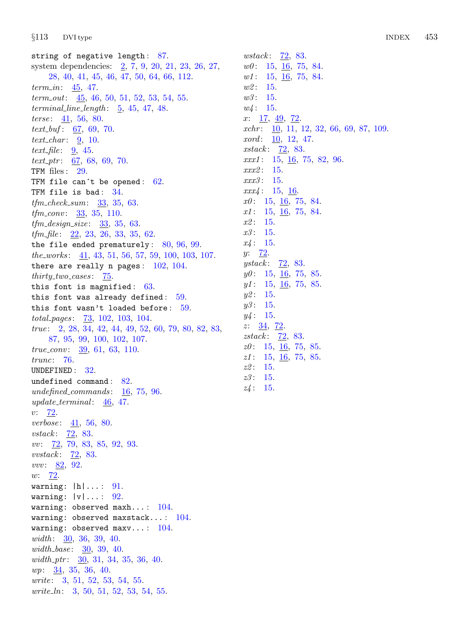string of negative length : [87.](#page-37-0) system dependencies: [2,](#page-1-0) [7,](#page-3-0) [9](#page-4-0), [20,](#page-12-0) [21,](#page-13-0) [23](#page-13-0), [26,](#page-14-0) [27](#page-15-0), [28,](#page-16-0) [40](#page-21-0), [41,](#page-22-0) [45,](#page-23-0) [46](#page-23-0), [47,](#page-23-0) [50](#page-24-0), [64,](#page-29-0) [66](#page-29-0), [112.](#page-48-0)  $term_in: 45, 47.$  $term_in: 45, 47.$  $term_in: 45, 47.$  $term_in: 45, 47.$  $term_in: 45, 47.$  $term\_out:$  [45,](#page-23-0) [46](#page-23-0), [50](#page-24-0), [51,](#page-24-0) [52](#page-24-0), [53,](#page-25-0) [54](#page-25-0), [55](#page-25-0). terminal line length:  $\frac{5}{2}$  $\frac{5}{2}$  $\frac{5}{2}$ , [45](#page-23-0), [47](#page-23-0), [48](#page-23-0). terse:  $41, 56, 80$  $41, 56, 80$  $41, 56, 80$  $41, 56, 80$  $41, 56, 80$ . text<sub>-buf</sub>:  $67, 69, 70$  $67, 69, 70$  $67, 69, 70$  $67, 69, 70$  $67, 69, 70$ . text\_char:  $\frac{9}{10}$ . text file:  $\frac{9}{2}$  $\frac{9}{2}$  $\frac{9}{2}$ , [45](#page-23-0).  $text\_ptr: 67, 68, 69, 70.$  $text\_ptr: 67, 68, 69, 70.$  $text\_ptr: 67, 68, 69, 70.$  $text\_ptr: 67, 68, 69, 70.$  $text\_ptr: 67, 68, 69, 70.$  $text\_ptr: 67, 68, 69, 70.$  $text\_ptr: 67, 68, 69, 70.$  $text\_ptr: 67, 68, 69, 70.$ TFM files: [29](#page-17-0). TFM file can't be opened:  $62$ . TFM file is bad:  $34$ .  $tfm\_check\_sum: 33, 35, 63.$  $tfm\_check\_sum: 33, 35, 63.$  $tfm\_check\_sum: 33, 35, 63.$  $tfm\_check\_sum: 33, 35, 63.$  $tfm\_check\_sum: 33, 35, 63.$  $tfm\_check\_sum: 33, 35, 63.$  $tfm\_check\_sum: 33, 35, 63.$ *tfm\_conv*:  $\frac{33}{35}$  $\frac{33}{35}$  $\frac{33}{35}$ , 35, [110.](#page-47-0)  $tfm\_design\_size: 33, 35, 63.$  $tfm\_design\_size: 33, 35, 63.$  $tfm\_design\_size: 33, 35, 63.$  $tfm\_design\_size: 33, 35, 63.$  $tfm\_design\_size: 33, 35, 63.$  $tfm\_design\_size: 33, 35, 63.$  $tfm\_design\_size: 33, 35, 63.$  $tfm$ -file:  $22, 23, 26, 33, 35, 62$  $22, 23, 26, 33, 35, 62$  $22, 23, 26, 33, 35, 62$  $22, 23, 26, 33, 35, 62$  $22, 23, 26, 33, 35, 62$  $22, 23, 26, 33, 35, 62$  $22, 23, 26, 33, 35, 62$  $22, 23, 26, 33, 35, 62$  $22, 23, 26, 33, 35, 62$  $22, 23, 26, 33, 35, 62$  $22, 23, 26, 33, 35, 62$ . the file ended prematurely:  $80, 96, 99$  $80, 96, 99$  $80, 96, 99$  $80, 96, 99$ . the works:  $\frac{41}{43}$  $\frac{41}{43}$  $\frac{41}{43}$  $\frac{41}{43}$  $\frac{41}{43}$ ,  $\frac{43}{51}$ ,  $\frac{56}{57}$  $\frac{56}{57}$  $\frac{56}{57}$ ,  $\frac{59}{100}$  $\frac{59}{100}$  $\frac{59}{100}$  $\frac{59}{100}$  $\frac{59}{100}$ ,  $\frac{103}{103}$ ,  $\frac{107}{50}$ . there are really n pages:  $102, 104$  $102, 104$ .  $thirty\_two\_cases: 75.$  $thirty\_two\_cases: 75.$  $thirty\_two\_cases: 75.$ this font is magnified:  $63$ . this font was already defined:  $59$ . this font wasn't loaded before:  $59$ . total pages : [73,](#page-31-0) [102](#page-43-0), [103](#page-44-0), [104](#page-44-0). true: [2](#page-1-0), [28,](#page-16-0) [34](#page-18-0), [42,](#page-22-0) [44](#page-22-0), [49](#page-23-0), [52,](#page-24-0) [60](#page-27-0), [79,](#page-33-0) [80](#page-34-0), [82,](#page-35-0) [83,](#page-36-0) [87,](#page-37-0) [95](#page-41-0), [99](#page-42-0), [100,](#page-43-0) [102,](#page-43-0) [107.](#page-46-0)  $true_{conv}: 39, 61, 63, 110.$  $true_{conv}: 39, 61, 63, 110.$  $true_{conv}: 39, 61, 63, 110.$  $true_{conv}: 39, 61, 63, 110.$  $true_{conv}: 39, 61, 63, 110.$  $true_{conv}: 39, 61, 63, 110.$  $true_{conv}: 39, 61, 63, 110.$  $true_{conv}: 39, 61, 63, 110.$ trunc: [76.](#page-32-0) UNDEFINED : [32.](#page-18-0) undefined command: [82.](#page-35-0) undefined commands:  $16$ , [75](#page-32-0), [96](#page-41-0). update\_terminal:  $\frac{46}{5}$  $\frac{46}{5}$  $\frac{46}{5}$ , [47.](#page-23-0)  $v: 72.$  $v: 72.$ *verbose*:  $41, 56, 80$  $41, 56, 80$  $41, 56, 80$  $41, 56, 80$ . vstack:  $\overline{72}$  $\overline{72}$  $\overline{72}$ , [83.](#page-36-0) vv: [72](#page-31-0), [79,](#page-33-0) [83](#page-36-0), [85,](#page-37-0) [92,](#page-40-0) [93](#page-40-0). vvstack: [72](#page-31-0), [83](#page-36-0). *vvv*:  $82, 92.$  $82, 92.$  $82, 92.$  $82, 92.$ w: [72](#page-31-0). warning: |h|... : [91](#page-39-0). warning:  $|v| \ldots$  : [92](#page-40-0). warning: observed maxh...:  $104$ . warning: observed maxstack...:  $104$ . warning: observed maxv...:  $104$ . width: [30](#page-17-0), [36,](#page-19-0) [39](#page-21-0), [40](#page-21-0). width base:  $30, 39, 40$  $30, 39, 40$  $30, 39, 40$  $30, 39, 40$ . width\_ptr: [30,](#page-17-0) [31,](#page-17-0) [34,](#page-18-0) [35,](#page-19-0) [36,](#page-19-0) [40.](#page-21-0) wp: [34,](#page-18-0) [35](#page-19-0), [36](#page-19-0), [40.](#page-21-0) write: [3,](#page-2-0) [51](#page-24-0), [52](#page-24-0), [53,](#page-25-0) [54,](#page-25-0) [55](#page-25-0). write ln: [3,](#page-2-0) [50](#page-24-0), [51](#page-24-0), [52](#page-24-0), [53](#page-25-0), [54](#page-25-0), [55](#page-25-0).

wstack:  $\overline{72}$  $\overline{72}$  $\overline{72}$ , [83.](#page-36-0)  $w0: 15, 16, 75, 84.$  $w0: 15, 16, 75, 84.$  $w0: 15, 16, 75, 84.$  $w0: 15, 16, 75, 84.$  $w0: 15, 16, 75, 84.$  $w0: 15, 16, 75, 84.$  $w0: 15, 16, 75, 84.$  $w0: 15, 16, 75, 84.$  $w1: 15, 16, 75, 84.$  $w1: 15, 16, 75, 84.$  $w1: 15, 16, 75, 84.$  $w1: 15, 16, 75, 84.$  $w1: 15, 16, 75, 84.$  $w1: 15, 16, 75, 84.$  $w1: 15, 16, 75, 84.$  $w1: 15, 16, 75, 84.$  $w2: 15.$  $w2: 15.$  $w2: 15.$  $w3: 15.$  $w3: 15.$  $w3: 15.$  $w4: 15.$  $w4: 15.$  $w4: 15.$  $x: \underline{17}, \underline{49}, \underline{72}.$  $x: \underline{17}, \underline{49}, \underline{72}.$  $x: \underline{17}, \underline{49}, \underline{72}.$  $x: \underline{17}, \underline{49}, \underline{72}.$  $x: \underline{17}, \underline{49}, \underline{72}.$  $xchr: \underline{10}$ , [11,](#page-5-0) [12](#page-5-0), [32](#page-18-0), [66,](#page-29-0) [69,](#page-30-0) [87](#page-37-0), [109](#page-46-0).  $xord: \underline{10}, 12, 47.$  $xord: \underline{10}, 12, 47.$  $xord: \underline{10}, 12, 47.$  $xord: \underline{10}, 12, 47.$  $xstack: 72, 83.$  $xstack: 72, 83.$  $xstack: 72, 83.$  $xstack: 72, 83.$  $xxx1$ : [15](#page-7-0), [16,](#page-10-0) [75](#page-32-0), [82,](#page-35-0) [96](#page-41-0).  $xxx2: 15.$  $xxx2: 15.$  $xxx2: 15.$  $xxx3: 15.$  $xxx3: 15.$  $xxx3: 15.$ xxx4 : [15](#page-7-0), [16.](#page-10-0)  $x0:$  [15](#page-7-0), [16](#page-10-0), [75,](#page-32-0) [84.](#page-36-0)  $x1: \quad 15, \quad \underline{16}, \quad 75, \quad 84.$  $x1: \quad 15, \quad \underline{16}, \quad 75, \quad 84.$  $x1: \quad 15, \quad \underline{16}, \quad 75, \quad 84.$  $x1: \quad 15, \quad \underline{16}, \quad 75, \quad 84.$  $x1: \quad 15, \quad \underline{16}, \quad 75, \quad 84.$  $x1: \quad 15, \quad \underline{16}, \quad 75, \quad 84.$  $x1: \quad 15, \quad \underline{16}, \quad 75, \quad 84.$  $x1: \quad 15, \quad \underline{16}, \quad 75, \quad 84.$  $x2: 15.$  $x2: 15.$  $x2: 15.$  $x3: 15.$  $x3: 15.$  $x3: 15.$  $x_4: 15.$  $x_4: 15.$  $x_4: 15.$  $y: \frac{72}{.}$ ystack:  $\overline{72}$ , [83.](#page-36-0)  $y0:$  [15](#page-7-0), [16](#page-10-0), [75](#page-32-0), [85.](#page-37-0)  $y1: 15, 16, 75, 85.$  $y1: 15, 16, 75, 85.$  $y1: 15, 16, 75, 85.$  $y1: 15, 16, 75, 85.$  $y1: 15, 16, 75, 85.$  $y1: 15, 16, 75, 85.$  $y1: 15, 16, 75, 85.$  $y1: 15, 16, 75, 85.$  $y2: 15.$  $y2: 15.$  $y2: 15.$  $y3: 15.$  $y3: 15.$  $y3: 15.$  $y_4: 15.$  $y_4: 15.$  $y_4: 15.$  $z: \frac{34}{72}.$  $z: \frac{34}{72}.$  $z: \frac{34}{72}.$ zstack: [72,](#page-31-0) [83.](#page-36-0)  $z0:$  [15,](#page-7-0) [16](#page-10-0), [75](#page-32-0), [85](#page-37-0).  $z1:$  [15,](#page-7-0) [16](#page-10-0), [75](#page-32-0), [85](#page-37-0).  $z2: 15.$  $z2: 15.$  $z3: 15.$  $z3: 15.$  $z_4$ : [15.](#page-7-0)